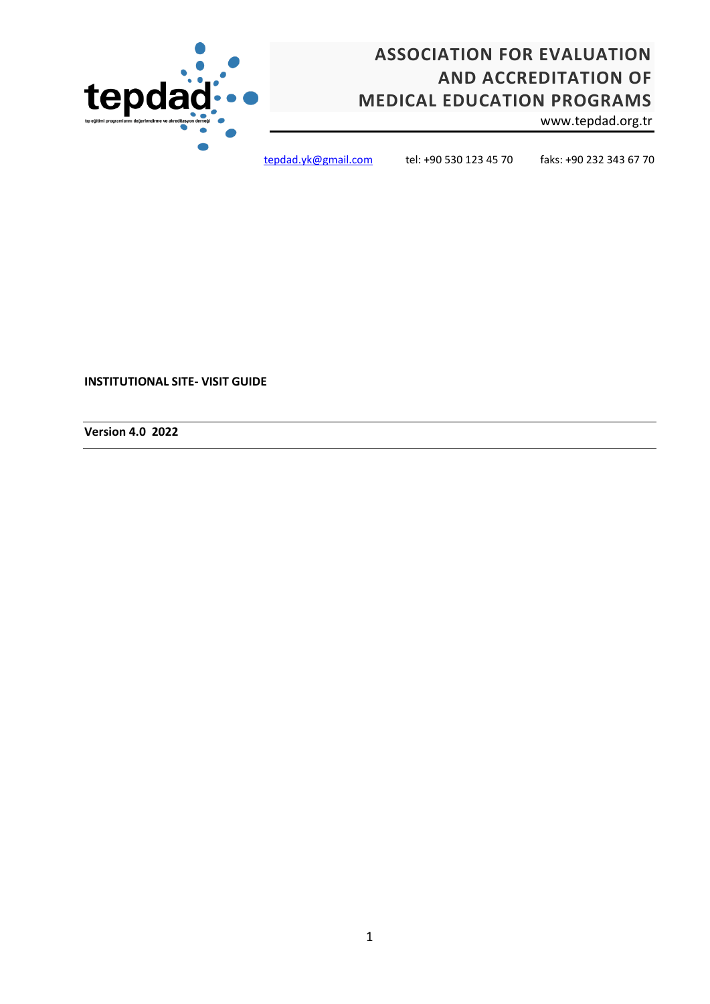# **ASSOCIATION FOR EVALUATION AND ACCREDITATION OF MEDICAL EDUCATION PROGRAMS**

www.tepdad.org.tr



[tepdad.yk@gmail.com](mailto:tepdad.yk@gmail.com) tel: +90 530 123 45 70 faks: +90 232 343 67 70

**INSTITUTIONAL SITE- VISIT GUIDE**

**Version 4.0 2022**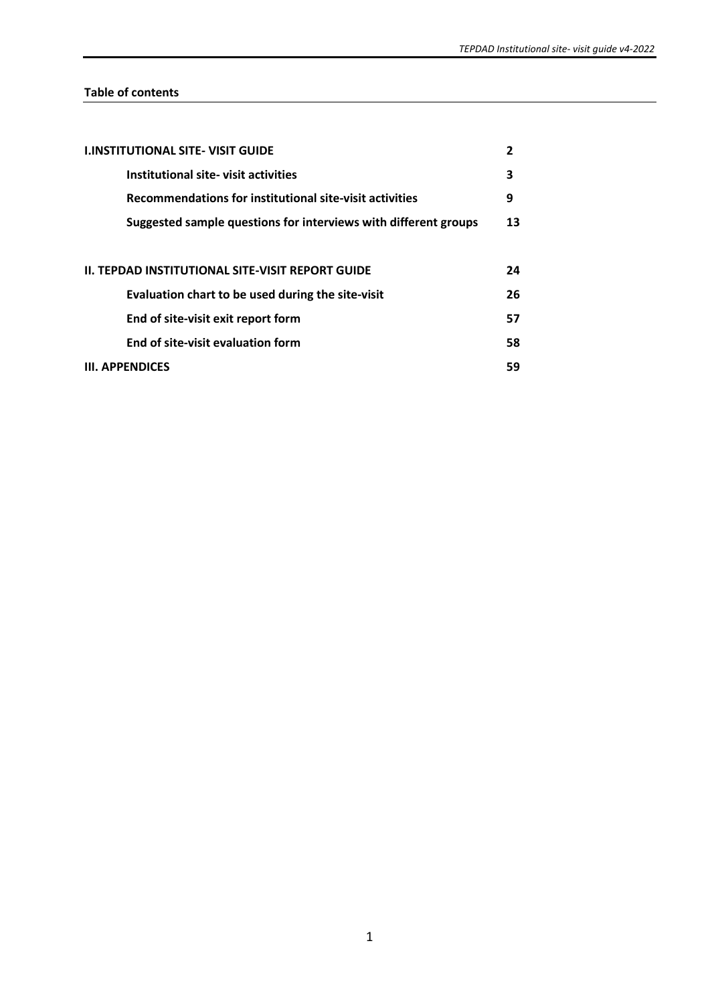# **Table of contents**

| <b>I.INSTITUTIONAL SITE- VISIT GUIDE</b>                        | 2  |  |  |  |  |  |  |  |  |  |
|-----------------------------------------------------------------|----|--|--|--|--|--|--|--|--|--|
| Institutional site-visit activities                             | 3  |  |  |  |  |  |  |  |  |  |
| Recommendations for institutional site-visit activities         | 9  |  |  |  |  |  |  |  |  |  |
| Suggested sample questions for interviews with different groups |    |  |  |  |  |  |  |  |  |  |
|                                                                 |    |  |  |  |  |  |  |  |  |  |
| II. TEPDAD INSTITUTIONAL SITE-VISIT REPORT GUIDE                | 24 |  |  |  |  |  |  |  |  |  |
| Evaluation chart to be used during the site-visit               | 26 |  |  |  |  |  |  |  |  |  |
| End of site-visit exit report form                              | 57 |  |  |  |  |  |  |  |  |  |
| End of site-visit evaluation form                               | 58 |  |  |  |  |  |  |  |  |  |
| <b>III. APPENDICES</b>                                          | 59 |  |  |  |  |  |  |  |  |  |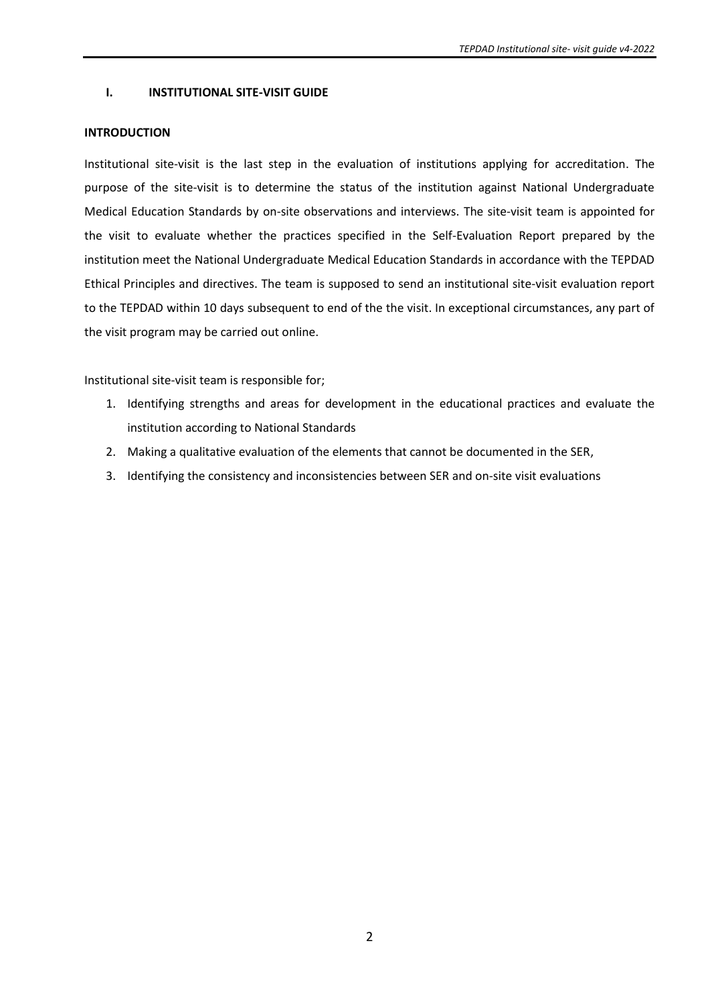# **I. INSTITUTIONAL SITE-VISIT GUIDE**

### **INTRODUCTION**

Institutional site-visit is the last step in the evaluation of institutions applying for accreditation. The purpose of the site-visit is to determine the status of the institution against National Undergraduate Medical Education Standards by on-site observations and interviews. The site-visit team is appointed for the visit to evaluate whether the practices specified in the Self-Evaluation Report prepared by the institution meet the National Undergraduate Medical Education Standards in accordance with the TEPDAD Ethical Principles and directives. The team is supposed to send an institutional site-visit evaluation report to the TEPDAD within 10 days subsequent to end of the the visit. In exceptional circumstances, any part of the visit program may be carried out online.

Institutional site-visit team is responsible for;

- 1. Identifying strengths and areas for development in the educational practices and evaluate the institution according to National Standards
- 2. Making a qualitative evaluation of the elements that cannot be documented in the SER,
- 3. Identifying the consistency and inconsistencies between SER and on-site visit evaluations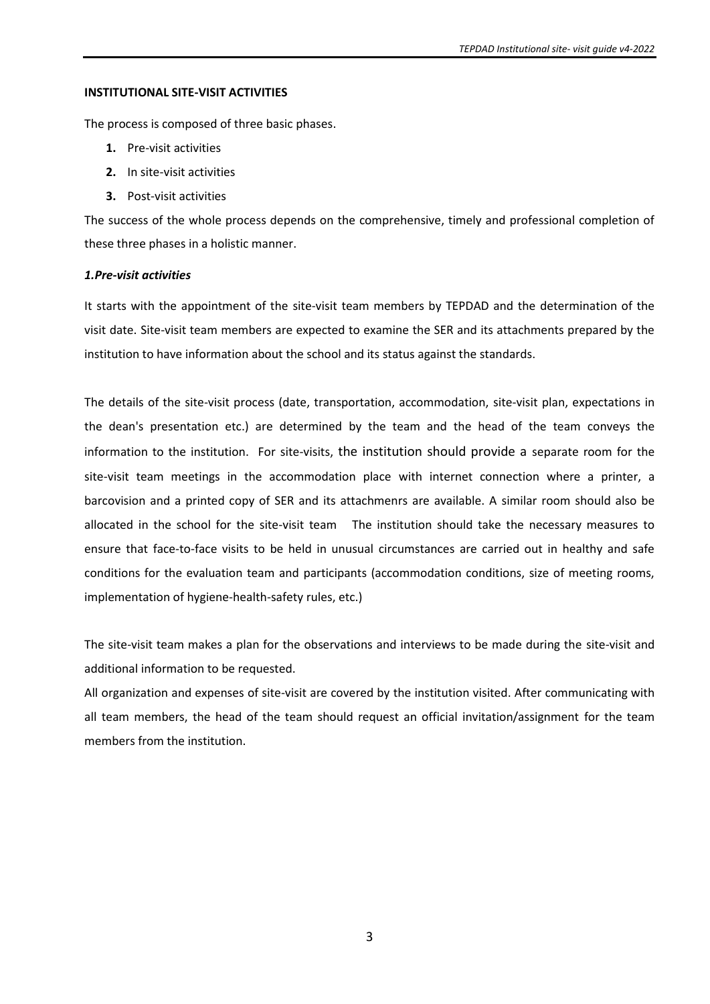#### **INSTITUTIONAL SITE-VISIT ACTIVITIES**

The process is composed of three basic phases.

- **1.** Pre-visit activities
- **2.** In site-visit activities
- **3.** Post-visit activities

The success of the whole process depends on the comprehensive, timely and professional completion of these three phases in a holistic manner.

### *1.Pre-visit activities*

It starts with the appointment of the site-visit team members by TEPDAD and the determination of the visit date. Site-visit team members are expected to examine the SER and its attachments prepared by the institution to have information about the school and its status against the standards.

The details of the site-visit process (date, transportation, accommodation, site-visit plan, expectations in the dean's presentation etc.) are determined by the team and the head of the team conveys the information to the institution. For site-visits, the institution should provide a separate room for the site-visit team meetings in the accommodation place with internet connection where a printer, a barcovision and a printed copy of SER and its attachmenrs are available. A similar room should also be allocated in the school for the site-visit team The institution should take the necessary measures to ensure that face-to-face visits to be held in unusual circumstances are carried out in healthy and safe conditions for the evaluation team and participants (accommodation conditions, size of meeting rooms, implementation of hygiene-health-safety rules, etc.)

The site-visit team makes a plan for the observations and interviews to be made during the site-visit and additional information to be requested.

All organization and expenses of site-visit are covered by the institution visited. After communicating with all team members, the head of the team should request an official invitation/assignment for the team members from the institution.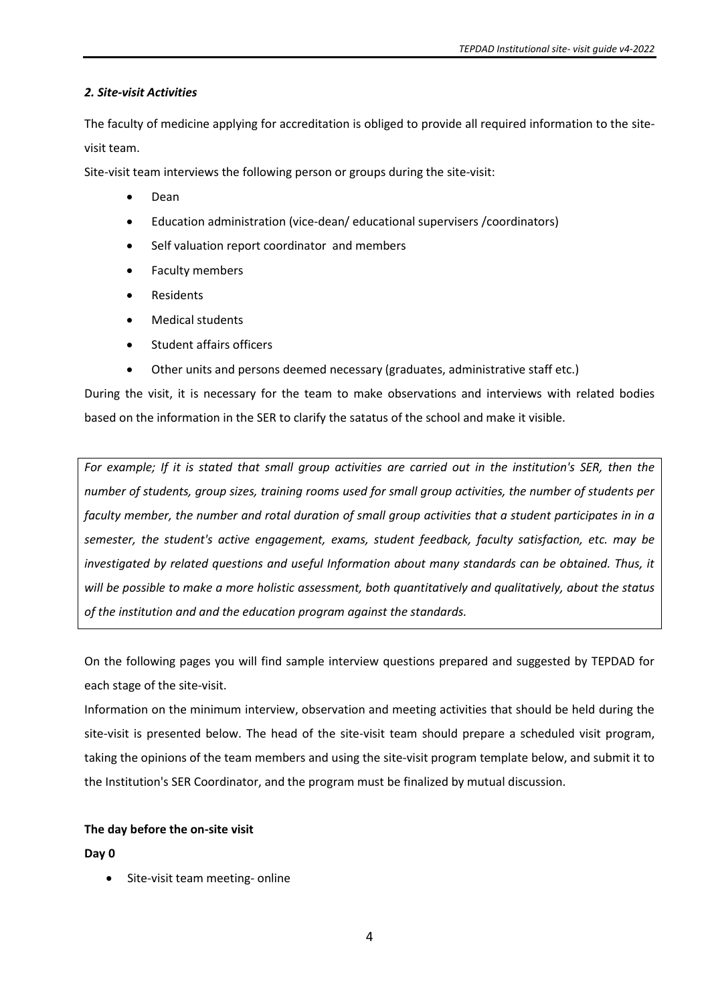### *2. Site-visit Activities*

The faculty of medicine applying for accreditation is obliged to provide all required information to the sitevisit team.

Site-visit team interviews the following person or groups during the site-visit:

- Dean
- Education administration (vice-dean/ educational supervisers /coordinators)
- Self valuation report coordinator and members
- Faculty members
- Residents
- Medical students
- Student affairs officers
- Other units and persons deemed necessary (graduates, administrative staff etc.)

During the visit, it is necessary for the team to make observations and interviews with related bodies based on the information in the SER to clarify the satatus of the school and make it visible.

*For example; If it is stated that small group activities are carried out in the institution's SER, then the number of students, group sizes, training rooms used for small group activities, the number of students per faculty member, the number and rotal duration of small group activities that a student participates in in a semester, the student's active engagement, exams, student feedback, faculty satisfaction, etc. may be investigated by related questions and useful Information about many standards can be obtained. Thus, it will be possible to make a more holistic assessment, both quantitatively and qualitatively, about the status of the institution and and the education program against the standards.*

On the following pages you will find sample interview questions prepared and suggested by TEPDAD for each stage of the site-visit.

Information on the minimum interview, observation and meeting activities that should be held during the site-visit is presented below. The head of the site-visit team should prepare a scheduled visit program, taking the opinions of the team members and using the site-visit program template below, and submit it to the Institution's SER Coordinator, and the program must be finalized by mutual discussion.

### **The day before the on-site visit**

**Day 0**

• Site-visit team meeting- online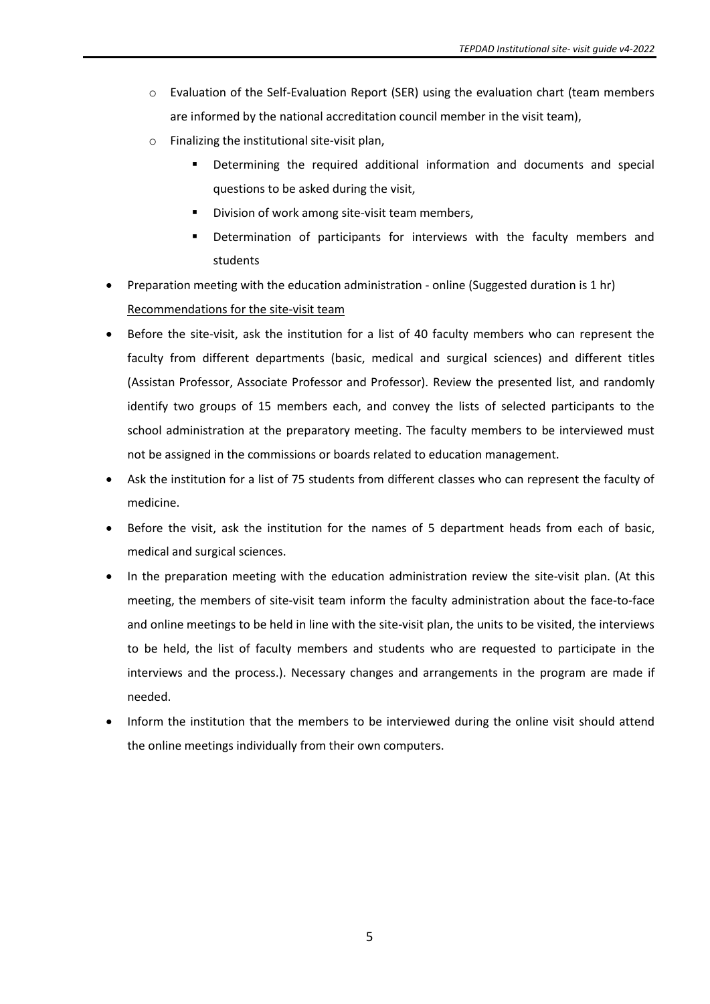- o Evaluation of the Self-Evaluation Report (SER) using the evaluation chart (team members are informed by the national accreditation council member in the visit team),
- o Finalizing the institutional site-visit plan,
	- Determining the required additional information and documents and special questions to be asked during the visit,
	- Division of work among site-visit team members,
	- **•** Determination of participants for interviews with the faculty members and students
- Preparation meeting with the education administration online (Suggested duration is 1 hr) Recommendations for the site-visit team
- Before the site-visit, ask the institution for a list of 40 faculty members who can represent the faculty from different departments (basic, medical and surgical sciences) and different titles (Assistan Professor, Associate Professor and Professor). Review the presented list, and randomly identify two groups of 15 members each, and convey the lists of selected participants to the school administration at the preparatory meeting. The faculty members to be interviewed must not be assigned in the commissions or boards related to education management.
- Ask the institution for a list of 75 students from different classes who can represent the faculty of medicine.
- Before the visit, ask the institution for the names of 5 department heads from each of basic, medical and surgical sciences.
- In the preparation meeting with the education administration review the site-visit plan. (At this meeting, the members of site-visit team inform the faculty administration about the face-to-face and online meetings to be held in line with the site-visit plan, the units to be visited, the interviews to be held, the list of faculty members and students who are requested to participate in the interviews and the process.). Necessary changes and arrangements in the program are made if needed.
- Inform the institution that the members to be interviewed during the online visit should attend the online meetings individually from their own computers.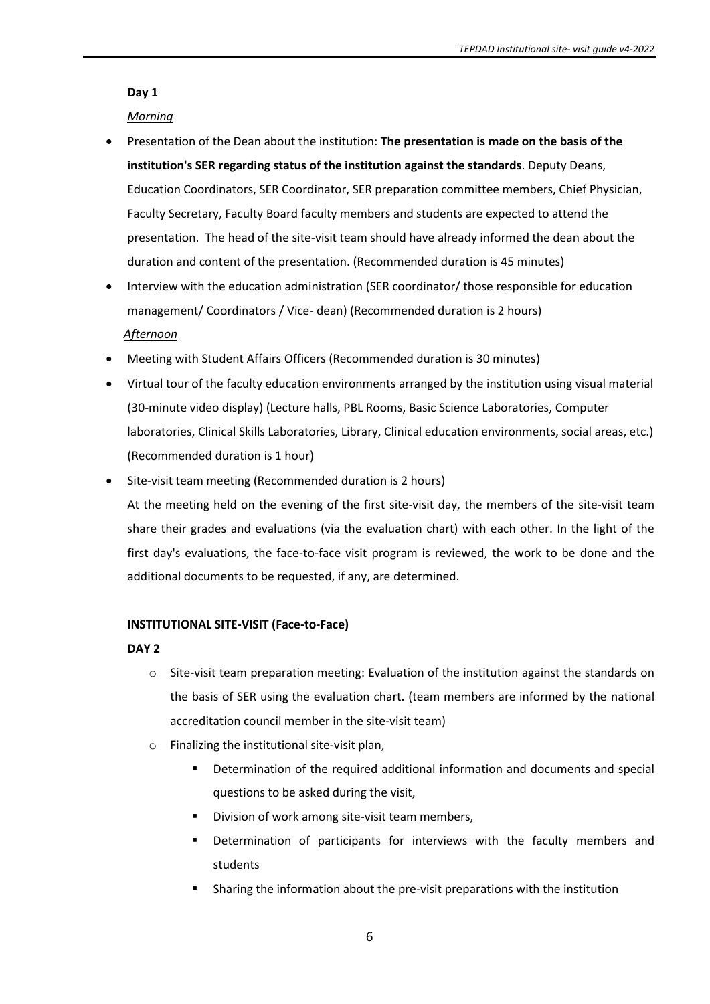### **Day 1**

### *Morning*

- Presentation of the Dean about the institution: **The presentation is made on the basis of the institution's SER regarding status of the institution against the standards**. Deputy Deans, Education Coordinators, SER Coordinator, SER preparation committee members, Chief Physician, Faculty Secretary, Faculty Board faculty members and students are expected to attend the presentation. The head of the site-visit team should have already informed the dean about the duration and content of the presentation. (Recommended duration is 45 minutes)
- Interview with the education administration (SER coordinator/ those responsible for education management/ Coordinators / Vice- dean) (Recommended duration is 2 hours)  *Afternoon*
- Meeting with Student Affairs Officers (Recommended duration is 30 minutes)
- Virtual tour of the faculty education environments arranged by the institution using visual material (30-minute video display) (Lecture halls, PBL Rooms, Basic Science Laboratories, Computer laboratories, Clinical Skills Laboratories, Library, Clinical education environments, social areas, etc.) (Recommended duration is 1 hour)
- Site-visit team meeting (Recommended duration is 2 hours)

At the meeting held on the evening of the first site-visit day, the members of the site-visit team share their grades and evaluations (via the evaluation chart) with each other. In the light of the first day's evaluations, the face-to-face visit program is reviewed, the work to be done and the additional documents to be requested, if any, are determined.

### **INSTITUTIONAL SITE-VISIT (Face-to-Face)**

### **DAY 2**

- $\circ$  Site-visit team preparation meeting: Evaluation of the institution against the standards on the basis of SER using the evaluation chart. (team members are informed by the national accreditation council member in the site-visit team)
- o Finalizing the institutional site-visit plan,
	- **•** Determination of the required additional information and documents and special questions to be asked during the visit,
	- Division of work among site-visit team members,
	- Determination of participants for interviews with the faculty members and students
	- Sharing the information about the pre-visit preparations with the institution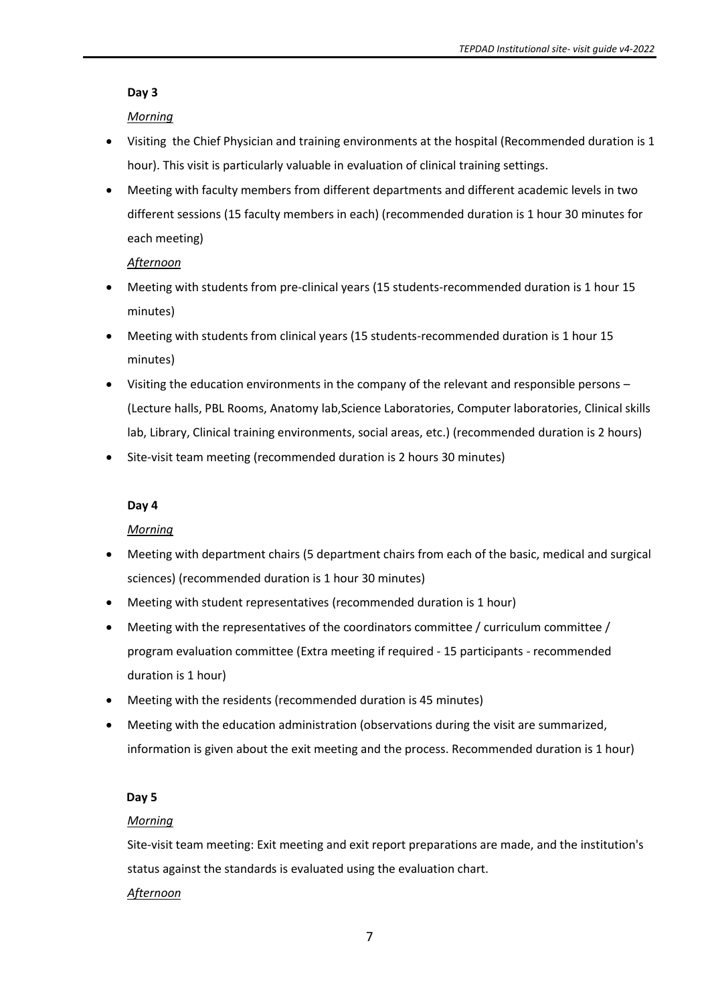### **Day 3**

# *Morning*

- Visiting the Chief Physician and training environments at the hospital (Recommended duration is 1 hour). This visit is particularly valuable in evaluation of clinical training settings.
- Meeting with faculty members from different departments and different academic levels in two different sessions (15 faculty members in each) (recommended duration is 1 hour 30 minutes for each meeting)

# *Afternoon*

- Meeting with students from pre-clinical years (15 students-recommended duration is 1 hour 15 minutes)
- Meeting with students from clinical years (15 students-recommended duration is 1 hour 15 minutes)
- Visiting the education environments in the company of the relevant and responsible persons (Lecture halls, PBL Rooms, Anatomy lab,Science Laboratories, Computer laboratories, Clinical skills lab, Library, Clinical training environments, social areas, etc.) (recommended duration is 2 hours)
- Site-visit team meeting (recommended duration is 2 hours 30 minutes)

# **Day 4**

# *Morning*

- Meeting with department chairs (5 department chairs from each of the basic, medical and surgical sciences) (recommended duration is 1 hour 30 minutes)
- Meeting with student representatives (recommended duration is 1 hour)
- Meeting with the representatives of the coordinators committee / curriculum committee / program evaluation committee (Extra meeting if required - 15 participants - recommended duration is 1 hour)
- Meeting with the residents (recommended duration is 45 minutes)
- Meeting with the education administration (observations during the visit are summarized, information is given about the exit meeting and the process. Recommended duration is 1 hour)

# **Day 5**

# *Morning*

Site-visit team meeting: Exit meeting and exit report preparations are made, and the institution's status against the standards is evaluated using the evaluation chart. *Afternoon*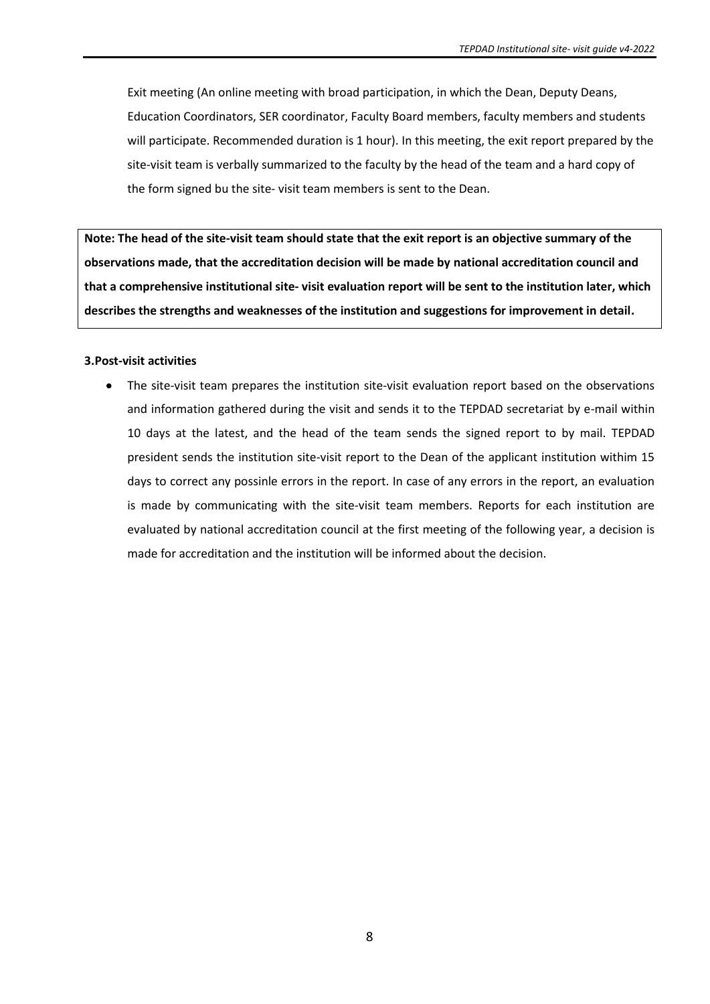Exit meeting (An online meeting with broad participation, in which the Dean, Deputy Deans, Education Coordinators, SER coordinator, Faculty Board members, faculty members and students will participate. Recommended duration is 1 hour). In this meeting, the exit report prepared by the site-visit team is verbally summarized to the faculty by the head of the team and a hard copy of the form signed bu the site- visit team members is sent to the Dean.

**Note: The head of the site-visit team should state that the exit report is an objective summary of the observations made, that the accreditation decision will be made by national accreditation council and that a comprehensive institutional site- visit evaluation report will be sent to the institution later, which describes the strengths and weaknesses of the institution and suggestions for improvement in detail.** 

#### **3.Post-visit activities**

• The site-visit team prepares the institution site-visit evaluation report based on the observations and information gathered during the visit and sends it to the TEPDAD secretariat by e-mail within 10 days at the latest, and the head of the team sends the signed report to by mail. TEPDAD president sends the institution site-visit report to the Dean of the applicant institution withim 15 days to correct any possinle errors in the report. In case of any errors in the report, an evaluation is made by communicating with the site-visit team members. Reports for each institution are evaluated by national accreditation council at the first meeting of the following year, a decision is made for accreditation and the institution will be informed about the decision.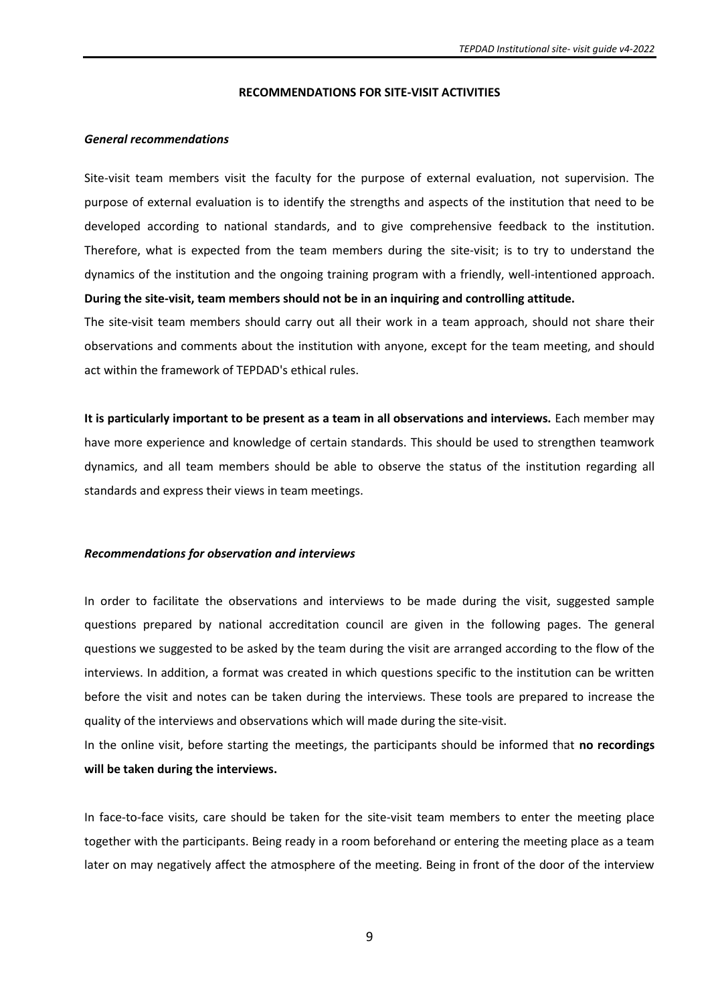#### **RECOMMENDATIONS FOR SITE-VISIT ACTIVITIES**

#### *General recommendations*

Site-visit team members visit the faculty for the purpose of external evaluation, not supervision. The purpose of external evaluation is to identify the strengths and aspects of the institution that need to be developed according to national standards, and to give comprehensive feedback to the institution. Therefore, what is expected from the team members during the site-visit; is to try to understand the dynamics of the institution and the ongoing training program with a friendly, well-intentioned approach. **During the site-visit, team members should not be in an inquiring and controlling attitude.**

The site-visit team members should carry out all their work in a team approach, should not share their observations and comments about the institution with anyone, except for the team meeting, and should act within the framework of TEPDAD's ethical rules.

**It is particularly important to be present as a team in all observations and interviews.** Each member may have more experience and knowledge of certain standards. This should be used to strengthen teamwork dynamics, and all team members should be able to observe the status of the institution regarding all standards and express their views in team meetings.

#### *Recommendations for observation and interviews*

In order to facilitate the observations and interviews to be made during the visit, suggested sample questions prepared by national accreditation council are given in the following pages. The general questions we suggested to be asked by the team during the visit are arranged according to the flow of the interviews. In addition, a format was created in which questions specific to the institution can be written before the visit and notes can be taken during the interviews. These tools are prepared to increase the quality of the interviews and observations which will made during the site-visit.

In the online visit, before starting the meetings, the participants should be informed that **no recordings will be taken during the interviews.**

In face-to-face visits, care should be taken for the site-visit team members to enter the meeting place together with the participants. Being ready in a room beforehand or entering the meeting place as a team later on may negatively affect the atmosphere of the meeting. Being in front of the door of the interview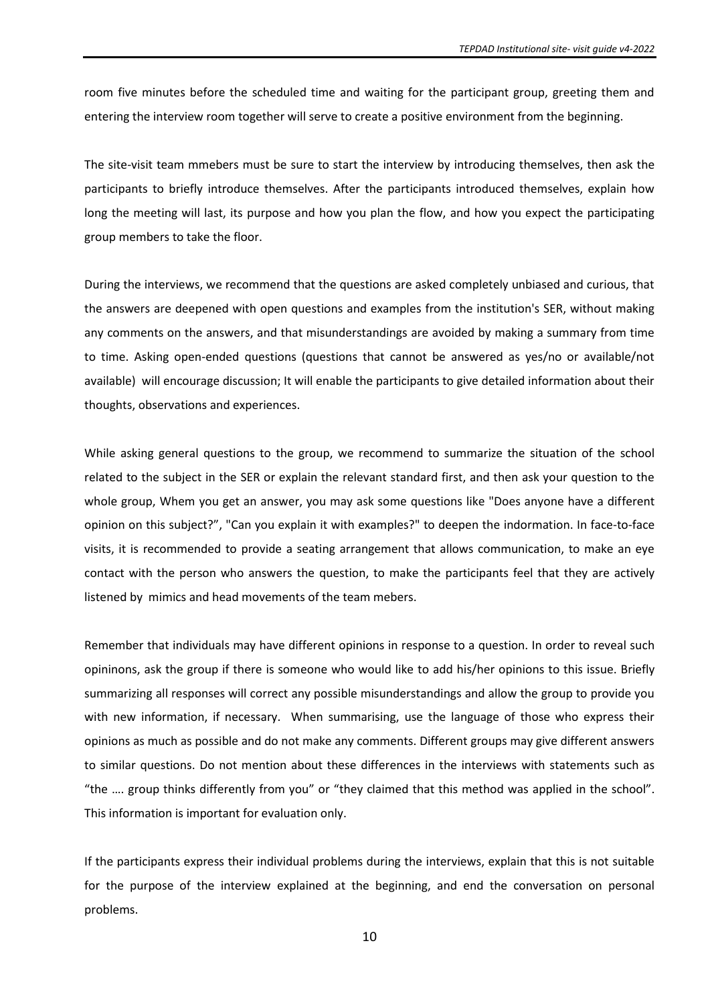room five minutes before the scheduled time and waiting for the participant group, greeting them and entering the interview room together will serve to create a positive environment from the beginning.

The site-visit team mmebers must be sure to start the interview by introducing themselves, then ask the participants to briefly introduce themselves. After the participants introduced themselves, explain how long the meeting will last, its purpose and how you plan the flow, and how you expect the participating group members to take the floor.

During the interviews, we recommend that the questions are asked completely unbiased and curious, that the answers are deepened with open questions and examples from the institution's SER, without making any comments on the answers, and that misunderstandings are avoided by making a summary from time to time. Asking open-ended questions (questions that cannot be answered as yes/no or available/not available) will encourage discussion; It will enable the participants to give detailed information about their thoughts, observations and experiences.

While asking general questions to the group, we recommend to summarize the situation of the school related to the subject in the SER or explain the relevant standard first, and then ask your question to the whole group, Whem you get an answer, you may ask some questions like "Does anyone have a different opinion on this subject?", "Can you explain it with examples?" to deepen the indormation. In face-to-face visits, it is recommended to provide a seating arrangement that allows communication, to make an eye contact with the person who answers the question, to make the participants feel that they are actively listened by mimics and head movements of the team mebers.

Remember that individuals may have different opinions in response to a question. In order to reveal such opininons, ask the group if there is someone who would like to add his/her opinions to this issue. Briefly summarizing all responses will correct any possible misunderstandings and allow the group to provide you with new information, if necessary. When summarising, use the language of those who express their opinions as much as possible and do not make any comments. Different groups may give different answers to similar questions. Do not mention about these differences in the interviews with statements such as "the …. group thinks differently from you" or "they claimed that this method was applied in the school". This information is important for evaluation only.

If the participants express their individual problems during the interviews, explain that this is not suitable for the purpose of the interview explained at the beginning, and end the conversation on personal problems.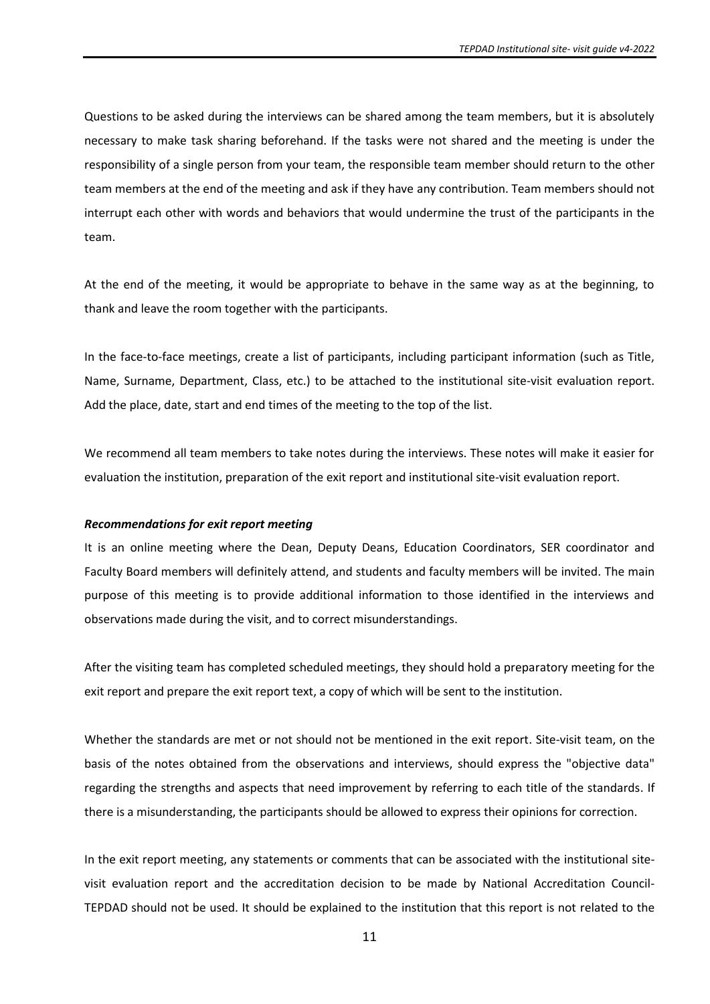Questions to be asked during the interviews can be shared among the team members, but it is absolutely necessary to make task sharing beforehand. If the tasks were not shared and the meeting is under the responsibility of a single person from your team, the responsible team member should return to the other team members at the end of the meeting and ask if they have any contribution. Team members should not interrupt each other with words and behaviors that would undermine the trust of the participants in the team.

At the end of the meeting, it would be appropriate to behave in the same way as at the beginning, to thank and leave the room together with the participants.

In the face-to-face meetings, create a list of participants, including participant information (such as Title, Name, Surname, Department, Class, etc.) to be attached to the institutional site-visit evaluation report. Add the place, date, start and end times of the meeting to the top of the list.

We recommend all team members to take notes during the interviews. These notes will make it easier for evaluation the institution, preparation of the exit report and institutional site-visit evaluation report.

#### *Recommendations for exit report meeting*

It is an online meeting where the Dean, Deputy Deans, Education Coordinators, SER coordinator and Faculty Board members will definitely attend, and students and faculty members will be invited. The main purpose of this meeting is to provide additional information to those identified in the interviews and observations made during the visit, and to correct misunderstandings.

After the visiting team has completed scheduled meetings, they should hold a preparatory meeting for the exit report and prepare the exit report text, a copy of which will be sent to the institution.

Whether the standards are met or not should not be mentioned in the exit report. Site-visit team, on the basis of the notes obtained from the observations and interviews, should express the "objective data" regarding the strengths and aspects that need improvement by referring to each title of the standards. If there is a misunderstanding, the participants should be allowed to express their opinions for correction.

In the exit report meeting, any statements or comments that can be associated with the institutional sitevisit evaluation report and the accreditation decision to be made by National Accreditation Council-TEPDAD should not be used. It should be explained to the institution that this report is not related to the

11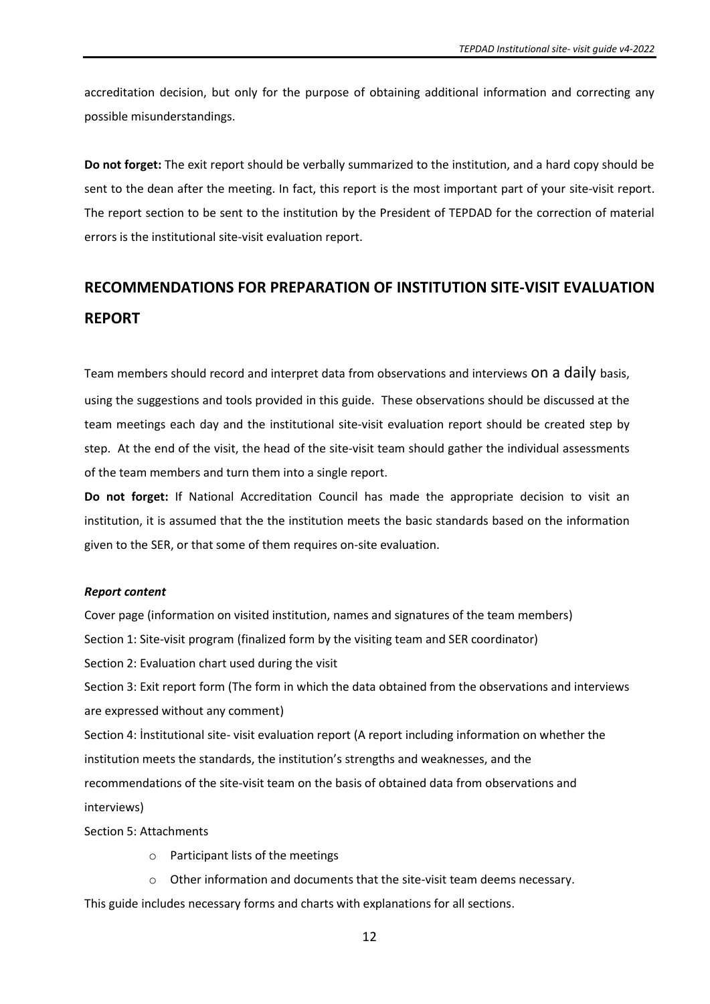accreditation decision, but only for the purpose of obtaining additional information and correcting any possible misunderstandings.

**Do not forget:** The exit report should be verbally summarized to the institution, and a hard copy should be sent to the dean after the meeting. In fact, this report is the most important part of your site-visit report. The report section to be sent to the institution by the President of TEPDAD for the correction of material errors is the institutional site-visit evaluation report.

# **RECOMMENDATIONS FOR PREPARATION OF INSTITUTION SITE-VISIT EVALUATION REPORT**

Team members should record and interpret data from observations and interviews on a daily basis, using the suggestions and tools provided in this guide. These observations should be discussed at the team meetings each day and the institutional site-visit evaluation report should be created step by step. At the end of the visit, the head of the site-visit team should gather the individual assessments of the team members and turn them into a single report.

**Do not forget:** If National Accreditation Council has made the appropriate decision to visit an institution, it is assumed that the the institution meets the basic standards based on the information given to the SER, or that some of them requires on-site evaluation.

#### *Report content*

Cover page (information on visited institution, names and signatures of the team members) Section 1: Site-visit program (finalized form by the visiting team and SER coordinator) Section 2: Evaluation chart used during the visit Section 3: Exit report form (The form in which the data obtained from the observations and interviews are expressed without any comment) Section 4: İnstitutional site- visit evaluation report (A report including information on whether the institution meets the standards, the institution's strengths and weaknesses, and the recommendations of the site-visit team on the basis of obtained data from observations and interviews)

Section 5: Attachments

- o Participant lists of the meetings
- Other information and documents that the site-visit team deems necessary.

This guide includes necessary forms and charts with explanations for all sections.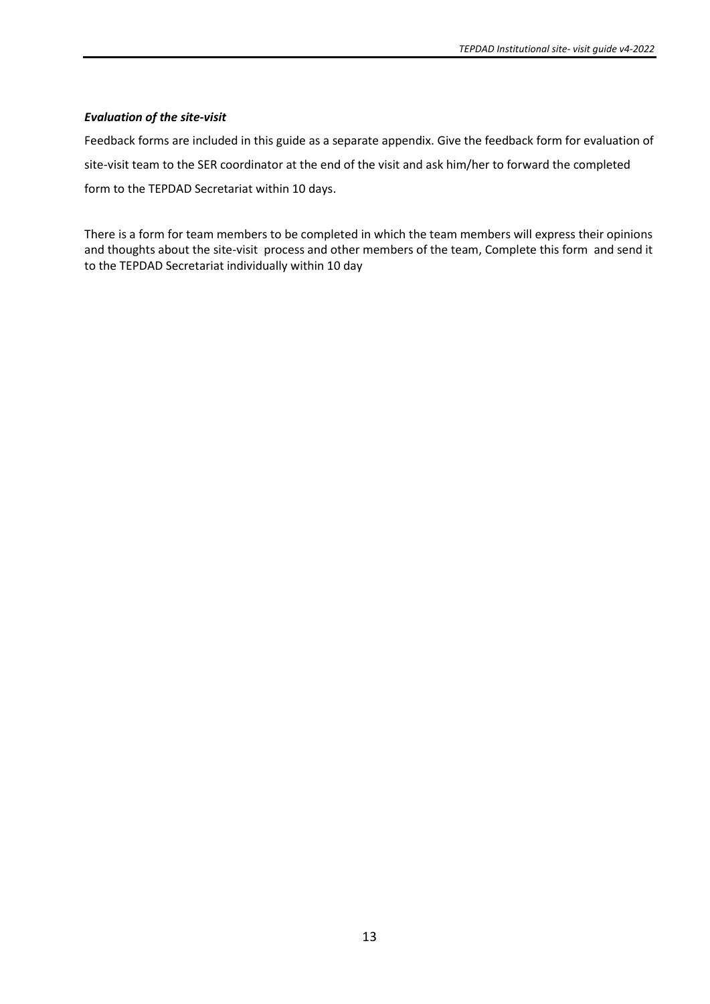### *Evaluation of the site-visit*

Feedback forms are included in this guide as a separate appendix. Give the feedback form for evaluation of site-visit team to the SER coordinator at the end of the visit and ask him/her to forward the completed form to the TEPDAD Secretariat within 10 days.

There is a form for team members to be completed in which the team members will express their opinions and thoughts about the site-visit process and other members of the team, Complete this form and send it to the TEPDAD Secretariat individually within 10 day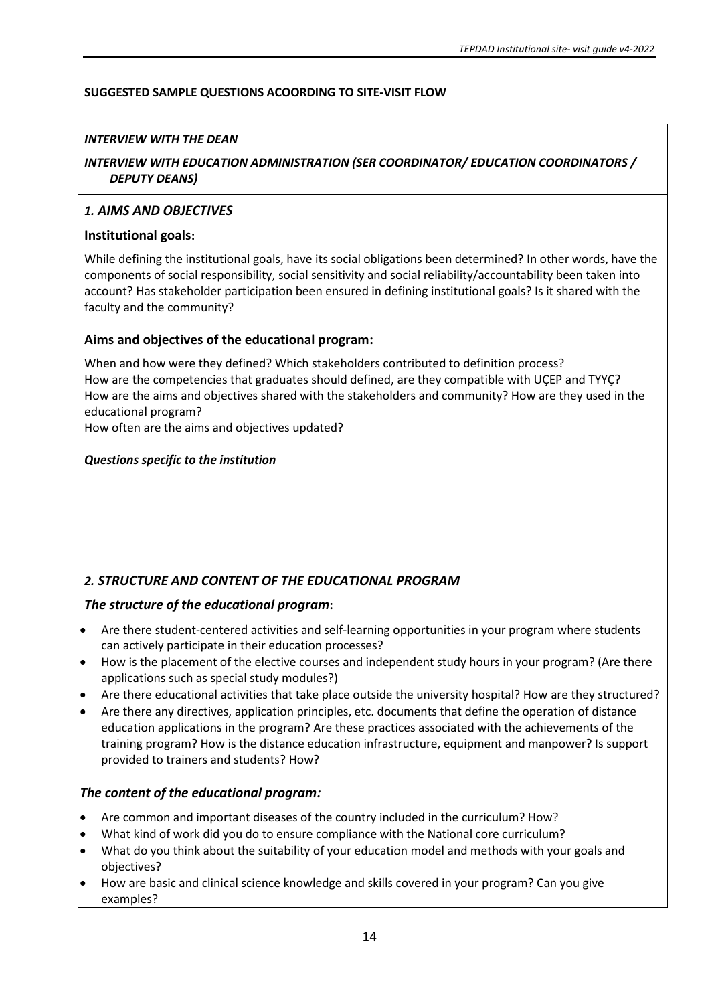# **SUGGESTED SAMPLE QUESTIONS ACOORDING TO SITE-VISIT FLOW**

# *INTERVIEW WITH THE DEAN*

# *INTERVIEW WITH EDUCATION ADMINISTRATION (SER COORDINATOR/ EDUCATION COORDINATORS / DEPUTY DEANS)*

# *1. AIMS AND OBJECTIVES*

# **Institutional goals:**

While defining the institutional goals, have its social obligations been determined? In other words, have the components of social responsibility, social sensitivity and social reliability/accountability been taken into account? Has stakeholder participation been ensured in defining institutional goals? Is it shared with the faculty and the community?

# **Aims and objectives of the educational program:**

When and how were they defined? Which stakeholders contributed to definition process? How are the competencies that graduates should defined, are they compatible with UÇEP and TYYÇ? How are the aims and objectives shared with the stakeholders and community? How are they used in the educational program?

How often are the aims and objectives updated?

# *Questions specific to the institution*

# *2. STRUCTURE AND CONTENT OF THE EDUCATIONAL PROGRAM*

# *The structure of the educational program***:**

- Are there student-centered activities and self-learning opportunities in your program where students can actively participate in their education processes?
- How is the placement of the elective courses and independent study hours in your program? (Are there applications such as special study modules?)
- Are there educational activities that take place outside the university hospital? How are they structured?
- Are there any directives, application principles, etc. documents that define the operation of distance education applications in the program? Are these practices associated with the achievements of the training program? How is the distance education infrastructure, equipment and manpower? Is support provided to trainers and students? How?

# *The content of the educational program:*

- Are common and important diseases of the country included in the curriculum? How?
- What kind of work did you do to ensure compliance with the National core curriculum?
- What do you think about the suitability of your education model and methods with your goals and objectives?
- How are basic and clinical science knowledge and skills covered in your program? Can you give examples?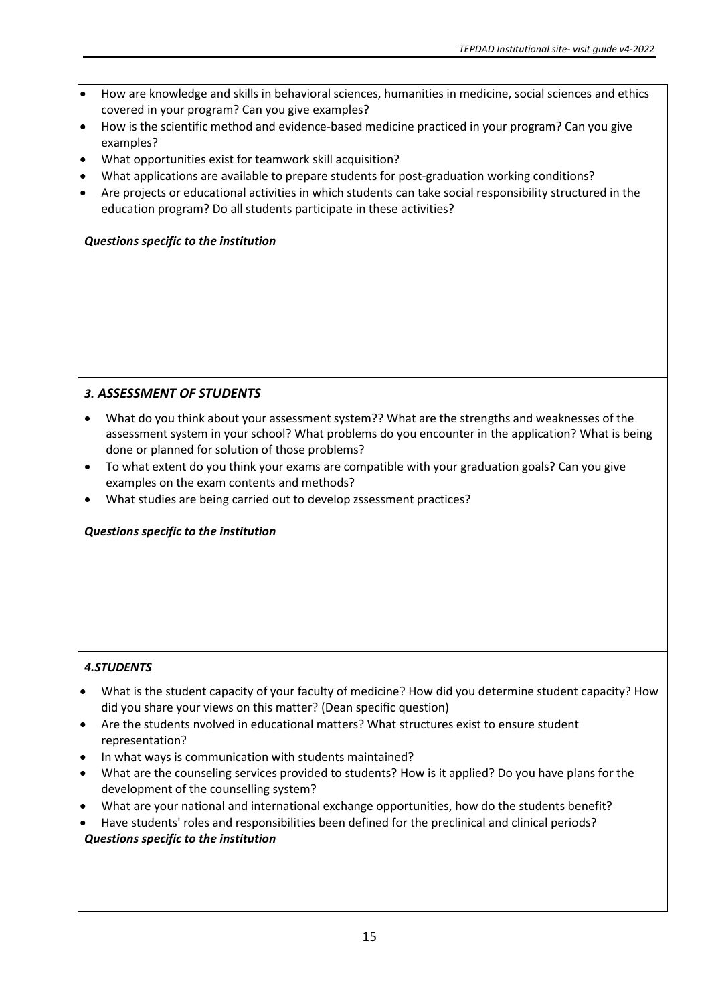- How are knowledge and skills in behavioral sciences, humanities in medicine, social sciences and ethics covered in your program? Can you give examples?
- How is the scientific method and evidence-based medicine practiced in your program? Can you give examples?
- What opportunities exist for teamwork skill acquisition?
- What applications are available to prepare students for post-graduation working conditions?
- Are projects or educational activities in which students can take social responsibility structured in the education program? Do all students participate in these activities?

# *Questions specific to the institution*

# *3. ASSESSMENT OF STUDENTS*

- What do you think about your assessment system?? What are the strengths and weaknesses of the assessment system in your school? What problems do you encounter in the application? What is being done or planned for solution of those problems?
- To what extent do you think your exams are compatible with your graduation goals? Can you give examples on the exam contents and methods?
- What studies are being carried out to develop zssessment practices?

*Questions specific to the institution* 

# *4.STUDENTS*

- What is the student capacity of your faculty of medicine? How did you determine student capacity? How did you share your views on this matter? (Dean specific question)
- Are the students nvolved in educational matters? What structures exist to ensure student representation?
- In what ways is communication with students maintained?
- What are the counseling services provided to students? How is it applied? Do you have plans for the development of the counselling system?
- What are your national and international exchange opportunities, how do the students benefit?
- Have students' roles and responsibilities been defined for the preclinical and clinical periods?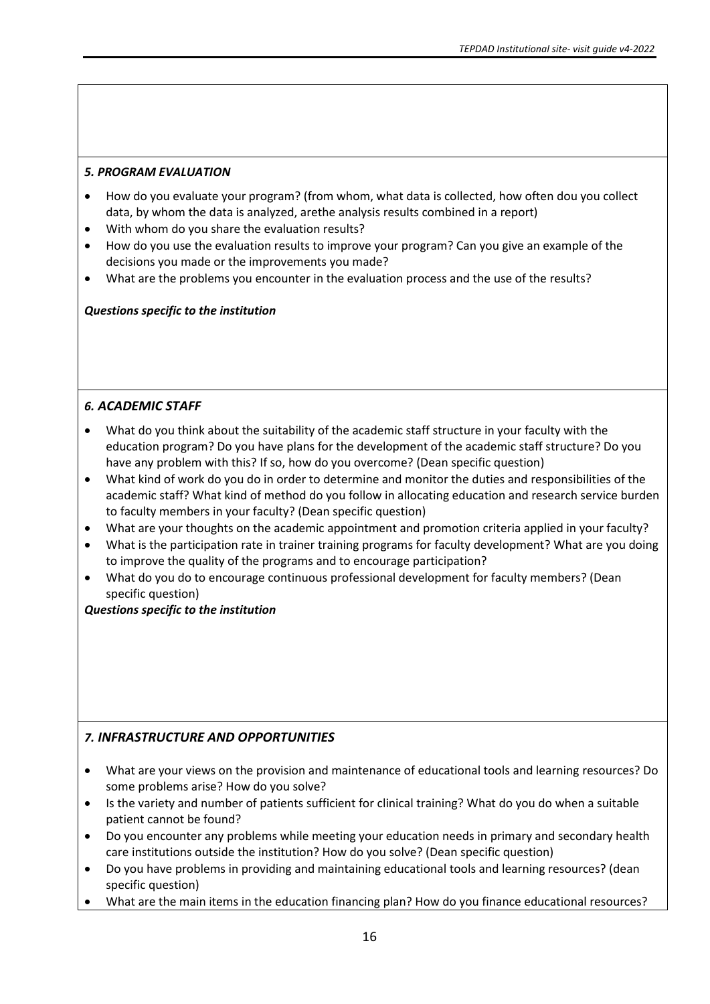### *5. PROGRAM EVALUATION*

- How do you evaluate your program? (from whom, what data is collected, how often dou you collect data, by whom the data is analyzed, arethe analysis results combined in a report)
- With whom do you share the evaluation results?
- How do you use the evaluation results to improve your program? Can you give an example of the decisions you made or the improvements you made?
- What are the problems you encounter in the evaluation process and the use of the results?

### *Questions specific to the institution*

# *6. ACADEMIC STAFF*

- What do you think about the suitability of the academic staff structure in your faculty with the education program? Do you have plans for the development of the academic staff structure? Do you have any problem with this? If so, how do you overcome? (Dean specific question)
- What kind of work do you do in order to determine and monitor the duties and responsibilities of the academic staff? What kind of method do you follow in allocating education and research service burden to faculty members in your faculty? (Dean specific question)
- What are your thoughts on the academic appointment and promotion criteria applied in your faculty?
- What is the participation rate in trainer training programs for faculty development? What are you doing to improve the quality of the programs and to encourage participation?
- What do you do to encourage continuous professional development for faculty members? (Dean specific question)

### *Questions specific to the institution*

# *7. INFRASTRUCTURE AND OPPORTUNITIES*

- What are your views on the provision and maintenance of educational tools and learning resources? Do some problems arise? How do you solve?
- Is the variety and number of patients sufficient for clinical training? What do you do when a suitable patient cannot be found?
- Do you encounter any problems while meeting your education needs in primary and secondary health care institutions outside the institution? How do you solve? (Dean specific question)
- Do you have problems in providing and maintaining educational tools and learning resources? (dean specific question)
- What are the main items in the education financing plan? How do you finance educational resources?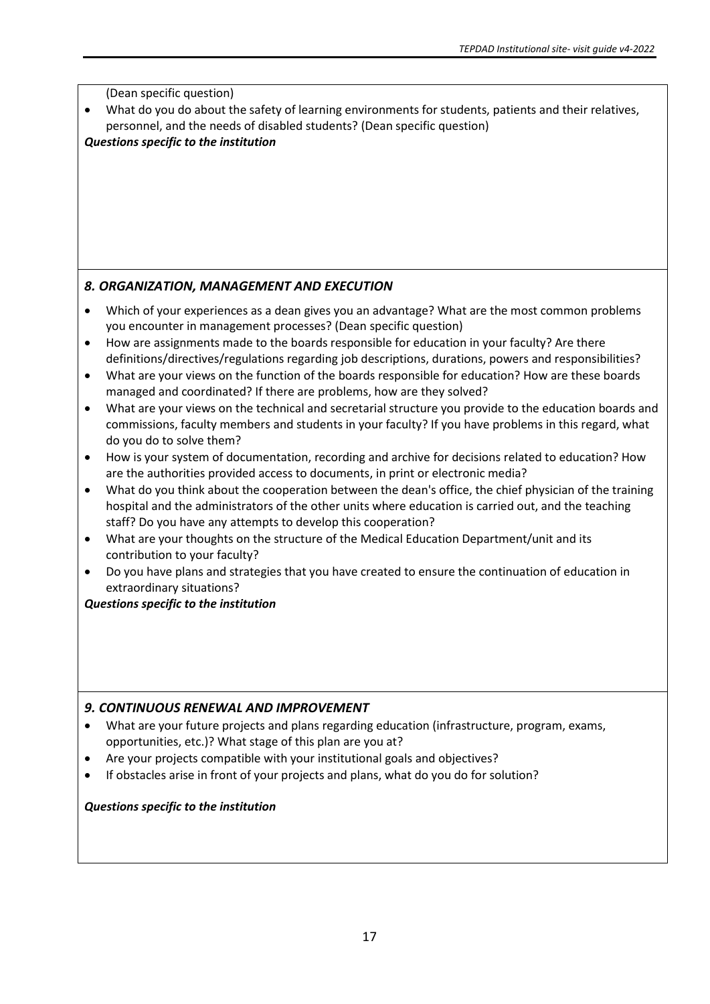(Dean specific question)

What do you do about the safety of learning environments for students, patients and their relatives, personnel, and the needs of disabled students? (Dean specific question)

# *Questions specific to the institution*

# *8. ORGANIZATION, MANAGEMENT AND EXECUTION*

- Which of your experiences as a dean gives you an advantage? What are the most common problems you encounter in management processes? (Dean specific question)
- How are assignments made to the boards responsible for education in your faculty? Are there definitions/directives/regulations regarding job descriptions, durations, powers and responsibilities?
- What are your views on the function of the boards responsible for education? How are these boards managed and coordinated? If there are problems, how are they solved?
- What are your views on the technical and secretarial structure you provide to the education boards and commissions, faculty members and students in your faculty? If you have problems in this regard, what do you do to solve them?
- How is your system of documentation, recording and archive for decisions related to education? How are the authorities provided access to documents, in print or electronic media?
- What do you think about the cooperation between the dean's office, the chief physician of the training hospital and the administrators of the other units where education is carried out, and the teaching staff? Do you have any attempts to develop this cooperation?
- What are your thoughts on the structure of the Medical Education Department/unit and its contribution to your faculty?
- Do you have plans and strategies that you have created to ensure the continuation of education in extraordinary situations?

# *Questions specific to the institution*

# *9. CONTINUOUS RENEWAL AND IMPROVEMENT*

- What are your future projects and plans regarding education (infrastructure, program, exams, opportunities, etc.)? What stage of this plan are you at?
- Are your projects compatible with your institutional goals and objectives?
- If obstacles arise in front of your projects and plans, what do you do for solution?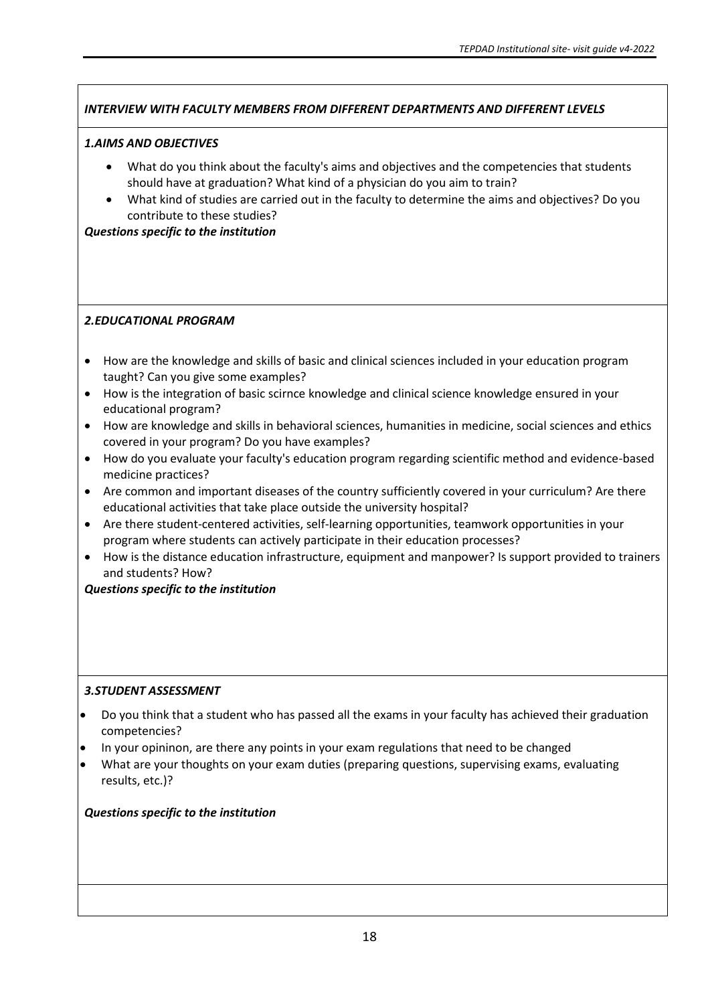# *INTERVIEW WITH FACULTY MEMBERS FROM DIFFERENT DEPARTMENTS AND DIFFERENT LEVELS*

### *1.AIMS AND OBJECTIVES*

- What do you think about the faculty's aims and objectives and the competencies that students should have at graduation? What kind of a physician do you aim to train?
- What kind of studies are carried out in the faculty to determine the aims and objectives? Do you contribute to these studies?

### *Questions specific to the institution*

### *2.EDUCATIONAL PROGRAM*

- How are the knowledge and skills of basic and clinical sciences included in your education program taught? Can you give some examples?
- How is the integration of basic scirnce knowledge and clinical science knowledge ensured in your educational program?
- How are knowledge and skills in behavioral sciences, humanities in medicine, social sciences and ethics covered in your program? Do you have examples?
- How do you evaluate your faculty's education program regarding scientific method and evidence-based medicine practices?
- Are common and important diseases of the country sufficiently covered in your curriculum? Are there educational activities that take place outside the university hospital?
- Are there student-centered activities, self-learning opportunities, teamwork opportunities in your program where students can actively participate in their education processes?
- How is the distance education infrastructure, equipment and manpower? Is support provided to trainers and students? How?

### *Questions specific to the institution*

### *3.STUDENT ASSESSMENT*

- Do you think that a student who has passed all the exams in your faculty has achieved their graduation competencies?
- In your opininon, are there any points in your exam regulations that need to be changed
- What are your thoughts on your exam duties (preparing questions, supervising exams, evaluating results, etc.)?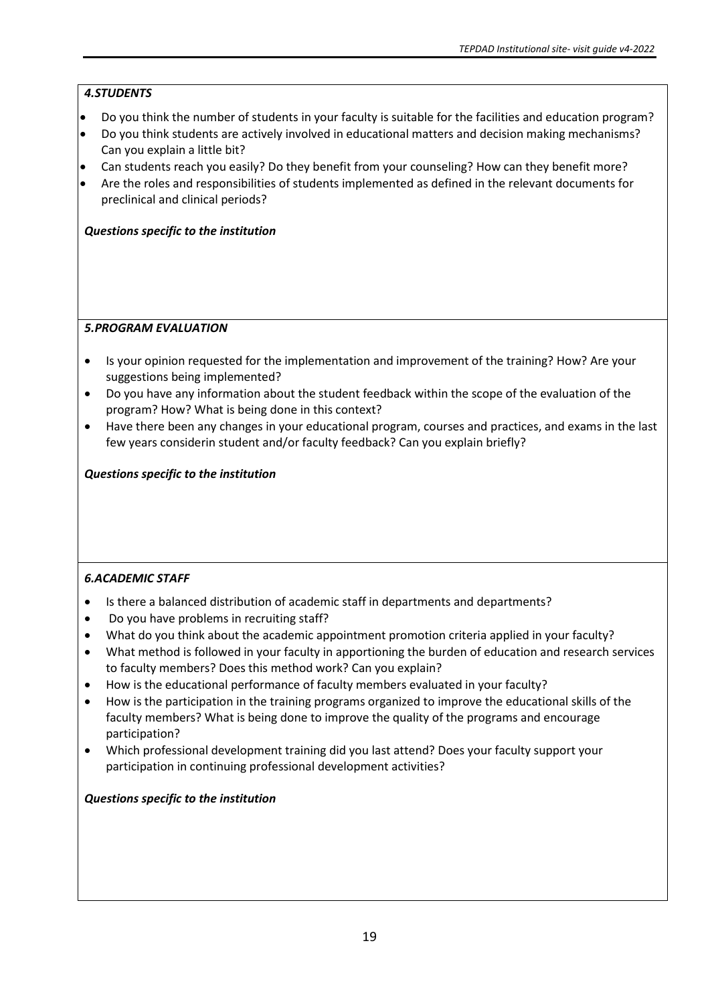# *4.STUDENTS*

- Do you think the number of students in your faculty is suitable for the facilities and education program?
- Do you think students are actively involved in educational matters and decision making mechanisms? Can you explain a little bit?
- Can students reach you easily? Do they benefit from your counseling? How can they benefit more?
- Are the roles and responsibilities of students implemented as defined in the relevant documents for preclinical and clinical periods?

# *Questions specific to the institution*

# *5.PROGRAM EVALUATION*

- Is your opinion requested for the implementation and improvement of the training? How? Are your suggestions being implemented?
- Do you have any information about the student feedback within the scope of the evaluation of the program? How? What is being done in this context?
- Have there been any changes in your educational program, courses and practices, and exams in the last few years considerin student and/or faculty feedback? Can you explain briefly?

# *Questions specific to the institution*

# *6.ACADEMIC STAFF*

- Is there a balanced distribution of academic staff in departments and departments?
- Do you have problems in recruiting staff?
- What do you think about the academic appointment promotion criteria applied in your faculty?
- What method is followed in your faculty in apportioning the burden of education and research services to faculty members? Does this method work? Can you explain?
- How is the educational performance of faculty members evaluated in your faculty?
- How is the participation in the training programs organized to improve the educational skills of the faculty members? What is being done to improve the quality of the programs and encourage participation?
- Which professional development training did you last attend? Does your faculty support your participation in continuing professional development activities?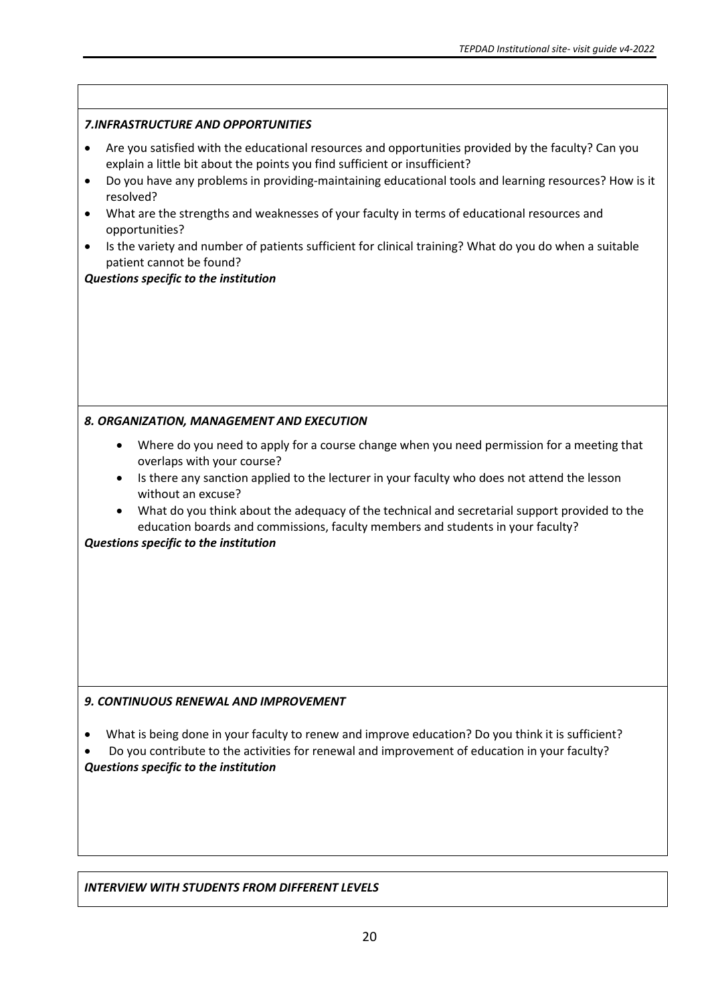| Are you satisfied with the educational resources and opportunities provided by the faculty? Can you<br>explain a little bit about the points you find sufficient or insufficient?                                                                                                                                                                                              |
|--------------------------------------------------------------------------------------------------------------------------------------------------------------------------------------------------------------------------------------------------------------------------------------------------------------------------------------------------------------------------------|
|                                                                                                                                                                                                                                                                                                                                                                                |
| Do you have any problems in providing-maintaining educational tools and learning resources? How is it<br>What are the strengths and weaknesses of your faculty in terms of educational resources and<br>Is the variety and number of patients sufficient for clinical training? What do you do when a suitable                                                                 |
| Where do you need to apply for a course change when you need permission for a meeting that<br>Is there any sanction applied to the lecturer in your faculty who does not attend the lesson<br>What do you think about the adequacy of the technical and secretarial support provided to the<br>education boards and commissions, faculty members and students in your faculty? |
| What is being done in your faculty to renew and improve education? Do you think it is sufficient?<br>Do you contribute to the activities for renewal and improvement of education in your faculty?                                                                                                                                                                             |
|                                                                                                                                                                                                                                                                                                                                                                                |

# *INTERVIEW WITH STUDENTS FROM DIFFERENT LEVELS*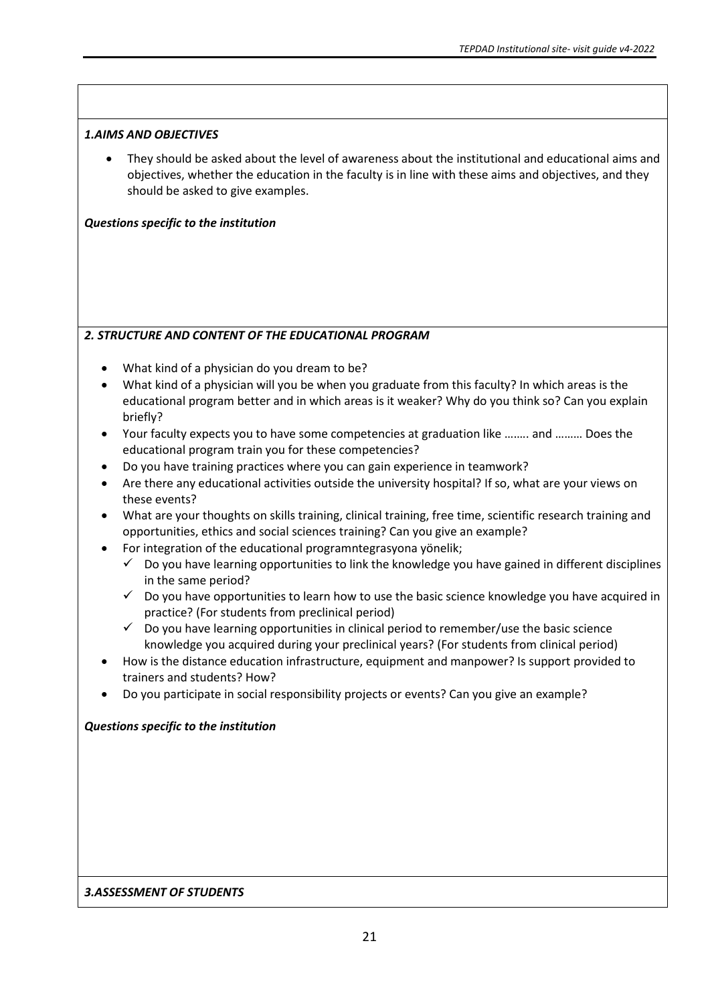### *1.AIMS AND OBJECTIVES*

• They should be asked about the level of awareness about the institutional and educational aims and objectives, whether the education in the faculty is in line with these aims and objectives, and they should be asked to give examples.

# *Questions specific to the institution*

# *2. STRUCTURE AND CONTENT OF THE EDUCATIONAL PROGRAM*

- What kind of a physician do you dream to be?
- What kind of a physician will you be when you graduate from this faculty? In which areas is the educational program better and in which areas is it weaker? Why do you think so? Can you explain briefly?
- Your faculty expects you to have some competencies at graduation like ….…. and ……… Does the educational program train you for these competencies?
- Do you have training practices where you can gain experience in teamwork?
- Are there any educational activities outside the university hospital? If so, what are your views on these events?
- What are your thoughts on skills training, clinical training, free time, scientific research training and opportunities, ethics and social sciences training? Can you give an example?
- For integration of the educational programntegrasyona yönelik;
	- $\checkmark$  Do you have learning opportunities to link the knowledge you have gained in different disciplines in the same period?
	- $\checkmark$  Do you have opportunities to learn how to use the basic science knowledge you have acquired in practice? (For students from preclinical period)
	- $\checkmark$  Do you have learning opportunities in clinical period to remember/use the basic science knowledge you acquired during your preclinical years? (For students from clinical period)
- How is the distance education infrastructure, equipment and manpower? Is support provided to trainers and students? How?
- Do you participate in social responsibility projects or events? Can you give an example?

# *Questions specific to the institution*

### *3.ASSESSMENT OF STUDENTS*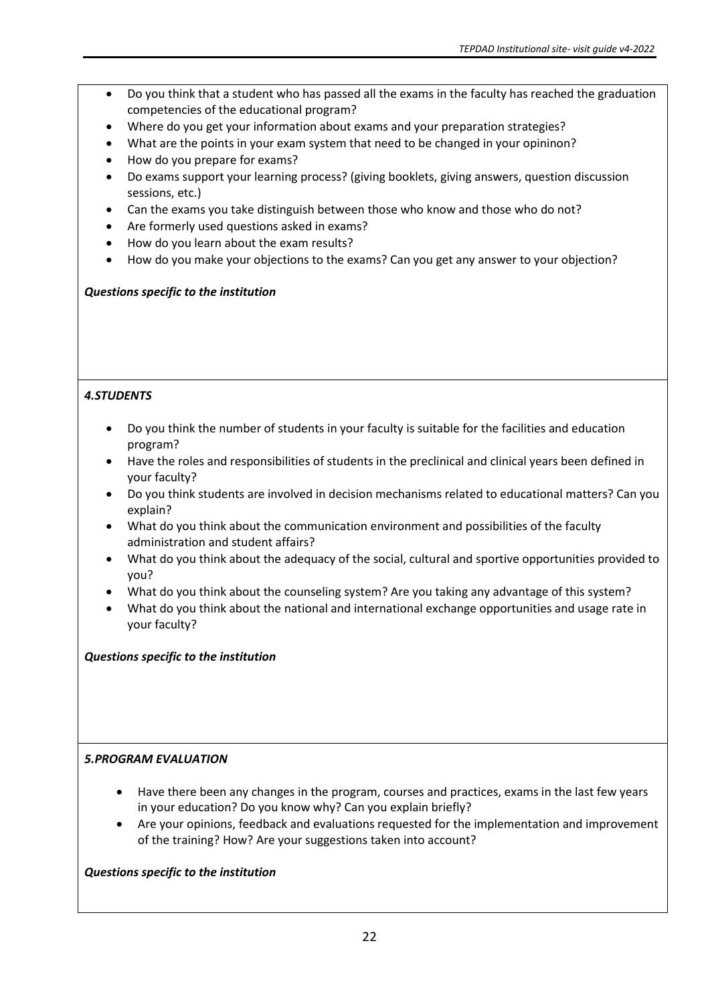- Do you think that a student who has passed all the exams in the faculty has reached the graduation competencies of the educational program?
- Where do you get your information about exams and your preparation strategies?
- What are the points in your exam system that need to be changed in your opininon?
- How do you prepare for exams?
- Do exams support your learning process? (giving booklets, giving answers, question discussion sessions, etc.)
- Can the exams you take distinguish between those who know and those who do not?
- Are formerly used questions asked in exams?
- How do you learn about the exam results?
- How do you make your objections to the exams? Can you get any answer to your objection?

# *Questions specific to the institution*

# *4.STUDENTS*

- Do you think the number of students in your faculty is suitable for the facilities and education program?
- Have the roles and responsibilities of students in the preclinical and clinical years been defined in your faculty?
- Do you think students are involved in decision mechanisms related to educational matters? Can you explain?
- What do you think about the communication environment and possibilities of the faculty administration and student affairs?
- What do you think about the adequacy of the social, cultural and sportive opportunities provided to you?
- What do you think about the counseling system? Are you taking any advantage of this system?
- What do you think about the national and international exchange opportunities and usage rate in your faculty?

# *Questions specific to the institution*

# *5.PROGRAM EVALUATION*

- Have there been any changes in the program, courses and practices, exams in the last few years in your education? Do you know why? Can you explain briefly?
- Are your opinions, feedback and evaluations requested for the implementation and improvement of the training? How? Are your suggestions taken into account?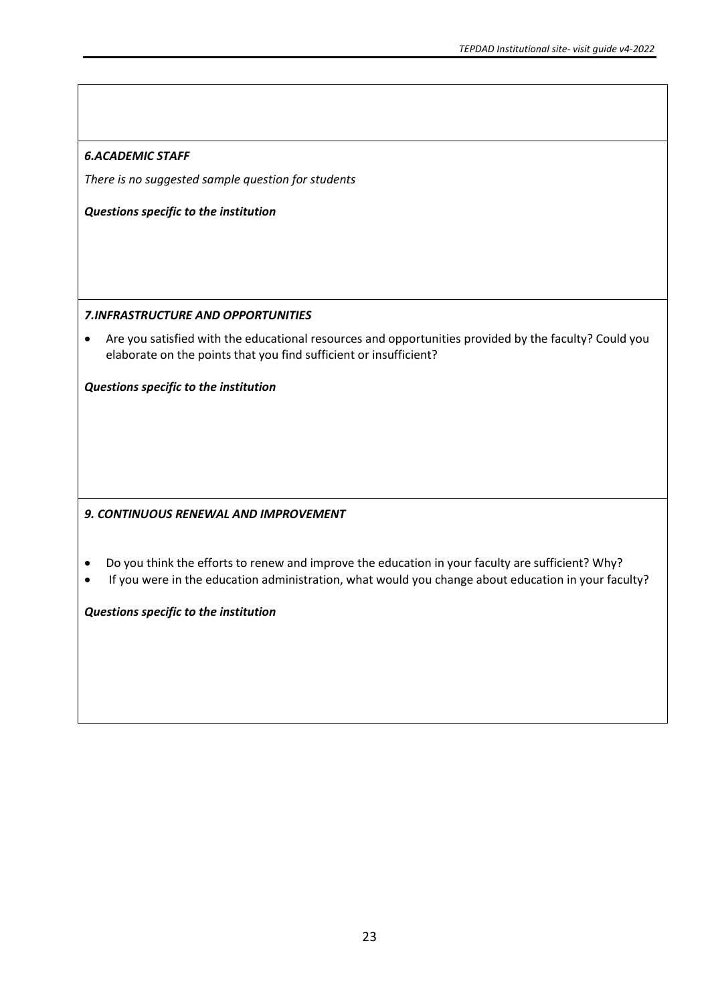# *6.ACADEMIC STAFF*

*There is no suggested sample question for students* 

*Questions specific to the institution* 

### *7.INFRASTRUCTURE AND OPPORTUNITIES*

• Are you satisfied with the educational resources and opportunities provided by the faculty? Could you elaborate on the points that you find sufficient or insufficient?

*Questions specific to the institution* 

# *9. CONTINUOUS RENEWAL AND IMPROVEMENT*

- Do you think the efforts to renew and improve the education in your faculty are sufficient? Why?
- If you were in the education administration, what would you change about education in your faculty?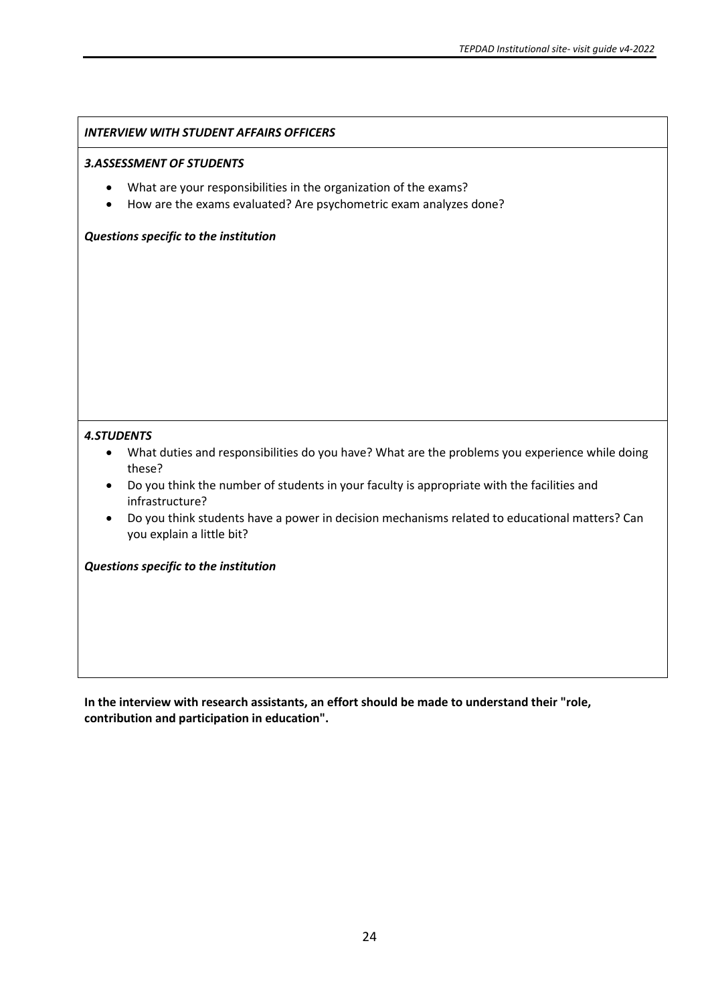#### *INTERVIEW WITH STUDENT AFFAIRS OFFICERS*

#### *3.ASSESSMENT OF STUDENTS*

- What are your responsibilities in the organization of the exams?
- How are the exams evaluated? Are psychometric exam analyzes done?

#### *Questions specific to the institution*

#### *4.STUDENTS*

- What duties and responsibilities do you have? What are the problems you experience while doing these?
- Do you think the number of students in your faculty is appropriate with the facilities and infrastructure?
- Do you think students have a power in decision mechanisms related to educational matters? Can you explain a little bit?

#### *Questions specific to the institution*

**In the interview with research assistants, an effort should be made to understand their "role, contribution and participation in education".**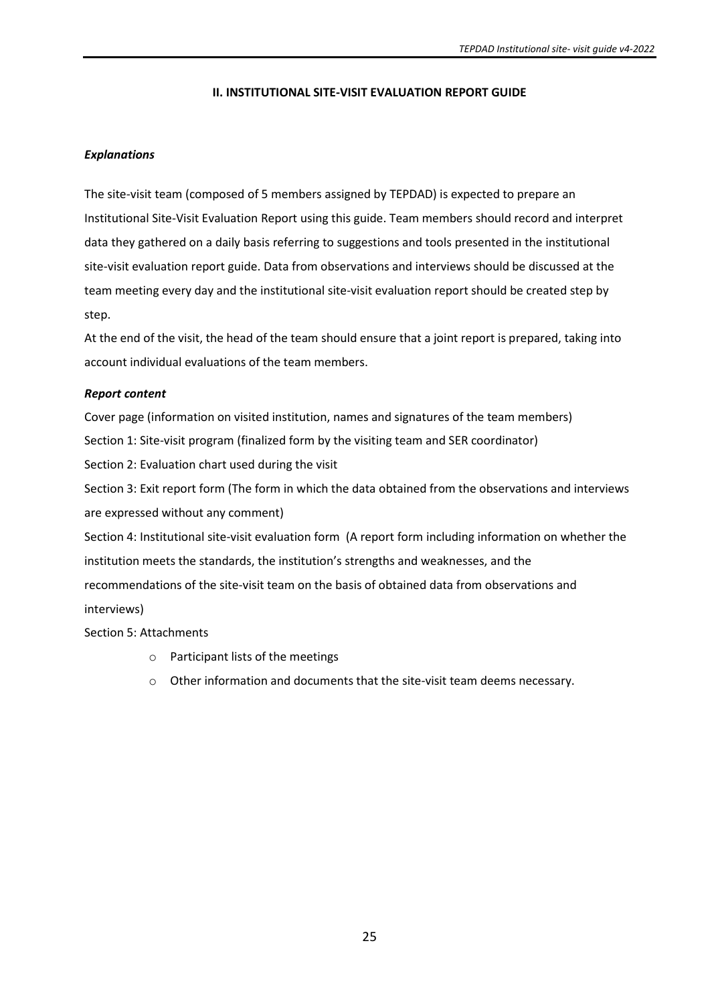### **II. INSTITUTIONAL SITE-VISIT EVALUATION REPORT GUIDE**

### *Explanations*

The site-visit team (composed of 5 members assigned by TEPDAD) is expected to prepare an Institutional Site-Visit Evaluation Report using this guide. Team members should record and interpret data they gathered on a daily basis referring to suggestions and tools presented in the institutional site-visit evaluation report guide. Data from observations and interviews should be discussed at the team meeting every day and the institutional site-visit evaluation report should be created step by step.

At the end of the visit, the head of the team should ensure that a joint report is prepared, taking into account individual evaluations of the team members.

### *Report content*

Cover page (information on visited institution, names and signatures of the team members)

Section 1: Site-visit program (finalized form by the visiting team and SER coordinator)

Section 2: Evaluation chart used during the visit

Section 3: Exit report form (The form in which the data obtained from the observations and interviews are expressed without any comment)

Section 4: Institutional site-visit evaluation form (A report form including information on whether the institution meets the standards, the institution's strengths and weaknesses, and the recommendations of the site-visit team on the basis of obtained data from observations and interviews)

Section 5: Attachments

- o Participant lists of the meetings
- o Other information and documents that the site-visit team deems necessary.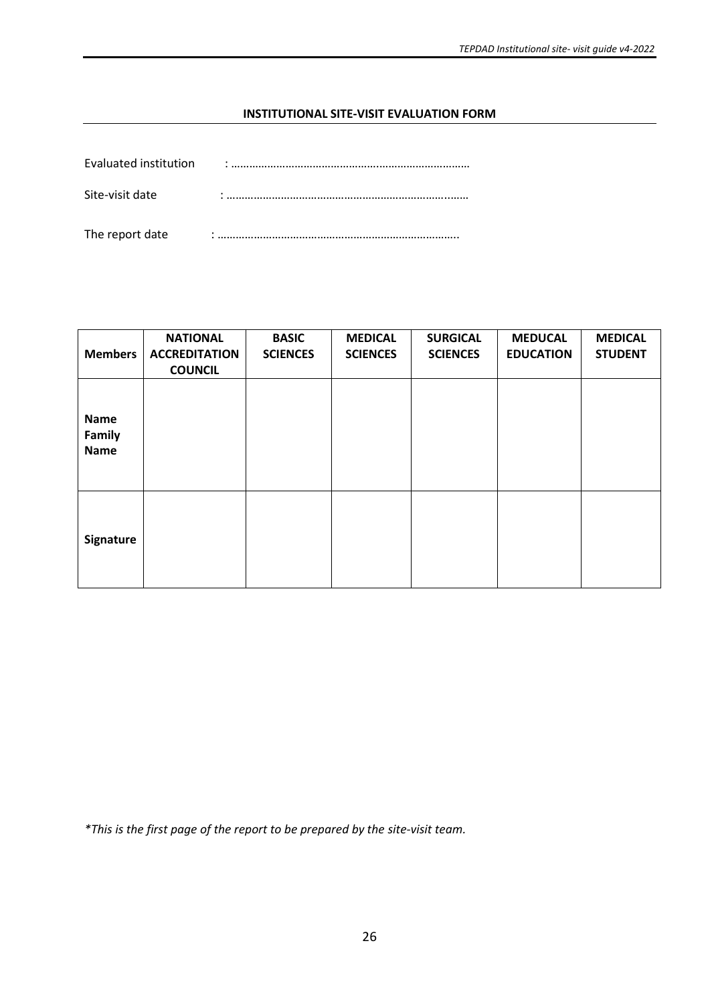### **INSTITUTIONAL SITE-VISIT EVALUATION FORM**

| Evaluated institution | ٠         |
|-----------------------|-----------|
| Site-visit date       |           |
| The report date       | $\bullet$ |

| <b>Members</b>                       | <b>NATIONAL</b><br><b>ACCREDITATION</b><br><b>COUNCIL</b> | <b>BASIC</b><br><b>SCIENCES</b> | <b>MEDICAL</b><br><b>SCIENCES</b> | <b>SURGICAL</b><br><b>SCIENCES</b> | <b>MEDUCAL</b><br><b>EDUCATION</b> | <b>MEDICAL</b><br><b>STUDENT</b> |
|--------------------------------------|-----------------------------------------------------------|---------------------------------|-----------------------------------|------------------------------------|------------------------------------|----------------------------------|
| <b>Name</b><br>Family<br><b>Name</b> |                                                           |                                 |                                   |                                    |                                    |                                  |
| <b>Signature</b>                     |                                                           |                                 |                                   |                                    |                                    |                                  |

*\*This is the first page of the report to be prepared by the site-visit team.*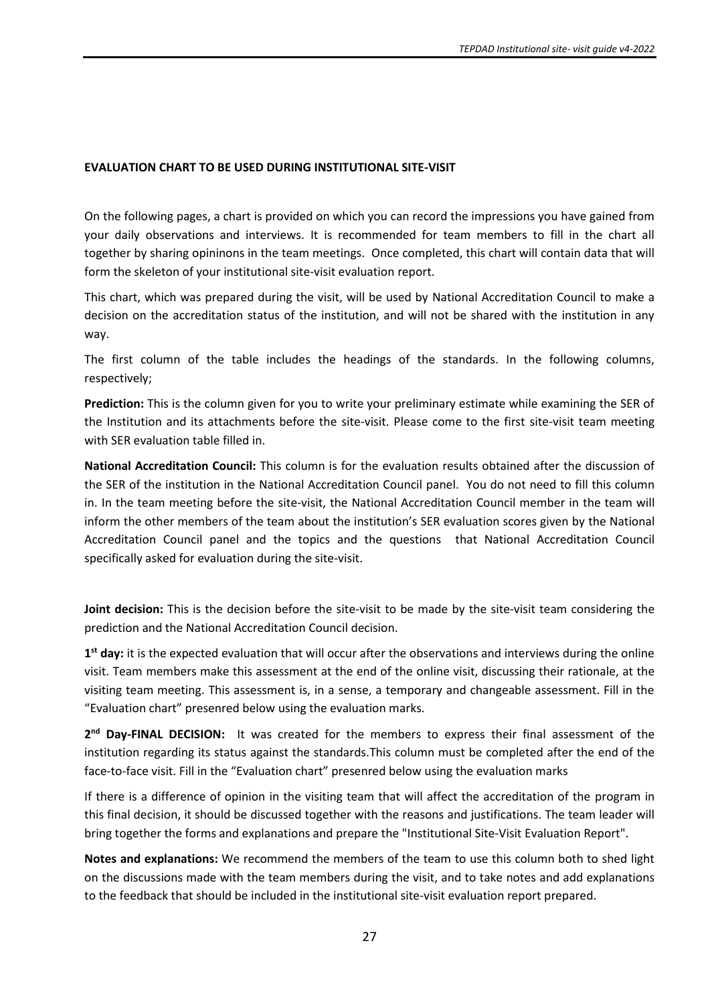### **EVALUATION CHART TO BE USED DURING INSTITUTIONAL SITE-VISIT**

On the following pages, a chart is provided on which you can record the impressions you have gained from your daily observations and interviews. It is recommended for team members to fill in the chart all together by sharing opininons in the team meetings. Once completed, this chart will contain data that will form the skeleton of your institutional site-visit evaluation report.

This chart, which was prepared during the visit, will be used by National Accreditation Council to make a decision on the accreditation status of the institution, and will not be shared with the institution in any way.

The first column of the table includes the headings of the standards. In the following columns, respectively;

**Prediction:** This is the column given for you to write your preliminary estimate while examining the SER of the Institution and its attachments before the site-visit. Please come to the first site-visit team meeting with SER evaluation table filled in.

**National Accreditation Council:** This column is for the evaluation results obtained after the discussion of the SER of the institution in the National Accreditation Council panel. You do not need to fill this column in. In the team meeting before the site-visit, the National Accreditation Council member in the team will inform the other members of the team about the institution's SER evaluation scores given by the National Accreditation Council panel and the topics and the questions that National Accreditation Council specifically asked for evaluation during the site-visit.

**Joint decision:** This is the decision before the site-visit to be made by the site-visit team considering the prediction and the National Accreditation Council decision.

**1 st day:** it is the expected evaluation that will occur after the observations and interviews during the online visit. Team members make this assessment at the end of the online visit, discussing their rationale, at the visiting team meeting. This assessment is, in a sense, a temporary and changeable assessment. Fill in the "Evaluation chart" presenred below using the evaluation marks.

2<sup>nd</sup> Day-FINAL DECISION: It was created for the members to express their final assessment of the institution regarding its status against the standards.This column must be completed after the end of the face-to-face visit. Fill in the "Evaluation chart" presenred below using the evaluation marks

If there is a difference of opinion in the visiting team that will affect the accreditation of the program in this final decision, it should be discussed together with the reasons and justifications. The team leader will bring together the forms and explanations and prepare the "Institutional Site-Visit Evaluation Report".

**Notes and explanations:** We recommend the members of the team to use this column both to shed light on the discussions made with the team members during the visit, and to take notes and add explanations to the feedback that should be included in the institutional site-visit evaluation report prepared.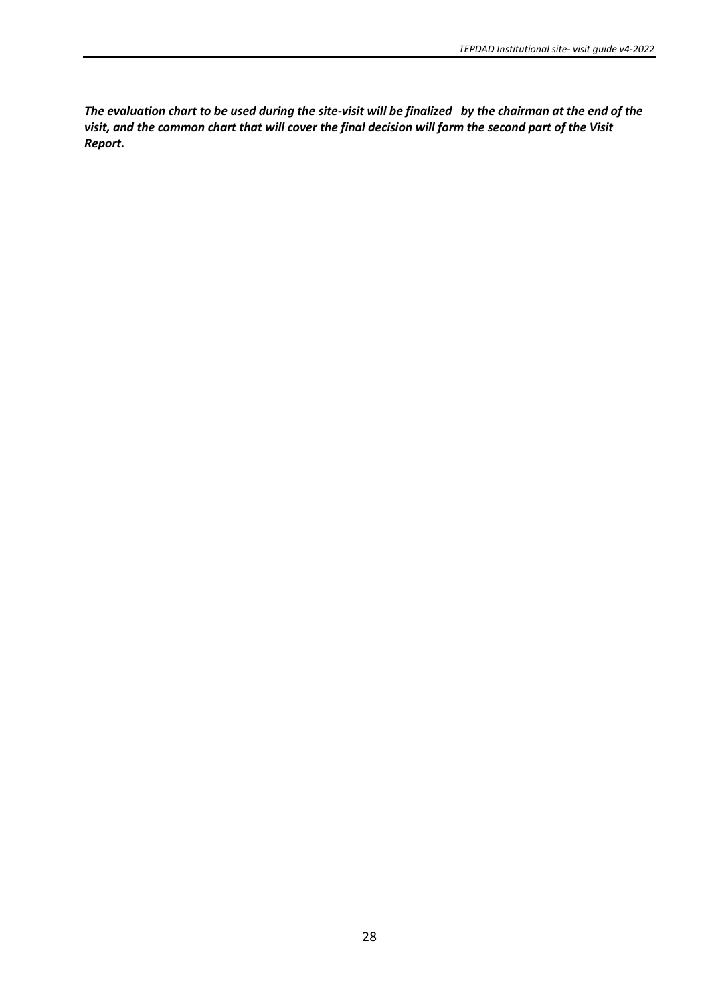*The evaluation chart to be used during the site-visit will be finalized by the chairman at the end of the visit, and the common chart that will cover the final decision will form the second part of the Visit Report.*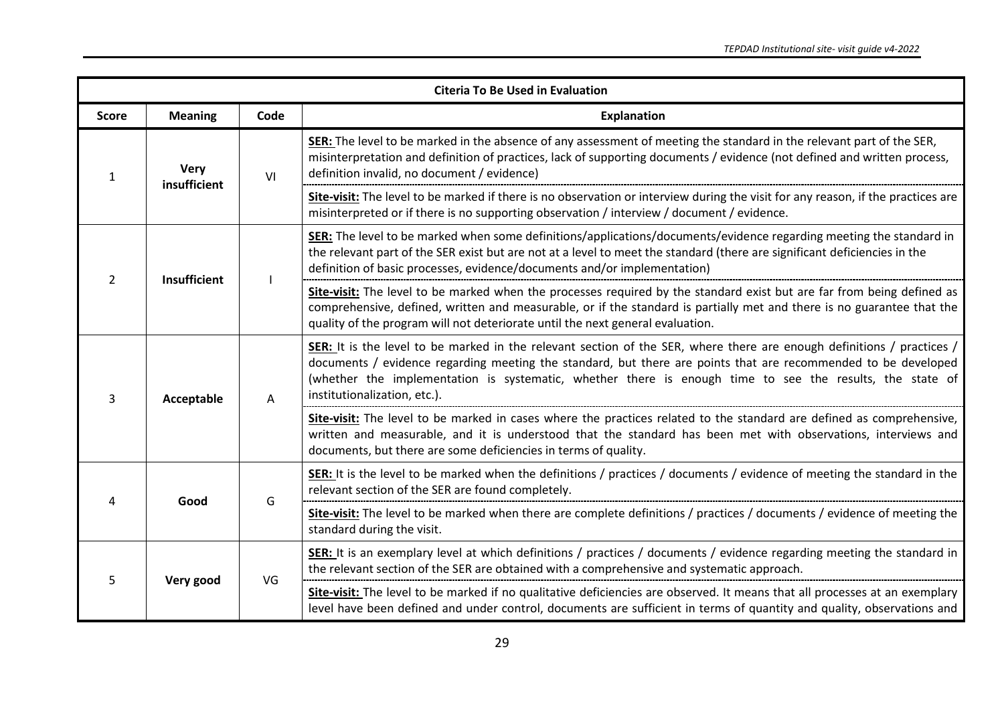|                |                     |      | <b>Citeria To Be Used in Evaluation</b>                                                                                                                                                                                                                                                                                                                                              |  |  |  |  |  |  |  |  |  |  |  |  |  |  |  |  |  |                                                                                                                                                                                                                                                                                                           |
|----------------|---------------------|------|--------------------------------------------------------------------------------------------------------------------------------------------------------------------------------------------------------------------------------------------------------------------------------------------------------------------------------------------------------------------------------------|--|--|--|--|--|--|--|--|--|--|--|--|--|--|--|--|--|-----------------------------------------------------------------------------------------------------------------------------------------------------------------------------------------------------------------------------------------------------------------------------------------------------------|
| <b>Score</b>   | <b>Meaning</b>      | Code | <b>Explanation</b>                                                                                                                                                                                                                                                                                                                                                                   |  |  |  |  |  |  |  |  |  |  |  |  |  |  |  |  |  |                                                                                                                                                                                                                                                                                                           |
| 1              | <b>Very</b>         | VI   | SER: The level to be marked in the absence of any assessment of meeting the standard in the relevant part of the SER,<br>misinterpretation and definition of practices, lack of supporting documents / evidence (not defined and written process,<br>definition invalid, no document / evidence)                                                                                     |  |  |  |  |  |  |  |  |  |  |  |  |  |  |  |  |  |                                                                                                                                                                                                                                                                                                           |
|                | insufficient        |      | Site-visit: The level to be marked if there is no observation or interview during the visit for any reason, if the practices are<br>misinterpreted or if there is no supporting observation / interview / document / evidence.                                                                                                                                                       |  |  |  |  |  |  |  |  |  |  |  |  |  |  |  |  |  |                                                                                                                                                                                                                                                                                                           |
| $\overline{2}$ | <b>Insufficient</b> |      | SER: The level to be marked when some definitions/applications/documents/evidence regarding meeting the standard in<br>the relevant part of the SER exist but are not at a level to meet the standard (there are significant deficiencies in the<br>definition of basic processes, evidence/documents and/or implementation)                                                         |  |  |  |  |  |  |  |  |  |  |  |  |  |  |  |  |  |                                                                                                                                                                                                                                                                                                           |
|                |                     |      | Site-visit: The level to be marked when the processes required by the standard exist but are far from being defined as<br>comprehensive, defined, written and measurable, or if the standard is partially met and there is no guarantee that the<br>quality of the program will not deteriorate until the next general evaluation.                                                   |  |  |  |  |  |  |  |  |  |  |  |  |  |  |  |  |  |                                                                                                                                                                                                                                                                                                           |
| 3              | Acceptable          | A    | SER: It is the level to be marked in the relevant section of the SER, where there are enough definitions / practices /<br>documents / evidence regarding meeting the standard, but there are points that are recommended to be developed<br>(whether the implementation is systematic, whether there is enough time to see the results, the state of<br>institutionalization, etc.). |  |  |  |  |  |  |  |  |  |  |  |  |  |  |  |  |  |                                                                                                                                                                                                                                                                                                           |
|                |                     |      |                                                                                                                                                                                                                                                                                                                                                                                      |  |  |  |  |  |  |  |  |  |  |  |  |  |  |  |  |  | Site-visit: The level to be marked in cases where the practices related to the standard are defined as comprehensive,<br>written and measurable, and it is understood that the standard has been met with observations, interviews and<br>documents, but there are some deficiencies in terms of quality. |
| 4              | Good                | G    | SER: It is the level to be marked when the definitions / practices / documents / evidence of meeting the standard in the<br>relevant section of the SER are found completely.                                                                                                                                                                                                        |  |  |  |  |  |  |  |  |  |  |  |  |  |  |  |  |  |                                                                                                                                                                                                                                                                                                           |
|                |                     |      | Site-visit: The level to be marked when there are complete definitions / practices / documents / evidence of meeting the<br>standard during the visit.                                                                                                                                                                                                                               |  |  |  |  |  |  |  |  |  |  |  |  |  |  |  |  |  |                                                                                                                                                                                                                                                                                                           |
| 5              | Very good           | VG   | SER: It is an exemplary level at which definitions / practices / documents / evidence regarding meeting the standard in<br>the relevant section of the SER are obtained with a comprehensive and systematic approach.                                                                                                                                                                |  |  |  |  |  |  |  |  |  |  |  |  |  |  |  |  |  |                                                                                                                                                                                                                                                                                                           |
|                |                     |      | Site-visit: The level to be marked if no qualitative deficiencies are observed. It means that all processes at an exemplary<br>level have been defined and under control, documents are sufficient in terms of quantity and quality, observations and                                                                                                                                |  |  |  |  |  |  |  |  |  |  |  |  |  |  |  |  |  |                                                                                                                                                                                                                                                                                                           |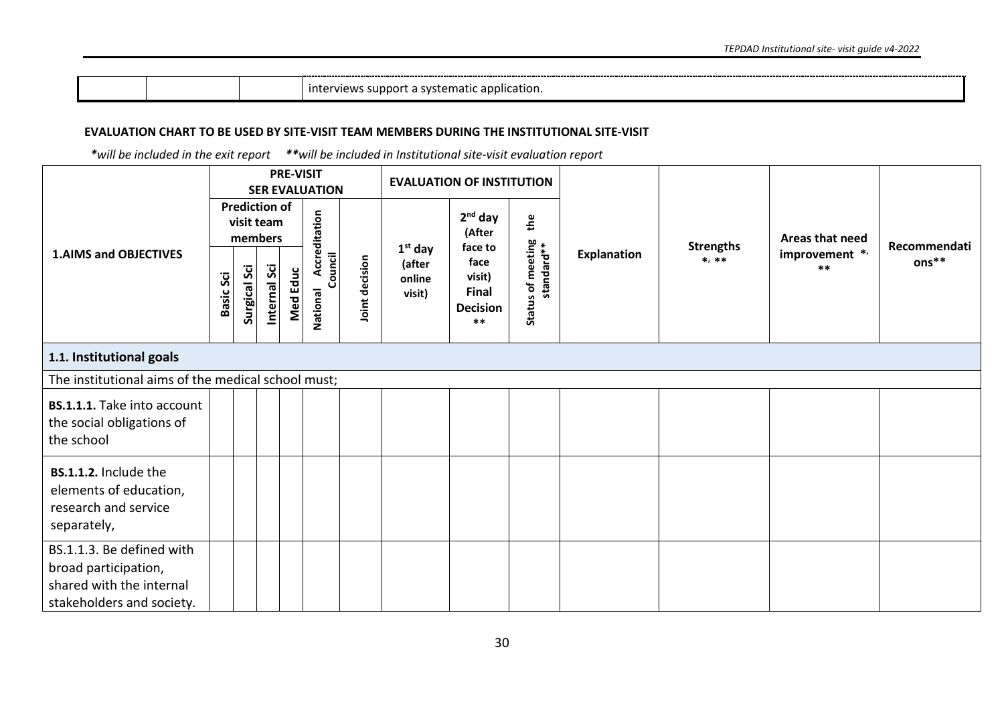| application. •<br><b>Interviews</b><br>Tidlic |  |  |
|-----------------------------------------------|--|--|
|-----------------------------------------------|--|--|

#### **EVALUATION CHART TO BE USED BY SITE-VISIT TEAM MEMBERS DURING THE INSTITUTIONAL SITE-VISIT**

 *\*will be included in the exit report \*\*will be included in Institutional site-visit evaluation report*

|                                                                                                            |           |                                                                      |             | <b>PRE-VISIT</b> | <b>SER EVALUATION</b>                |                |                                         | <b>EVALUATION OF INSTITUTION</b>                                                             |                                             |             | <b>Strengths</b><br>$*, **$ | Areas that need<br>improvement */<br>$***$ |                       |
|------------------------------------------------------------------------------------------------------------|-----------|----------------------------------------------------------------------|-------------|------------------|--------------------------------------|----------------|-----------------------------------------|----------------------------------------------------------------------------------------------|---------------------------------------------|-------------|-----------------------------|--------------------------------------------|-----------------------|
| <b>1.AIMS and OBJECTIVES</b>                                                                               | Basic Sci | <b>Prediction of</b><br>visit team<br>members<br><b>Surgical Sci</b> | nternal Sci | Educ<br>Med      | Accreditation<br>Council<br>National | Joint decision | $1st$ day<br>(after<br>online<br>visit) | $2nd$ day<br>(After<br>face to<br>face<br>visit)<br><b>Final</b><br><b>Decision</b><br>$***$ | the<br>s of meeting<br>standard**<br>Status | Explanation |                             |                                            | Recommendati<br>ons** |
| 1.1. Institutional goals                                                                                   |           |                                                                      |             |                  |                                      |                |                                         |                                                                                              |                                             |             |                             |                                            |                       |
| The institutional aims of the medical school must;                                                         |           |                                                                      |             |                  |                                      |                |                                         |                                                                                              |                                             |             |                             |                                            |                       |
| BS.1.1.1. Take into account<br>the social obligations of<br>the school                                     |           |                                                                      |             |                  |                                      |                |                                         |                                                                                              |                                             |             |                             |                                            |                       |
| BS.1.1.2. Include the<br>elements of education,<br>research and service<br>separately,                     |           |                                                                      |             |                  |                                      |                |                                         |                                                                                              |                                             |             |                             |                                            |                       |
| BS.1.1.3. Be defined with<br>broad participation,<br>shared with the internal<br>stakeholders and society. |           |                                                                      |             |                  |                                      |                |                                         |                                                                                              |                                             |             |                             |                                            |                       |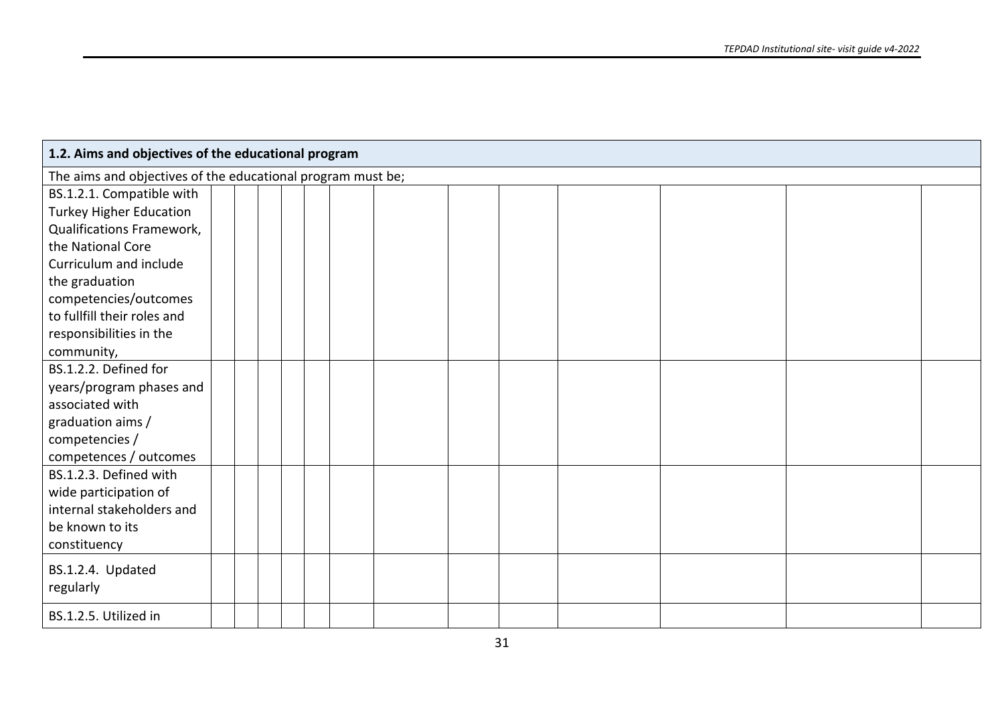| 1.2. Aims and objectives of the educational program         |  |  |  |  |  |  |  |  |  |  |  |  |  |
|-------------------------------------------------------------|--|--|--|--|--|--|--|--|--|--|--|--|--|
| The aims and objectives of the educational program must be; |  |  |  |  |  |  |  |  |  |  |  |  |  |
| BS.1.2.1. Compatible with                                   |  |  |  |  |  |  |  |  |  |  |  |  |  |
| <b>Turkey Higher Education</b>                              |  |  |  |  |  |  |  |  |  |  |  |  |  |
| Qualifications Framework,                                   |  |  |  |  |  |  |  |  |  |  |  |  |  |
| the National Core                                           |  |  |  |  |  |  |  |  |  |  |  |  |  |
| Curriculum and include                                      |  |  |  |  |  |  |  |  |  |  |  |  |  |
| the graduation                                              |  |  |  |  |  |  |  |  |  |  |  |  |  |
| competencies/outcomes                                       |  |  |  |  |  |  |  |  |  |  |  |  |  |
| to fullfill their roles and                                 |  |  |  |  |  |  |  |  |  |  |  |  |  |
| responsibilities in the                                     |  |  |  |  |  |  |  |  |  |  |  |  |  |
| community,                                                  |  |  |  |  |  |  |  |  |  |  |  |  |  |
| BS.1.2.2. Defined for                                       |  |  |  |  |  |  |  |  |  |  |  |  |  |
| years/program phases and                                    |  |  |  |  |  |  |  |  |  |  |  |  |  |
| associated with                                             |  |  |  |  |  |  |  |  |  |  |  |  |  |
| graduation aims /                                           |  |  |  |  |  |  |  |  |  |  |  |  |  |
| competencies /                                              |  |  |  |  |  |  |  |  |  |  |  |  |  |
| competences / outcomes                                      |  |  |  |  |  |  |  |  |  |  |  |  |  |
| BS.1.2.3. Defined with                                      |  |  |  |  |  |  |  |  |  |  |  |  |  |
| wide participation of                                       |  |  |  |  |  |  |  |  |  |  |  |  |  |
| internal stakeholders and                                   |  |  |  |  |  |  |  |  |  |  |  |  |  |
| be known to its                                             |  |  |  |  |  |  |  |  |  |  |  |  |  |
| constituency                                                |  |  |  |  |  |  |  |  |  |  |  |  |  |
| BS.1.2.4. Updated                                           |  |  |  |  |  |  |  |  |  |  |  |  |  |
| regularly                                                   |  |  |  |  |  |  |  |  |  |  |  |  |  |
|                                                             |  |  |  |  |  |  |  |  |  |  |  |  |  |
| BS.1.2.5. Utilized in                                       |  |  |  |  |  |  |  |  |  |  |  |  |  |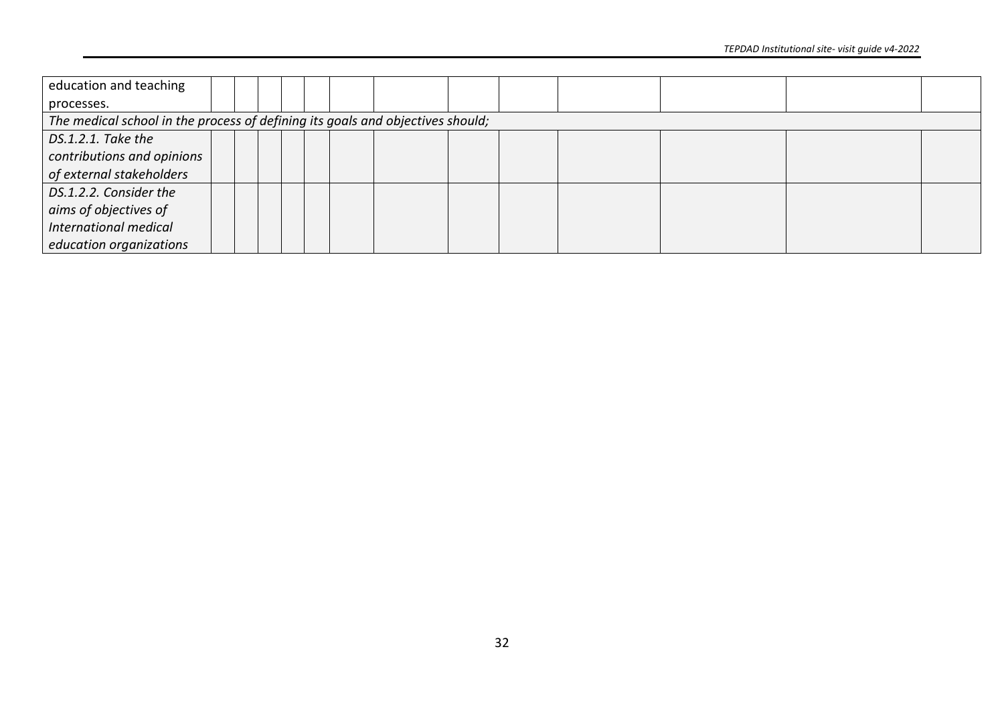| education and teaching                                                         |  |  |  |  |  |  |  |  |  |  |  |  |  |
|--------------------------------------------------------------------------------|--|--|--|--|--|--|--|--|--|--|--|--|--|
| processes.                                                                     |  |  |  |  |  |  |  |  |  |  |  |  |  |
| The medical school in the process of defining its goals and objectives should; |  |  |  |  |  |  |  |  |  |  |  |  |  |
| DS.1.2.1. Take the                                                             |  |  |  |  |  |  |  |  |  |  |  |  |  |
| contributions and opinions                                                     |  |  |  |  |  |  |  |  |  |  |  |  |  |
| of external stakeholders                                                       |  |  |  |  |  |  |  |  |  |  |  |  |  |
| DS.1.2.2. Consider the                                                         |  |  |  |  |  |  |  |  |  |  |  |  |  |
| aims of objectives of                                                          |  |  |  |  |  |  |  |  |  |  |  |  |  |
| International medical                                                          |  |  |  |  |  |  |  |  |  |  |  |  |  |
| education organizations                                                        |  |  |  |  |  |  |  |  |  |  |  |  |  |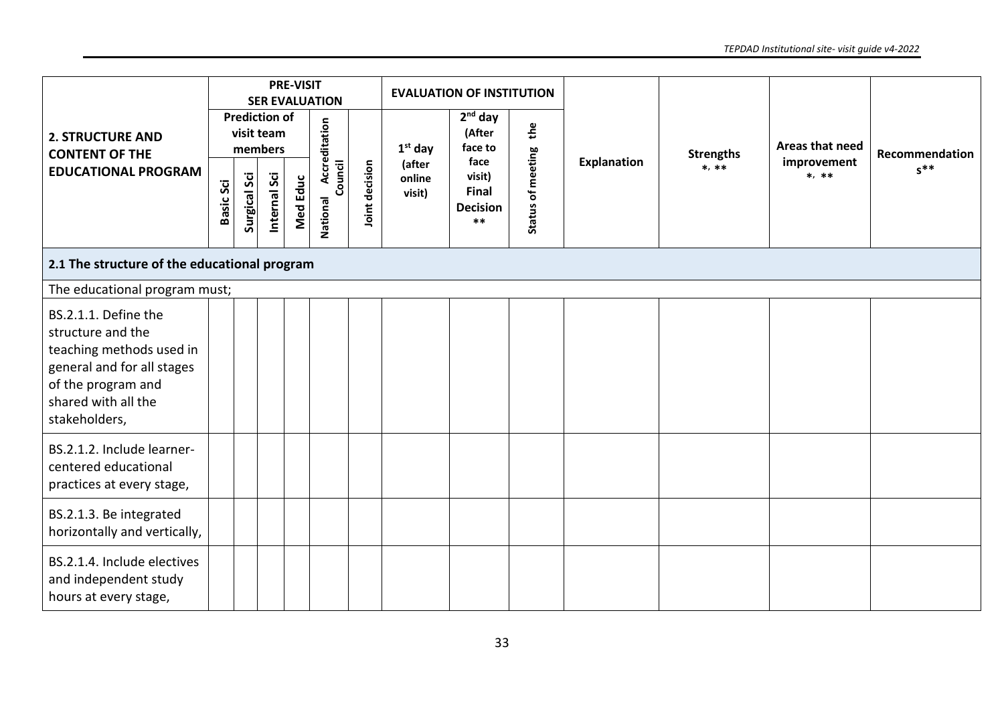|                                                                                                                                                                   |                  |                     |                                                               | <b>PRE-VISIT</b> | <b>SER EVALUATION</b>                       |                |                                         | <b>EVALUATION OF INSTITUTION</b>                                                      |                          |                    |                             |                                           |                            |  |
|-------------------------------------------------------------------------------------------------------------------------------------------------------------------|------------------|---------------------|---------------------------------------------------------------|------------------|---------------------------------------------|----------------|-----------------------------------------|---------------------------------------------------------------------------------------|--------------------------|--------------------|-----------------------------|-------------------------------------------|----------------------------|--|
| <b>2. STRUCTURE AND</b><br><b>CONTENT OF THE</b><br><b>EDUCATIONAL PROGRAM</b>                                                                                    | <b>Basic Sci</b> | <b>Surgical Sci</b> | <b>Prediction of</b><br>visit team<br>members<br>Internal Sci | <b>Med Educ</b>  | Accreditation<br>Council<br><b>National</b> | Joint decision | $1st$ day<br>(after<br>online<br>visit) | $2nd$ day<br>(After<br>face to<br>face<br>visit)<br>Final<br><b>Decision</b><br>$***$ | the<br>Status of meeting | <b>Explanation</b> | <b>Strengths</b><br>$*, **$ | Areas that need<br>improvement<br>$*, **$ | Recommendation<br>$s^{**}$ |  |
| 2.1 The structure of the educational program                                                                                                                      |                  |                     |                                                               |                  |                                             |                |                                         |                                                                                       |                          |                    |                             |                                           |                            |  |
| The educational program must;                                                                                                                                     |                  |                     |                                                               |                  |                                             |                |                                         |                                                                                       |                          |                    |                             |                                           |                            |  |
| BS.2.1.1. Define the<br>structure and the<br>teaching methods used in<br>general and for all stages<br>of the program and<br>shared with all the<br>stakeholders, |                  |                     |                                                               |                  |                                             |                |                                         |                                                                                       |                          |                    |                             |                                           |                            |  |
| BS.2.1.2. Include learner-<br>centered educational<br>practices at every stage,                                                                                   |                  |                     |                                                               |                  |                                             |                |                                         |                                                                                       |                          |                    |                             |                                           |                            |  |
| BS.2.1.3. Be integrated<br>horizontally and vertically,                                                                                                           |                  |                     |                                                               |                  |                                             |                |                                         |                                                                                       |                          |                    |                             |                                           |                            |  |
| BS.2.1.4. Include electives<br>and independent study<br>hours at every stage,                                                                                     |                  |                     |                                                               |                  |                                             |                |                                         |                                                                                       |                          |                    |                             |                                           |                            |  |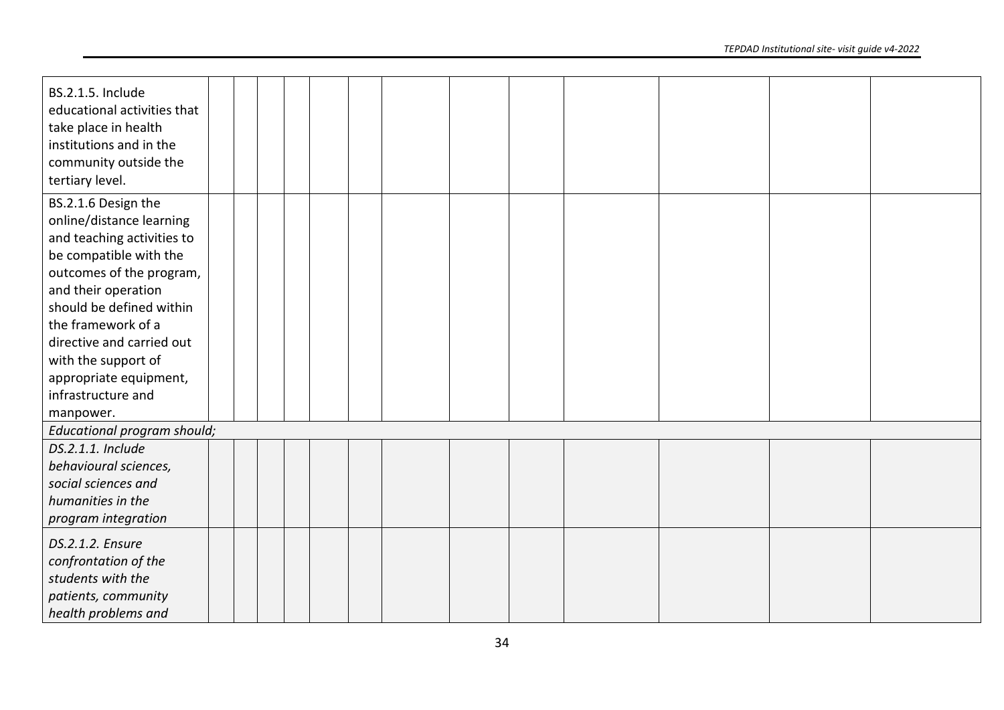| <b>BS.2.1.5. Include</b><br>educational activities that<br>take place in health |  |  |  |  |  |  |  |
|---------------------------------------------------------------------------------|--|--|--|--|--|--|--|
| institutions and in the                                                         |  |  |  |  |  |  |  |
| community outside the                                                           |  |  |  |  |  |  |  |
| tertiary level.                                                                 |  |  |  |  |  |  |  |
| BS.2.1.6 Design the                                                             |  |  |  |  |  |  |  |
| online/distance learning                                                        |  |  |  |  |  |  |  |
| and teaching activities to                                                      |  |  |  |  |  |  |  |
| be compatible with the                                                          |  |  |  |  |  |  |  |
| outcomes of the program,                                                        |  |  |  |  |  |  |  |
| and their operation                                                             |  |  |  |  |  |  |  |
| should be defined within                                                        |  |  |  |  |  |  |  |
| the framework of a                                                              |  |  |  |  |  |  |  |
| directive and carried out                                                       |  |  |  |  |  |  |  |
| with the support of                                                             |  |  |  |  |  |  |  |
| appropriate equipment,                                                          |  |  |  |  |  |  |  |
| infrastructure and                                                              |  |  |  |  |  |  |  |
| manpower.                                                                       |  |  |  |  |  |  |  |
| Educational program should;                                                     |  |  |  |  |  |  |  |
| DS.2.1.1. Include                                                               |  |  |  |  |  |  |  |
| behavioural sciences,                                                           |  |  |  |  |  |  |  |
| social sciences and                                                             |  |  |  |  |  |  |  |
| humanities in the                                                               |  |  |  |  |  |  |  |
| program integration                                                             |  |  |  |  |  |  |  |
| DS.2.1.2. Ensure                                                                |  |  |  |  |  |  |  |
| confrontation of the                                                            |  |  |  |  |  |  |  |
| students with the                                                               |  |  |  |  |  |  |  |
| patients, community                                                             |  |  |  |  |  |  |  |
| health problems and                                                             |  |  |  |  |  |  |  |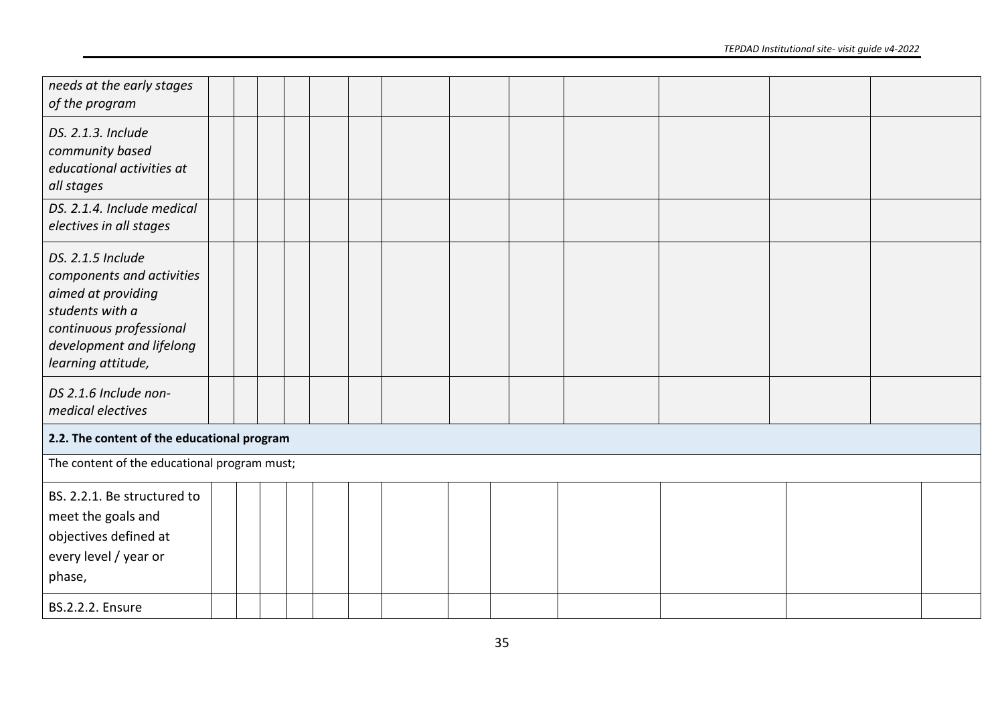| needs at the early stages<br>of the program                                                                                                                          |  |  |  |  |  |  |  |
|----------------------------------------------------------------------------------------------------------------------------------------------------------------------|--|--|--|--|--|--|--|
| DS. 2.1.3. Include<br>community based<br>educational activities at<br>all stages                                                                                     |  |  |  |  |  |  |  |
| DS. 2.1.4. Include medical<br>electives in all stages                                                                                                                |  |  |  |  |  |  |  |
| DS. 2.1.5 Include<br>components and activities<br>aimed at providing<br>students with a<br>continuous professional<br>development and lifelong<br>learning attitude, |  |  |  |  |  |  |  |
| DS 2.1.6 Include non-<br>medical electives                                                                                                                           |  |  |  |  |  |  |  |
| 2.2. The content of the educational program                                                                                                                          |  |  |  |  |  |  |  |
| The content of the educational program must;                                                                                                                         |  |  |  |  |  |  |  |
| BS. 2.2.1. Be structured to<br>meet the goals and<br>objectives defined at<br>every level / year or<br>phase,                                                        |  |  |  |  |  |  |  |
| <b>BS.2.2.2. Ensure</b>                                                                                                                                              |  |  |  |  |  |  |  |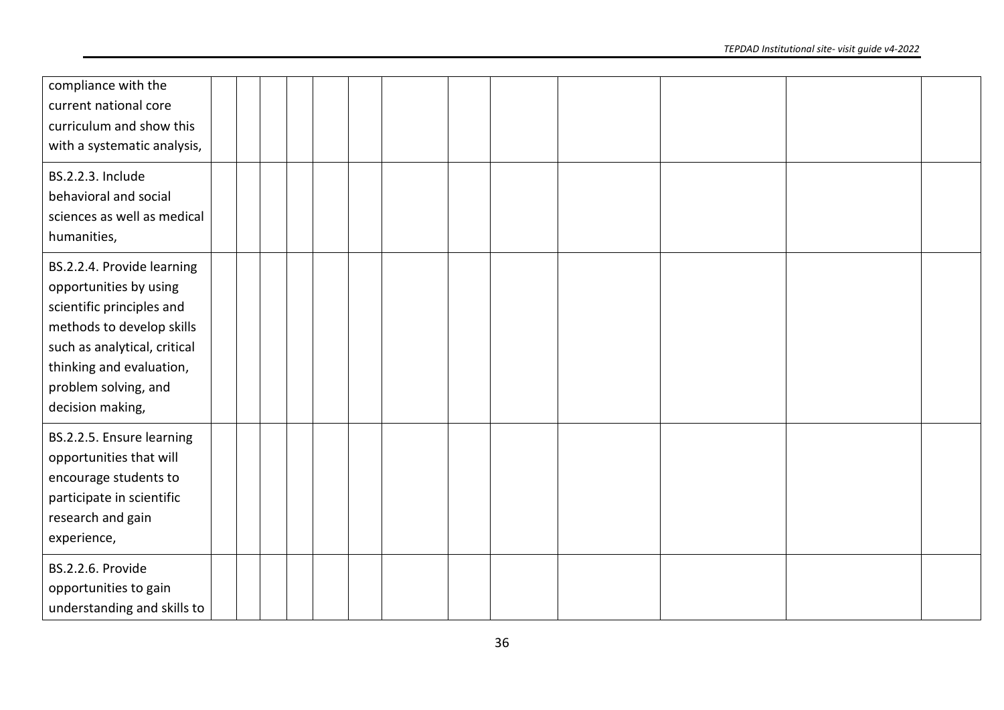| compliance with the<br>current national core<br>curriculum and show this<br>with a systematic analysis,                                                                                                                |  |  |  |  |  |  |
|------------------------------------------------------------------------------------------------------------------------------------------------------------------------------------------------------------------------|--|--|--|--|--|--|
| <b>BS.2.2.3. Include</b><br>behavioral and social<br>sciences as well as medical<br>humanities,                                                                                                                        |  |  |  |  |  |  |
| BS.2.2.4. Provide learning<br>opportunities by using<br>scientific principles and<br>methods to develop skills<br>such as analytical, critical<br>thinking and evaluation,<br>problem solving, and<br>decision making, |  |  |  |  |  |  |
| BS.2.2.5. Ensure learning<br>opportunities that will<br>encourage students to<br>participate in scientific<br>research and gain<br>experience,                                                                         |  |  |  |  |  |  |
| <b>BS.2.2.6. Provide</b><br>opportunities to gain<br>understanding and skills to                                                                                                                                       |  |  |  |  |  |  |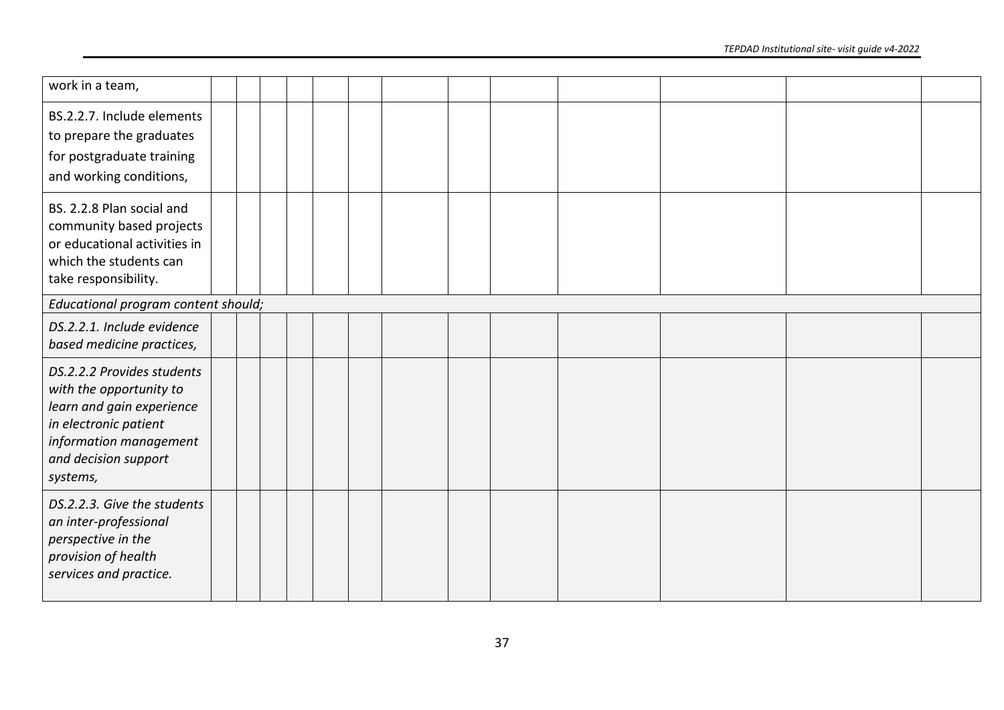| work in a team,                                                                                                                                                           |  |  |  |  |  |  |
|---------------------------------------------------------------------------------------------------------------------------------------------------------------------------|--|--|--|--|--|--|
| BS.2.2.7. Include elements<br>to prepare the graduates<br>for postgraduate training<br>and working conditions,                                                            |  |  |  |  |  |  |
| BS. 2.2.8 Plan social and<br>community based projects<br>or educational activities in<br>which the students can<br>take responsibility.                                   |  |  |  |  |  |  |
| Educational program content should;                                                                                                                                       |  |  |  |  |  |  |
| DS.2.2.1. Include evidence<br>based medicine practices,                                                                                                                   |  |  |  |  |  |  |
| DS.2.2.2 Provides students<br>with the opportunity to<br>learn and gain experience<br>in electronic patient<br>information management<br>and decision support<br>systems, |  |  |  |  |  |  |
| DS.2.2.3. Give the students<br>an inter-professional<br>perspective in the<br>provision of health<br>services and practice.                                               |  |  |  |  |  |  |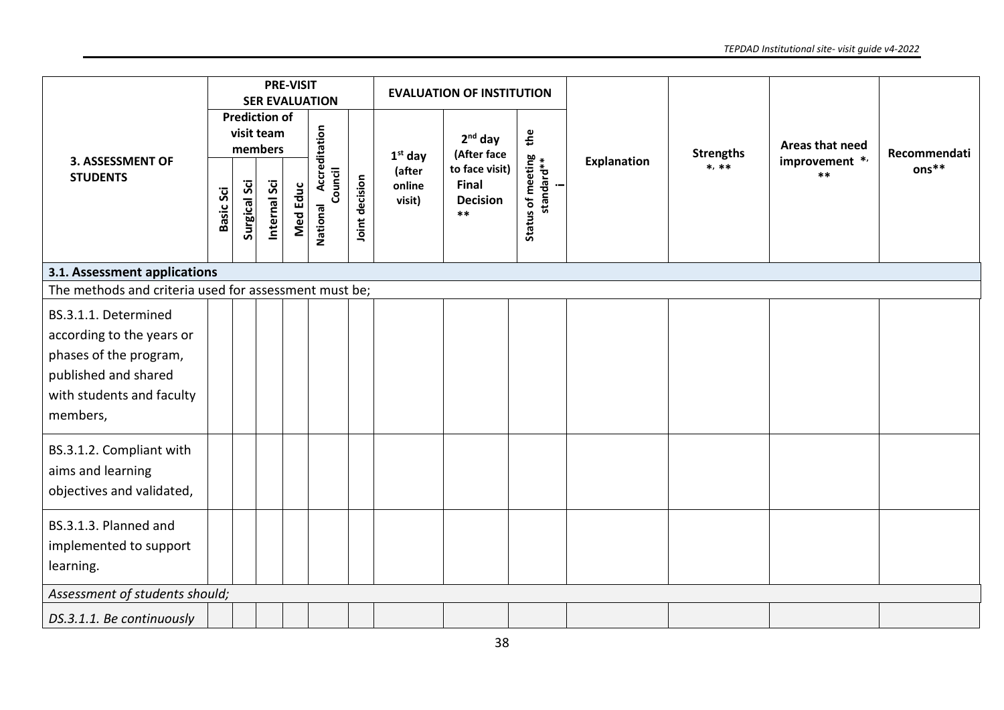|                                                                                                                                              |                  |              |                                               | <b>PRE-VISIT</b> | <b>SER EVALUATION</b>             |                |                            | <b>EVALUATION OF INSTITUTION</b>                           |                                 |                    |                  |                         |              |  |  |  |
|----------------------------------------------------------------------------------------------------------------------------------------------|------------------|--------------|-----------------------------------------------|------------------|-----------------------------------|----------------|----------------------------|------------------------------------------------------------|---------------------------------|--------------------|------------------|-------------------------|--------------|--|--|--|
|                                                                                                                                              |                  |              | <b>Prediction of</b><br>visit team<br>members |                  |                                   |                | $1st$ day                  | $2nd$ day<br>(After face                                   | the                             |                    | <b>Strengths</b> | Areas that need         | Recommendati |  |  |  |
| <b>3. ASSESSMENT OF</b><br><b>STUDENTS</b>                                                                                                   | <b>Basic Sci</b> | Surgical Sci | Internal Sci                                  | <b>Med Educ</b>  | National Accreditation<br>Council | Joint decision | (after<br>online<br>visit) | to face visit)<br><b>Final</b><br><b>Decision</b><br>$***$ | Status of meeting<br>standard** | <b>Explanation</b> | $*, **$          | improvement */<br>$***$ | $ons**$      |  |  |  |
| 3.1. Assessment applications                                                                                                                 |                  |              |                                               |                  |                                   |                |                            |                                                            |                                 |                    |                  |                         |              |  |  |  |
| The methods and criteria used for assessment must be;                                                                                        |                  |              |                                               |                  |                                   |                |                            |                                                            |                                 |                    |                  |                         |              |  |  |  |
| BS.3.1.1. Determined<br>according to the years or<br>phases of the program,<br>published and shared<br>with students and faculty<br>members, |                  |              |                                               |                  |                                   |                |                            |                                                            |                                 |                    |                  |                         |              |  |  |  |
| BS.3.1.2. Compliant with<br>aims and learning<br>objectives and validated,                                                                   |                  |              |                                               |                  |                                   |                |                            |                                                            |                                 |                    |                  |                         |              |  |  |  |
| BS.3.1.3. Planned and<br>implemented to support<br>learning.                                                                                 |                  |              |                                               |                  |                                   |                |                            |                                                            |                                 |                    |                  |                         |              |  |  |  |
| Assessment of students should;                                                                                                               |                  |              |                                               |                  |                                   |                |                            |                                                            |                                 |                    |                  |                         |              |  |  |  |
| DS.3.1.1. Be continuously                                                                                                                    |                  |              |                                               |                  |                                   |                |                            |                                                            |                                 |                    |                  |                         |              |  |  |  |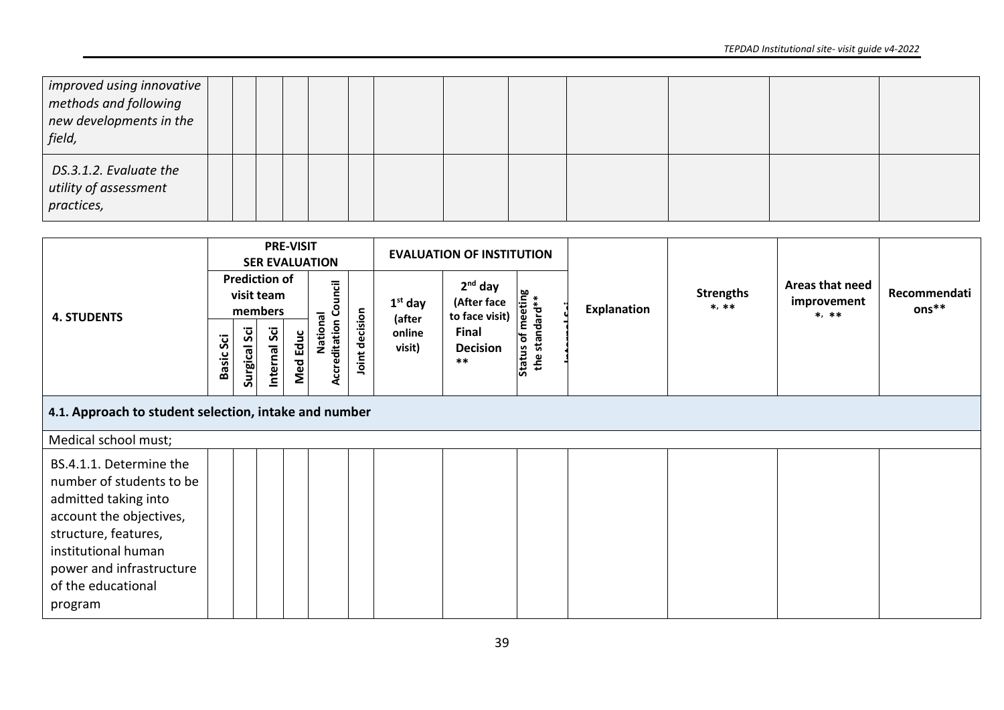| $ $ improved using innovative $ $<br>methods and following<br>new developments in the<br>field, |  |  |  |  |  |  |  |
|-------------------------------------------------------------------------------------------------|--|--|--|--|--|--|--|
| DS.3.1.2. Evaluate the<br>utility of assessment<br>practices,                                   |  |  |  |  |  |  |  |

| <b>4. STUDENTS</b>                                                          |                  |                     |                                               | <b>PRE-VISIT</b> | <b>SER EVALUATION</b>             |               |                     | <b>EVALUATION OF INSTITUTION</b>           |                             |             |                             |                                           |                       |
|-----------------------------------------------------------------------------|------------------|---------------------|-----------------------------------------------|------------------|-----------------------------------|---------------|---------------------|--------------------------------------------|-----------------------------|-------------|-----------------------------|-------------------------------------------|-----------------------|
|                                                                             |                  |                     | <b>Prediction of</b><br>visit team<br>members |                  |                                   |               | $1st$ day<br>(after | $2nd$ day<br>(After face<br>to face visit) | us of meeting<br>standard** | Explanation | <b>Strengths</b><br>$*, **$ | Areas that need<br>improvement<br>$*, **$ | Recommendati<br>ons** |
|                                                                             | <b>Basic Sci</b> | <b>Surgical Sci</b> | Internal Sci                                  | Med Educ         | National<br>Accreditation Council | oint decision | online<br>visit)    | Final<br><b>Decision</b><br>$***$          | Status of<br>the            |             |                             |                                           |                       |
| 4.1. Approach to student selection, intake and number                       |                  |                     |                                               |                  |                                   |               |                     |                                            |                             |             |                             |                                           |                       |
| Medical school must;                                                        |                  |                     |                                               |                  |                                   |               |                     |                                            |                             |             |                             |                                           |                       |
| BS.4.1.1. Determine the<br>number of students to be<br>admitted taking into |                  |                     |                                               |                  |                                   |               |                     |                                            |                             |             |                             |                                           |                       |
| account the objectives,<br>structure, features,<br>institutional human      |                  |                     |                                               |                  |                                   |               |                     |                                            |                             |             |                             |                                           |                       |
| power and infrastructure<br>of the educational<br>program                   |                  |                     |                                               |                  |                                   |               |                     |                                            |                             |             |                             |                                           |                       |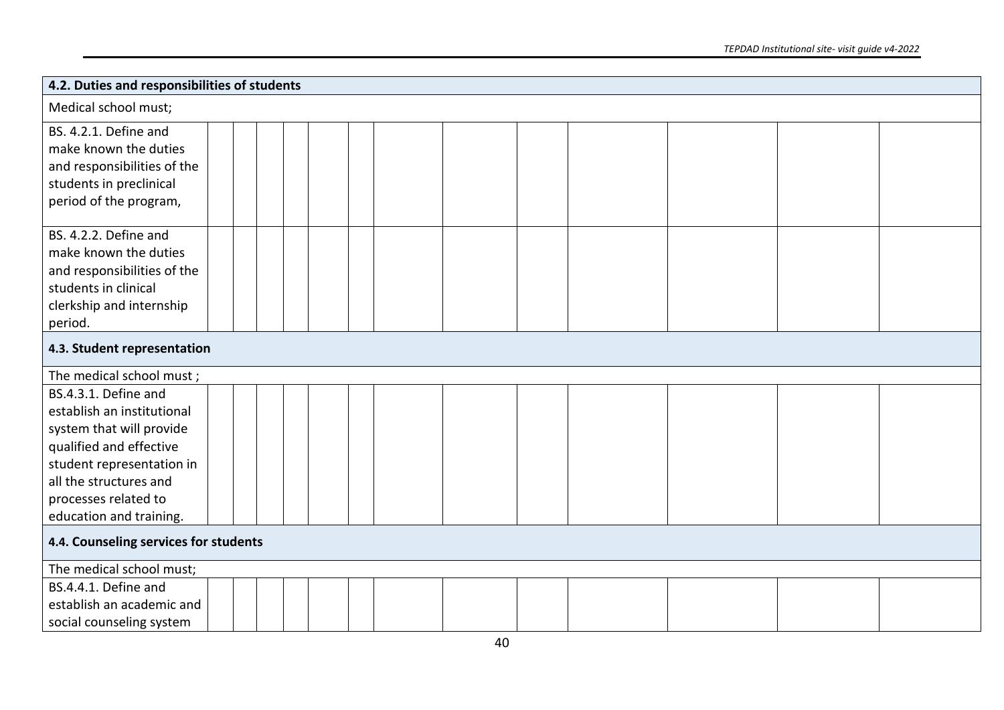| 4.2. Duties and responsibilities of students |  |  |
|----------------------------------------------|--|--|
| Medical school must;                         |  |  |
| BS. 4.2.1. Define and                        |  |  |
| make known the duties                        |  |  |
| and responsibilities of the                  |  |  |
| students in preclinical                      |  |  |
| period of the program,                       |  |  |
| BS. 4.2.2. Define and                        |  |  |
| make known the duties                        |  |  |
| and responsibilities of the                  |  |  |
| students in clinical                         |  |  |
| clerkship and internship                     |  |  |
| period.                                      |  |  |
| 4.3. Student representation                  |  |  |
| The medical school must;                     |  |  |
| BS.4.3.1. Define and                         |  |  |
| establish an institutional                   |  |  |
| system that will provide                     |  |  |
| qualified and effective                      |  |  |
| student representation in                    |  |  |
| all the structures and                       |  |  |
| processes related to                         |  |  |
| education and training.                      |  |  |
| 4.4. Counseling services for students        |  |  |
| The medical school must;                     |  |  |
| BS.4.4.1. Define and                         |  |  |
| establish an academic and                    |  |  |
| social counseling system                     |  |  |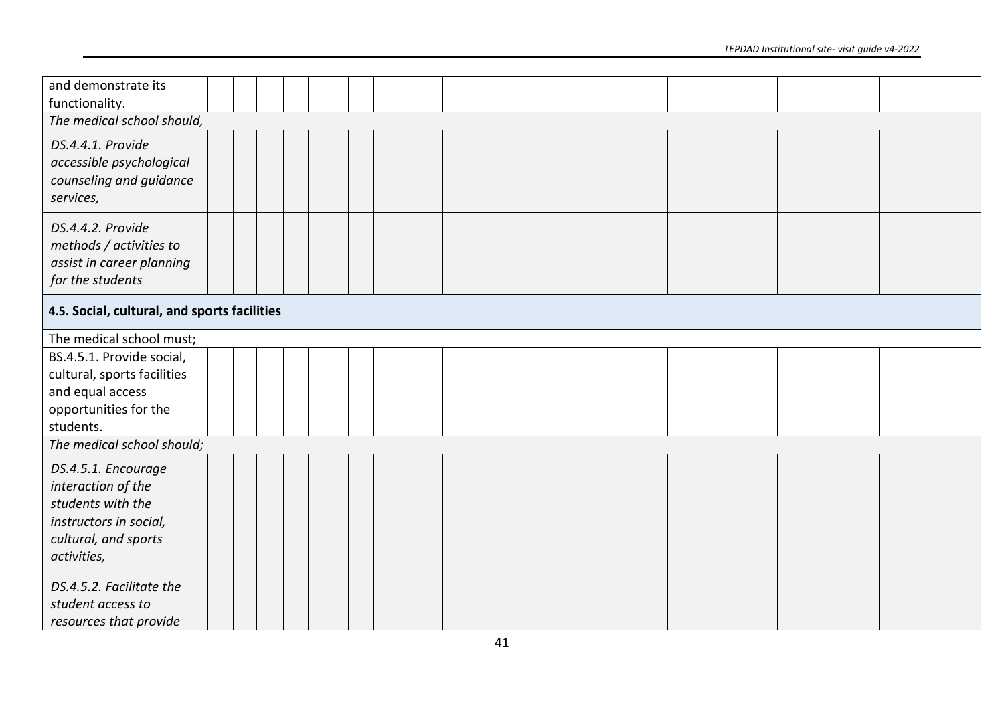| and demonstrate its<br>functionality.                                                                                           |  |  |  |  |  |  |
|---------------------------------------------------------------------------------------------------------------------------------|--|--|--|--|--|--|
| The medical school should,                                                                                                      |  |  |  |  |  |  |
| DS.4.4.1. Provide<br>accessible psychological<br>counseling and guidance<br>services,                                           |  |  |  |  |  |  |
| DS.4.4.2. Provide<br>methods / activities to<br>assist in career planning<br>for the students                                   |  |  |  |  |  |  |
| 4.5. Social, cultural, and sports facilities                                                                                    |  |  |  |  |  |  |
| The medical school must;                                                                                                        |  |  |  |  |  |  |
| BS.4.5.1. Provide social,<br>cultural, sports facilities<br>and equal access<br>opportunities for the<br>students.              |  |  |  |  |  |  |
| The medical school should;                                                                                                      |  |  |  |  |  |  |
| DS.4.5.1. Encourage<br>interaction of the<br>students with the<br>instructors in social,<br>cultural, and sports<br>activities, |  |  |  |  |  |  |
| DS.4.5.2. Facilitate the<br>student access to<br>resources that provide                                                         |  |  |  |  |  |  |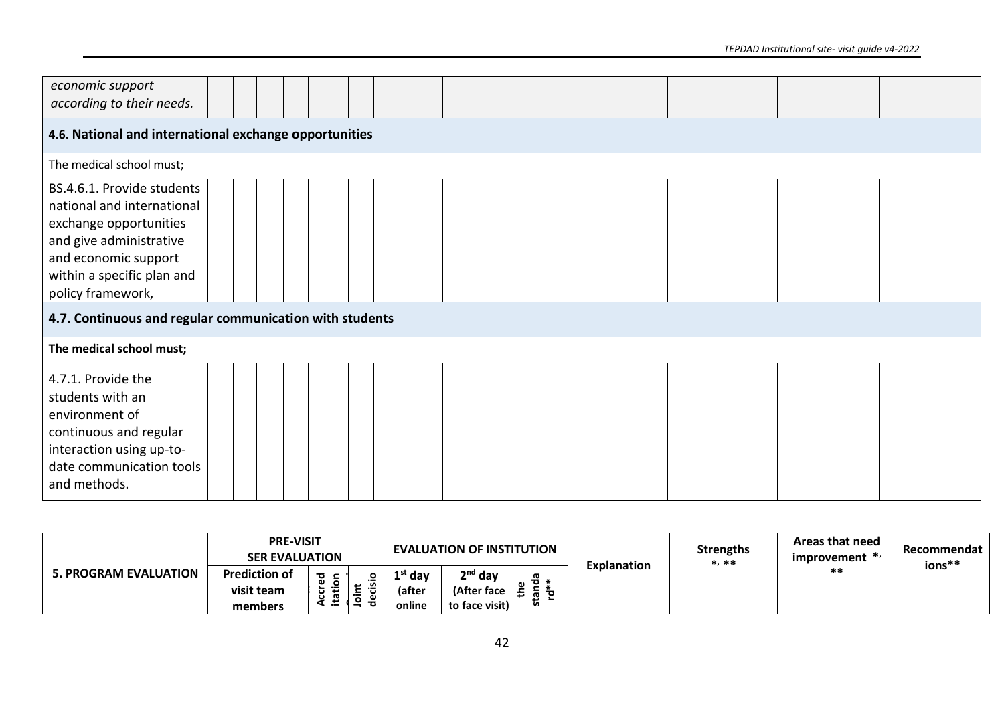| economic support<br>according to their needs.                                                                                                                                            |                                                        |  |  |  |  |  |  |  |  |  |  |  |  |  |  |
|------------------------------------------------------------------------------------------------------------------------------------------------------------------------------------------|--------------------------------------------------------|--|--|--|--|--|--|--|--|--|--|--|--|--|--|
|                                                                                                                                                                                          | 4.6. National and international exchange opportunities |  |  |  |  |  |  |  |  |  |  |  |  |  |  |
| The medical school must;                                                                                                                                                                 |                                                        |  |  |  |  |  |  |  |  |  |  |  |  |  |  |
| BS.4.6.1. Provide students<br>national and international<br>exchange opportunities<br>and give administrative<br>and economic support<br>within a specific plan and<br>policy framework, |                                                        |  |  |  |  |  |  |  |  |  |  |  |  |  |  |
| 4.7. Continuous and regular communication with students                                                                                                                                  |                                                        |  |  |  |  |  |  |  |  |  |  |  |  |  |  |
| The medical school must;                                                                                                                                                                 |                                                        |  |  |  |  |  |  |  |  |  |  |  |  |  |  |
| 4.7.1. Provide the<br>students with an<br>environment of<br>continuous and regular<br>interaction using up-to-<br>date communication tools<br>and methods.                               |                                                        |  |  |  |  |  |  |  |  |  |  |  |  |  |  |

| <b>5. PROGRAM EVALUATION</b> | <b>PRE-VISIT</b><br><b>SER EVALUATION</b> |   |                                   |                   | <b>EVALUATION OF INSTITUTION</b> |        |                    | Strengths<br>$*$ , $**$ | Areas that need<br>improvement $*$ | Recommendat<br>ions** |
|------------------------------|-------------------------------------------|---|-----------------------------------|-------------------|----------------------------------|--------|--------------------|-------------------------|------------------------------------|-----------------------|
|                              | <b>Prediction of</b>                      | ᇴ | o                                 | <sup>st</sup> day | 2 <sup>nd</sup> day              | ъ.     | <b>Explanation</b> |                         | $***$                              |                       |
|                              | visit team                                |   | ≅.<br>$\mathbf \omega$<br>.≒<br>Φ | (after            | (After face                      | Ē<br>ີ |                    |                         |                                    |                       |
|                              | members                                   | ÷ |                                   | online            | to face visit)                   | -      |                    |                         |                                    |                       |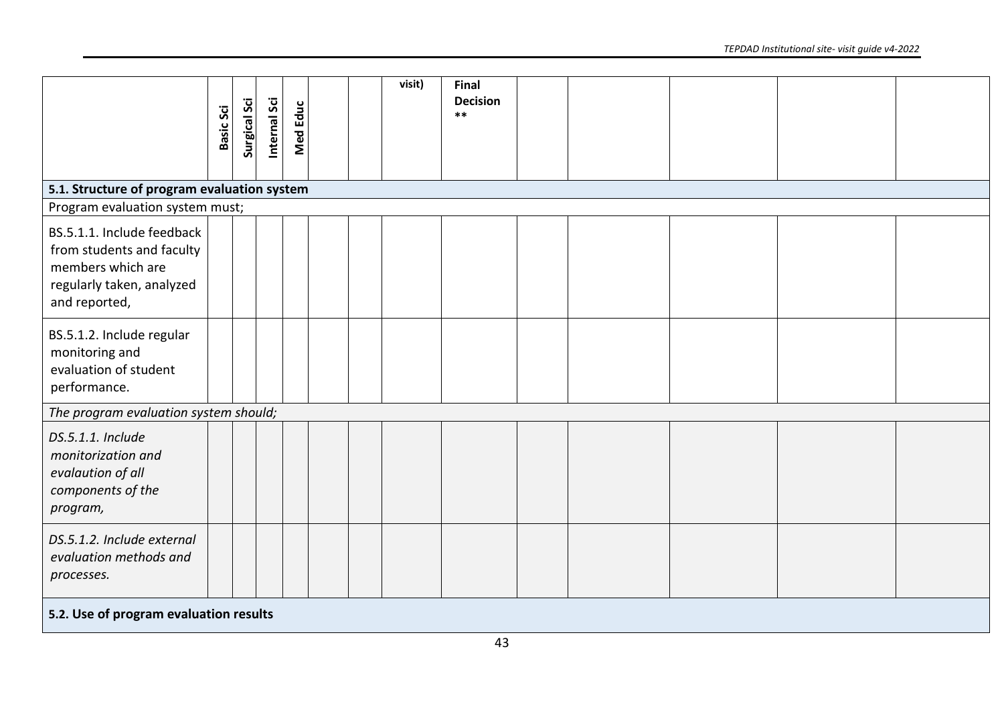|                                                                                                                            | <b>Basic Sci</b> | <b>Surgical Sci</b> | Internal Sci | <b>Med Educ</b> |  | visit) | Final<br><b>Decision</b><br>$***$ |  |  |  |
|----------------------------------------------------------------------------------------------------------------------------|------------------|---------------------|--------------|-----------------|--|--------|-----------------------------------|--|--|--|
|                                                                                                                            |                  |                     |              |                 |  |        |                                   |  |  |  |
| 5.1. Structure of program evaluation system                                                                                |                  |                     |              |                 |  |        |                                   |  |  |  |
| Program evaluation system must;                                                                                            |                  |                     |              |                 |  |        |                                   |  |  |  |
| BS.5.1.1. Include feedback<br>from students and faculty<br>members which are<br>regularly taken, analyzed<br>and reported, |                  |                     |              |                 |  |        |                                   |  |  |  |
| BS.5.1.2. Include regular<br>monitoring and<br>evaluation of student<br>performance.                                       |                  |                     |              |                 |  |        |                                   |  |  |  |
| The program evaluation system should;                                                                                      |                  |                     |              |                 |  |        |                                   |  |  |  |
| DS.5.1.1. Include<br>monitorization and<br>evalaution of all<br>components of the<br>program,                              |                  |                     |              |                 |  |        |                                   |  |  |  |
| DS.5.1.2. Include external<br>evaluation methods and<br>processes.                                                         |                  |                     |              |                 |  |        |                                   |  |  |  |
| 5.2. Use of program evaluation results                                                                                     |                  |                     |              |                 |  |        |                                   |  |  |  |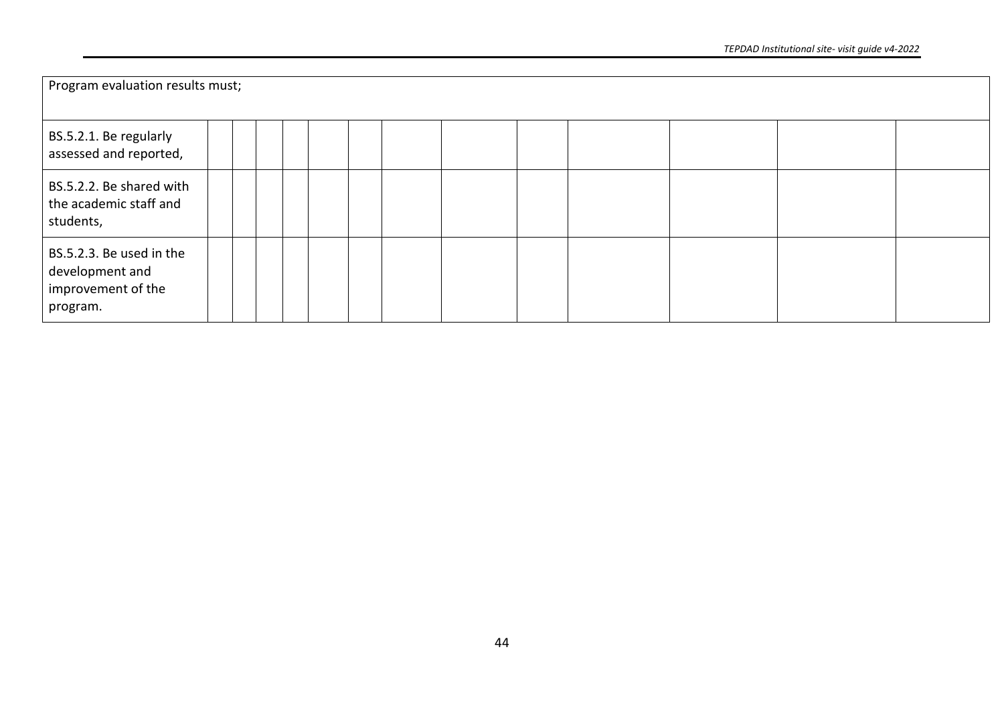| Program evaluation results must;                                              |  |  |  |  |  |  |
|-------------------------------------------------------------------------------|--|--|--|--|--|--|
| BS.5.2.1. Be regularly<br>assessed and reported,                              |  |  |  |  |  |  |
| BS.5.2.2. Be shared with<br>the academic staff and<br>students,               |  |  |  |  |  |  |
| BS.5.2.3. Be used in the<br>development and<br>improvement of the<br>program. |  |  |  |  |  |  |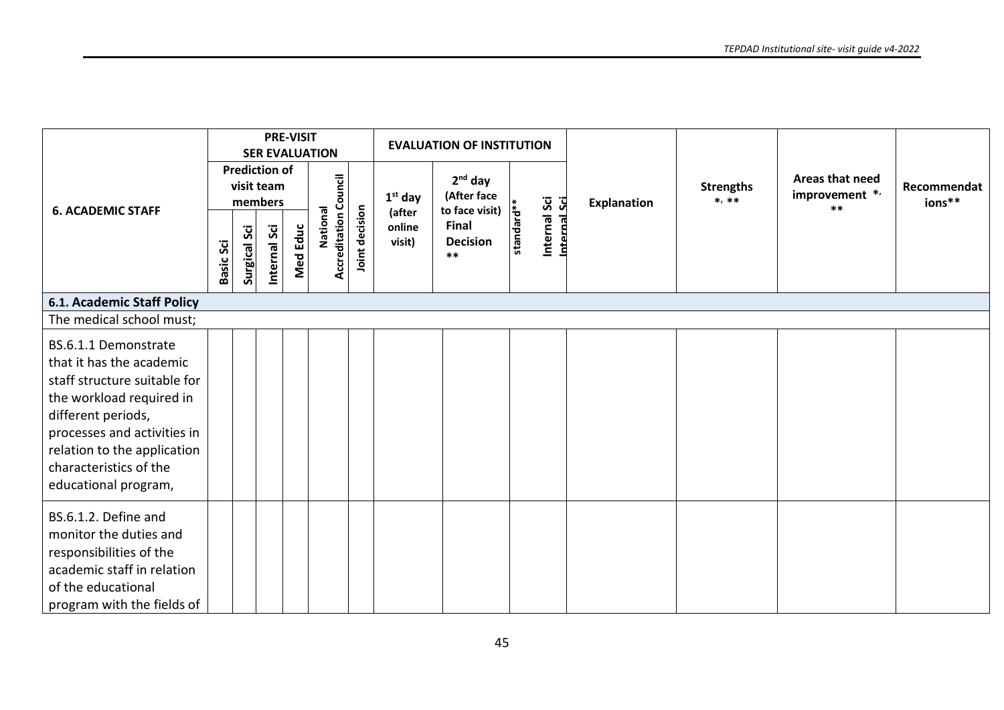|                                                                                                                                                                                                                                                    |           |                     |                                               | <b>PRE-VISIT</b> | <b>SER EVALUATION</b>                    |                |                            | <b>EVALUATION OF INSTITUTION</b>                   |                              |                    |                             |                                            |                       |
|----------------------------------------------------------------------------------------------------------------------------------------------------------------------------------------------------------------------------------------------------|-----------|---------------------|-----------------------------------------------|------------------|------------------------------------------|----------------|----------------------------|----------------------------------------------------|------------------------------|--------------------|-----------------------------|--------------------------------------------|-----------------------|
| <b>6. ACADEMIC STAFF</b>                                                                                                                                                                                                                           |           |                     | <b>Prediction of</b><br>visit team<br>members |                  |                                          |                | $1st$ day                  | $2nd$ day<br>(After face                           |                              | <b>Explanation</b> | <b>Strengths</b><br>$*, **$ | Areas that need<br>improvement */<br>$***$ | Recommendat<br>ions** |
|                                                                                                                                                                                                                                                    | Basic Sci | <b>Surgical Sci</b> | nternal Sci                                   | Med Educ         | <b>Accreditation Council</b><br>National | Joint decision | (after<br>online<br>visit) | to face visit)<br>Final<br>Decision<br>**<br>$***$ | Internal Sci<br>Internal Sci |                    |                             |                                            |                       |
| <b>6.1. Academic Staff Policy</b>                                                                                                                                                                                                                  |           |                     |                                               |                  |                                          |                |                            |                                                    |                              |                    |                             |                                            |                       |
| The medical school must;                                                                                                                                                                                                                           |           |                     |                                               |                  |                                          |                |                            |                                                    |                              |                    |                             |                                            |                       |
| BS.6.1.1 Demonstrate<br>that it has the academic<br>staff structure suitable for<br>the workload required in<br>different periods,<br>processes and activities in<br>relation to the application<br>characteristics of the<br>educational program, |           |                     |                                               |                  |                                          |                |                            |                                                    |                              |                    |                             |                                            |                       |
| BS.6.1.2. Define and<br>monitor the duties and<br>responsibilities of the<br>academic staff in relation<br>of the educational<br>program with the fields of                                                                                        |           |                     |                                               |                  |                                          |                |                            |                                                    |                              |                    |                             |                                            |                       |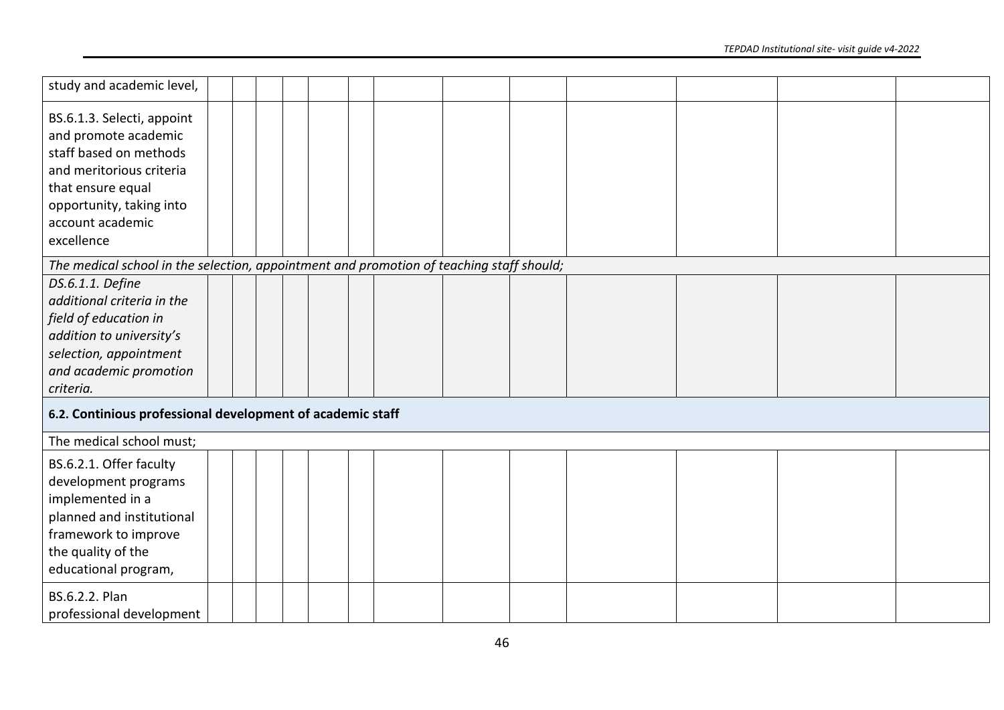| study and academic level,                                                                                                                                                                   |  |  |  |  |  |  |  |
|---------------------------------------------------------------------------------------------------------------------------------------------------------------------------------------------|--|--|--|--|--|--|--|
| BS.6.1.3. Selecti, appoint<br>and promote academic<br>staff based on methods<br>and meritorious criteria<br>that ensure equal<br>opportunity, taking into<br>account academic<br>excellence |  |  |  |  |  |  |  |
| The medical school in the selection, appointment and promotion of teaching staff should;                                                                                                    |  |  |  |  |  |  |  |
| DS.6.1.1. Define<br>additional criteria in the<br>field of education in<br>addition to university's<br>selection, appointment<br>and academic promotion<br>criteria.                        |  |  |  |  |  |  |  |
| 6.2. Continious professional development of academic staff                                                                                                                                  |  |  |  |  |  |  |  |
| The medical school must;                                                                                                                                                                    |  |  |  |  |  |  |  |
| BS.6.2.1. Offer faculty<br>development programs<br>implemented in a<br>planned and institutional<br>framework to improve<br>the quality of the<br>educational program,                      |  |  |  |  |  |  |  |
| BS.6.2.2. Plan<br>professional development                                                                                                                                                  |  |  |  |  |  |  |  |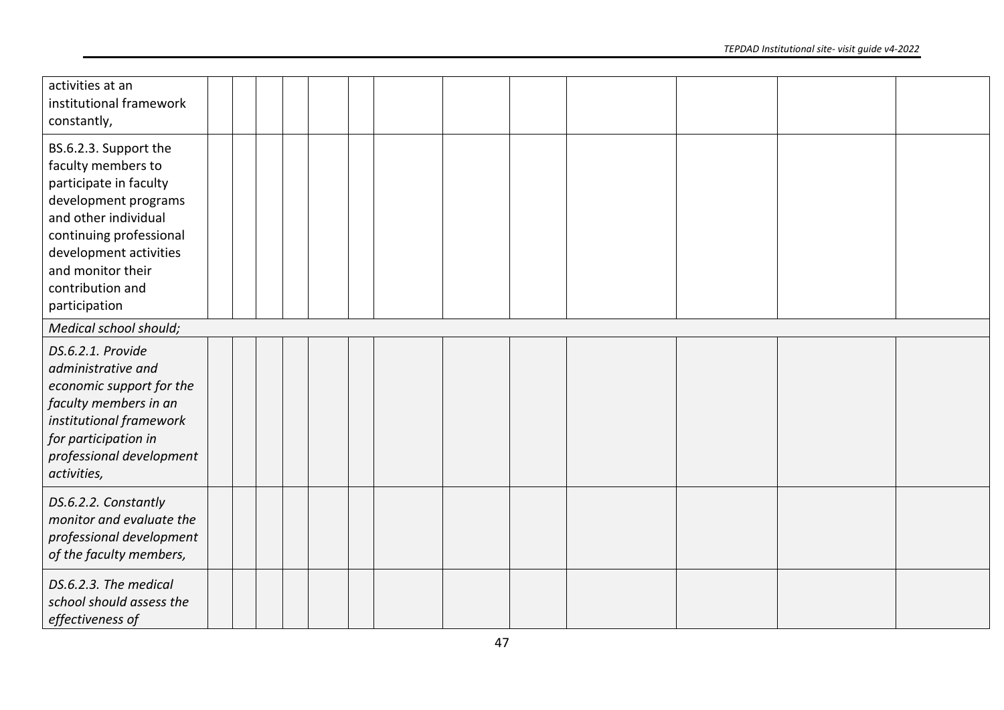| activities at an<br>institutional framework<br>constantly,                                                                                                                                                                           |  |  |  |  |  |  |
|--------------------------------------------------------------------------------------------------------------------------------------------------------------------------------------------------------------------------------------|--|--|--|--|--|--|
| BS.6.2.3. Support the<br>faculty members to<br>participate in faculty<br>development programs<br>and other individual<br>continuing professional<br>development activities<br>and monitor their<br>contribution and<br>participation |  |  |  |  |  |  |
| Medical school should;                                                                                                                                                                                                               |  |  |  |  |  |  |
| DS.6.2.1. Provide<br>administrative and<br>economic support for the<br>faculty members in an<br>institutional framework<br>for participation in<br>professional development<br>activities,                                           |  |  |  |  |  |  |
| DS.6.2.2. Constantly<br>monitor and evaluate the<br>professional development<br>of the faculty members,                                                                                                                              |  |  |  |  |  |  |
| DS.6.2.3. The medical<br>school should assess the<br>effectiveness of                                                                                                                                                                |  |  |  |  |  |  |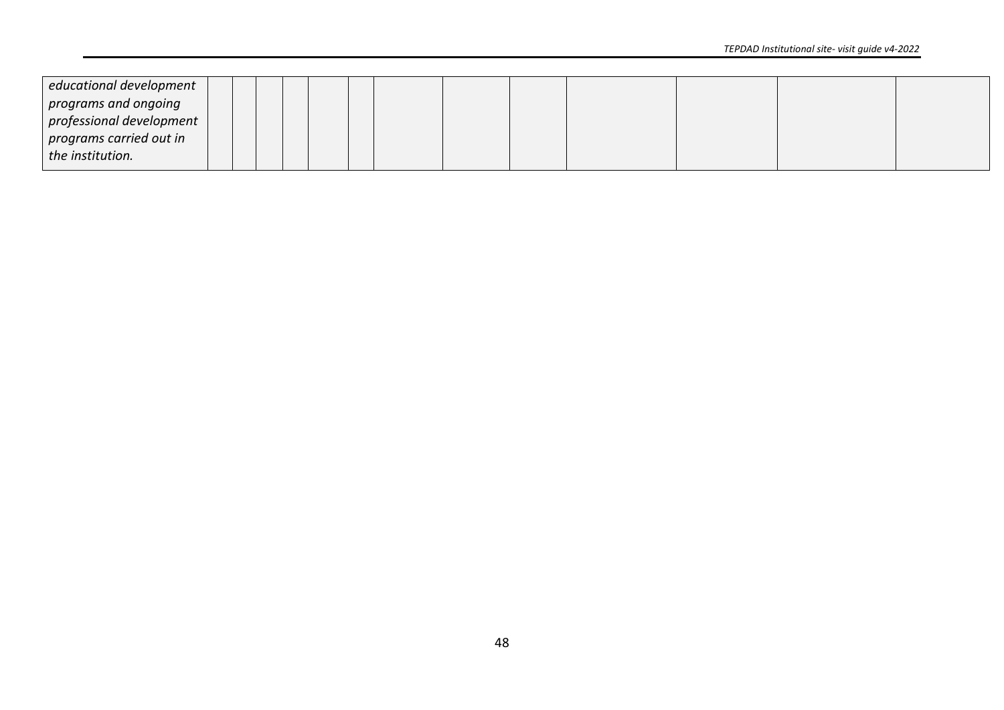| educational development  |  |  |  |  |  |  |  |
|--------------------------|--|--|--|--|--|--|--|
| programs and ongoing     |  |  |  |  |  |  |  |
| professional development |  |  |  |  |  |  |  |
| programs carried out in  |  |  |  |  |  |  |  |
| the institution.         |  |  |  |  |  |  |  |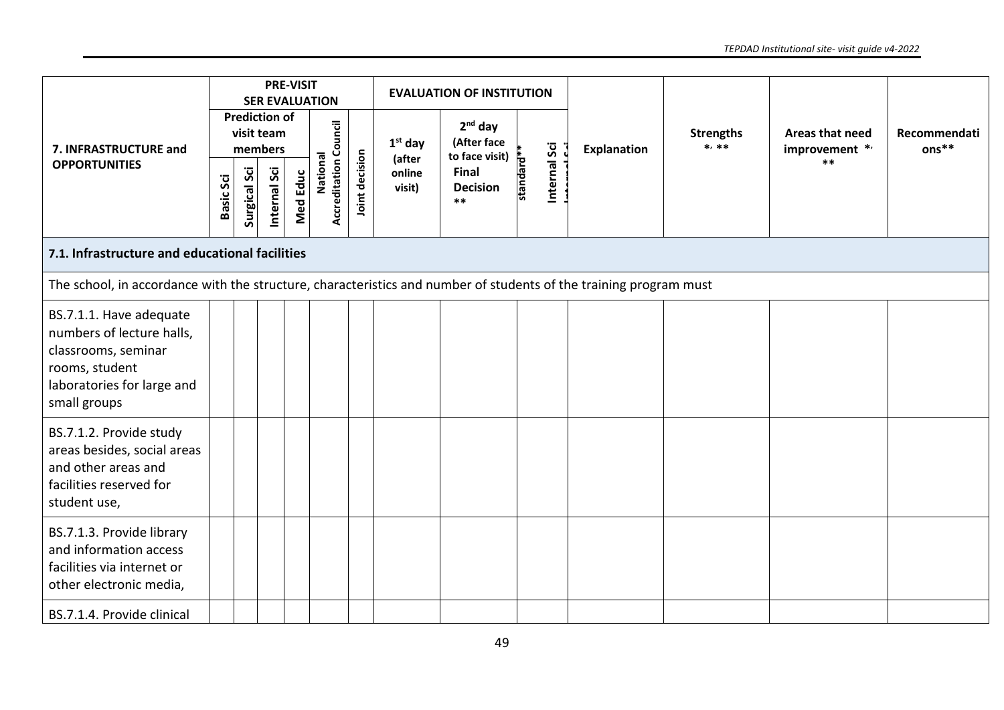|                                                                                                                                             |           |                     |                                               | <b>PRE-VISIT</b> | <b>SER EVALUATION</b>                    |                |                     | <b>EVALUATION OF INSTITUTION</b>           |           |              |                    |                             |                                            |                       |
|---------------------------------------------------------------------------------------------------------------------------------------------|-----------|---------------------|-----------------------------------------------|------------------|------------------------------------------|----------------|---------------------|--------------------------------------------|-----------|--------------|--------------------|-----------------------------|--------------------------------------------|-----------------------|
| 7. INFRASTRUCTURE and                                                                                                                       |           |                     | <b>Prediction of</b><br>visit team<br>members |                  |                                          |                | $1st$ day<br>(after | $2nd$ day<br>(After face<br>to face visit) |           |              | <b>Explanation</b> | <b>Strengths</b><br>$*, **$ | Areas that need<br>improvement */<br>$***$ | Recommendati<br>ons** |
| <b>OPPORTUNITIES</b>                                                                                                                        | Basic Sci | <b>Surgical Sci</b> | Internal Sci                                  | Med Educ         | <b>Accreditation Council</b><br>National | Joint decision | online<br>visit)    | Final<br><b>Decision</b><br>$***$          | standard* | Internal Sci |                    |                             |                                            |                       |
| 7.1. Infrastructure and educational facilities                                                                                              |           |                     |                                               |                  |                                          |                |                     |                                            |           |              |                    |                             |                                            |                       |
| The school, in accordance with the structure, characteristics and number of students of the training program must                           |           |                     |                                               |                  |                                          |                |                     |                                            |           |              |                    |                             |                                            |                       |
| BS.7.1.1. Have adequate<br>numbers of lecture halls,<br>classrooms, seminar<br>rooms, student<br>laboratories for large and<br>small groups |           |                     |                                               |                  |                                          |                |                     |                                            |           |              |                    |                             |                                            |                       |
| BS.7.1.2. Provide study<br>areas besides, social areas<br>and other areas and<br>facilities reserved for<br>student use,                    |           |                     |                                               |                  |                                          |                |                     |                                            |           |              |                    |                             |                                            |                       |
| BS.7.1.3. Provide library<br>and information access<br>facilities via internet or<br>other electronic media,                                |           |                     |                                               |                  |                                          |                |                     |                                            |           |              |                    |                             |                                            |                       |
| BS.7.1.4. Provide clinical                                                                                                                  |           |                     |                                               |                  |                                          |                |                     |                                            |           |              |                    |                             |                                            |                       |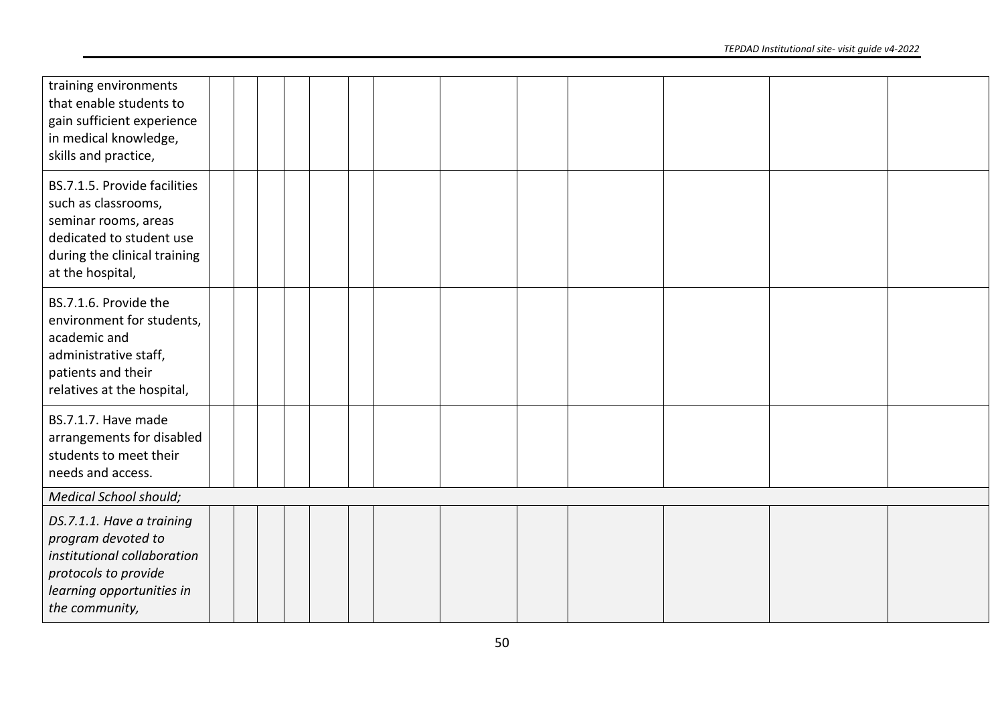| training environments<br>that enable students to<br>gain sufficient experience<br>in medical knowledge,<br>skills and practice,                             |  |  |  |  |  |  |
|-------------------------------------------------------------------------------------------------------------------------------------------------------------|--|--|--|--|--|--|
| BS.7.1.5. Provide facilities<br>such as classrooms,<br>seminar rooms, areas<br>dedicated to student use<br>during the clinical training<br>at the hospital, |  |  |  |  |  |  |
| BS.7.1.6. Provide the<br>environment for students,<br>academic and<br>administrative staff,<br>patients and their<br>relatives at the hospital,             |  |  |  |  |  |  |
| BS.7.1.7. Have made<br>arrangements for disabled<br>students to meet their<br>needs and access.                                                             |  |  |  |  |  |  |
| <b>Medical School should;</b>                                                                                                                               |  |  |  |  |  |  |
| DS.7.1.1. Have a training<br>program devoted to<br>institutional collaboration<br>protocols to provide<br>learning opportunities in                         |  |  |  |  |  |  |
| the community,                                                                                                                                              |  |  |  |  |  |  |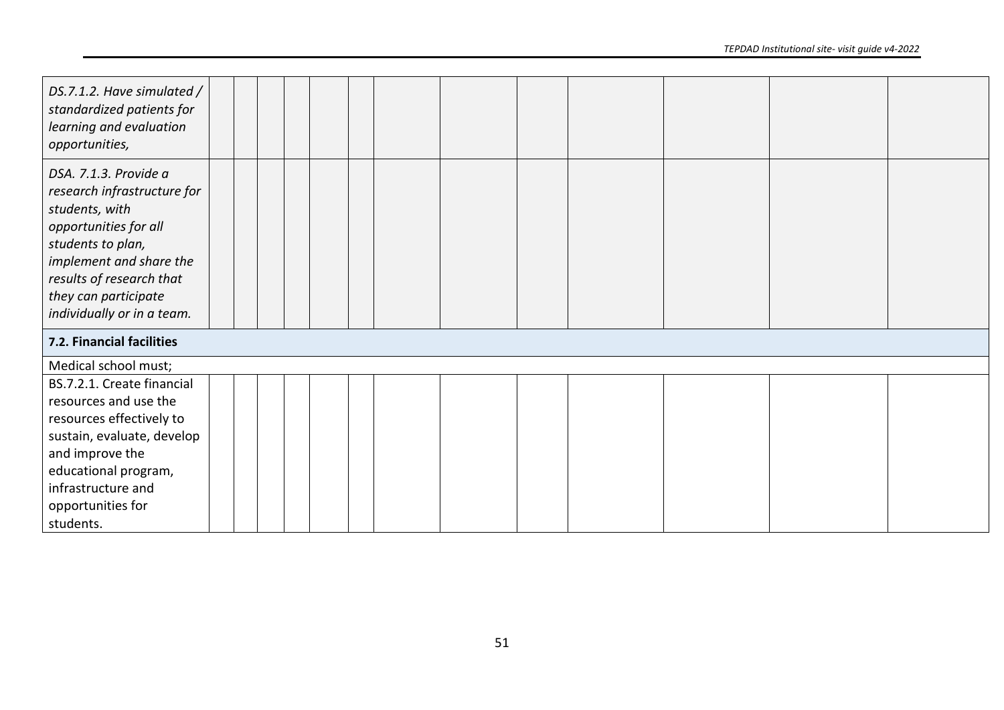| DS.7.1.2. Have simulated /<br>standardized patients for<br>learning and evaluation<br>opportunities,                                                                                                                              |  |  |  |  |  |  |  |
|-----------------------------------------------------------------------------------------------------------------------------------------------------------------------------------------------------------------------------------|--|--|--|--|--|--|--|
| DSA. 7.1.3. Provide a<br>research infrastructure for<br>students, with<br>opportunities for all<br>students to plan,<br>implement and share the<br>results of research that<br>they can participate<br>individually or in a team. |  |  |  |  |  |  |  |
| 7.2. Financial facilities                                                                                                                                                                                                         |  |  |  |  |  |  |  |
| Medical school must;                                                                                                                                                                                                              |  |  |  |  |  |  |  |
| BS.7.2.1. Create financial<br>resources and use the<br>resources effectively to<br>sustain, evaluate, develop<br>and improve the<br>educational program,<br>infrastructure and<br>opportunities for<br>students.                  |  |  |  |  |  |  |  |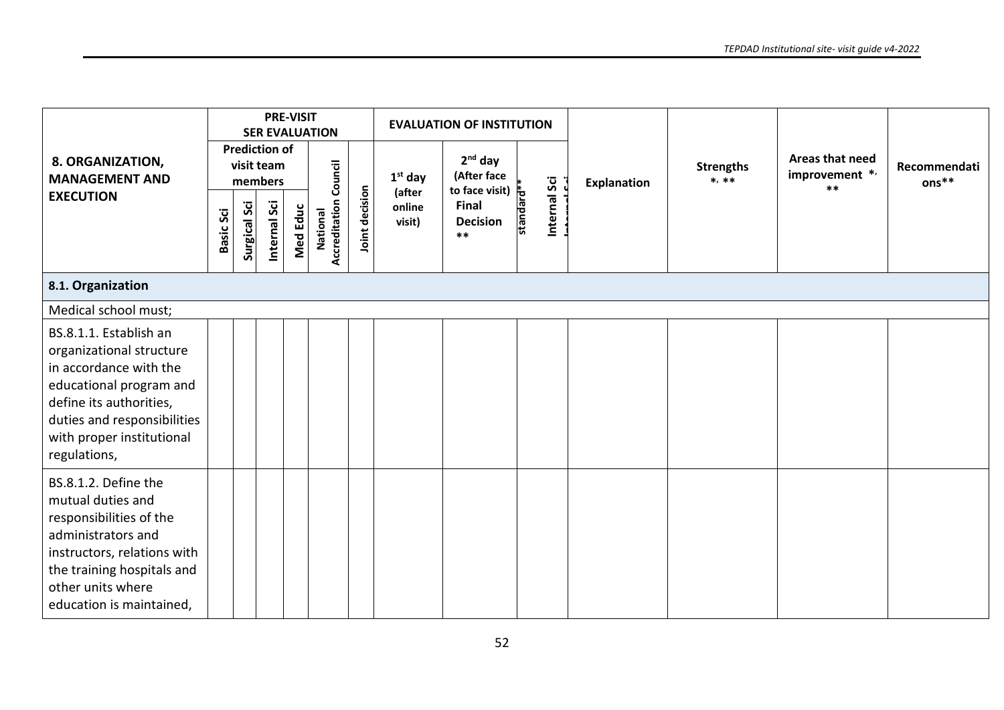|                                                                                                                                                                                                                |           |                     |                                               | <b>PRE-VISIT</b> | <b>SER EVALUATION</b>                    |                |                            | <b>EVALUATION OF INSTITUTION</b>           |           |              |                    |                             |                                            |                         |
|----------------------------------------------------------------------------------------------------------------------------------------------------------------------------------------------------------------|-----------|---------------------|-----------------------------------------------|------------------|------------------------------------------|----------------|----------------------------|--------------------------------------------|-----------|--------------|--------------------|-----------------------------|--------------------------------------------|-------------------------|
| 8. ORGANIZATION,<br><b>MANAGEMENT AND</b>                                                                                                                                                                      |           |                     | <b>Prediction of</b><br>visit team<br>members |                  |                                          |                | $1st$ day                  | $2nd$ day<br>(After face<br>to face visit) |           |              | <b>Explanation</b> | <b>Strengths</b><br>$*, **$ | Areas that need<br>improvement */<br>$***$ | Recommendati<br>$ons**$ |
| <b>EXECUTION</b>                                                                                                                                                                                               | Basic Sci | <b>Surgical Sci</b> | Internal Sci                                  | <b>Med Educ</b>  | <b>Accreditation Council</b><br>National | loint decision | (after<br>online<br>visit) | Final<br><b>Decision</b><br>$***$          | standard* | Internal Sci |                    |                             |                                            |                         |
| 8.1. Organization                                                                                                                                                                                              |           |                     |                                               |                  |                                          |                |                            |                                            |           |              |                    |                             |                                            |                         |
| Medical school must;                                                                                                                                                                                           |           |                     |                                               |                  |                                          |                |                            |                                            |           |              |                    |                             |                                            |                         |
| BS.8.1.1. Establish an<br>organizational structure<br>in accordance with the<br>educational program and<br>define its authorities,<br>duties and responsibilities<br>with proper institutional<br>regulations, |           |                     |                                               |                  |                                          |                |                            |                                            |           |              |                    |                             |                                            |                         |
| BS.8.1.2. Define the<br>mutual duties and<br>responsibilities of the<br>administrators and<br>instructors, relations with<br>the training hospitals and<br>other units where<br>education is maintained,       |           |                     |                                               |                  |                                          |                |                            |                                            |           |              |                    |                             |                                            |                         |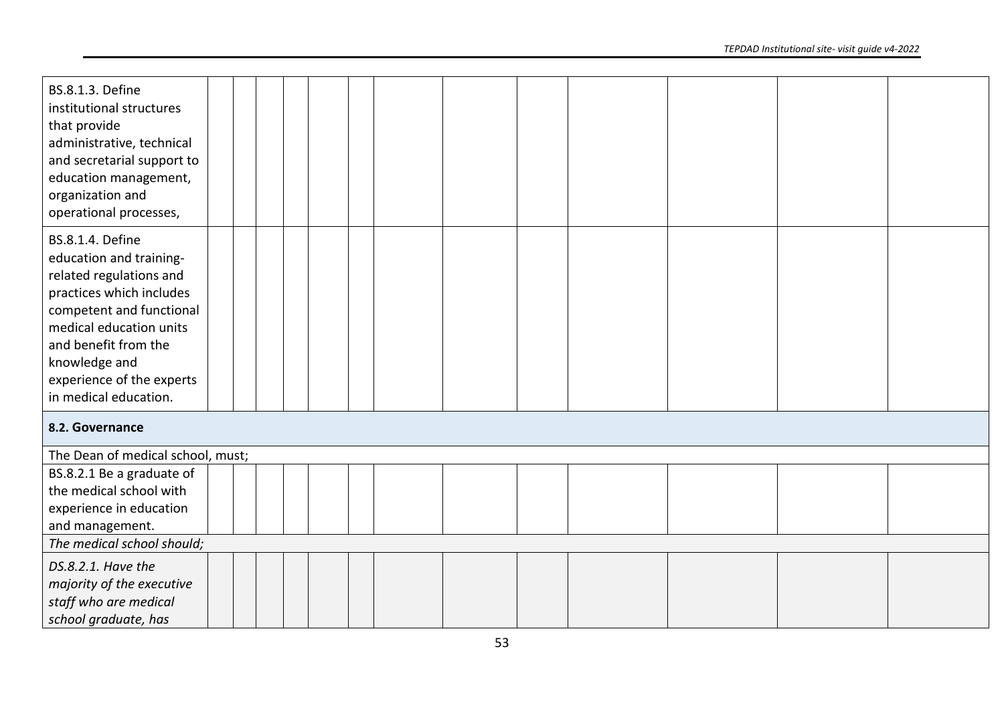| <b>BS.8.1.3. Define</b><br>institutional structures<br>that provide<br>administrative, technical<br>and secretarial support to<br>education management,<br>organization and<br>operational processes,                                                           |  |  |  |  |  |  |
|-----------------------------------------------------------------------------------------------------------------------------------------------------------------------------------------------------------------------------------------------------------------|--|--|--|--|--|--|
| <b>BS.8.1.4. Define</b><br>education and training-<br>related regulations and<br>practices which includes<br>competent and functional<br>medical education units<br>and benefit from the<br>knowledge and<br>experience of the experts<br>in medical education. |  |  |  |  |  |  |
| 8.2. Governance                                                                                                                                                                                                                                                 |  |  |  |  |  |  |
| The Dean of medical school, must;                                                                                                                                                                                                                               |  |  |  |  |  |  |
| BS.8.2.1 Be a graduate of<br>the medical school with<br>experience in education<br>and management.                                                                                                                                                              |  |  |  |  |  |  |
| The medical school should;                                                                                                                                                                                                                                      |  |  |  |  |  |  |
| DS.8.2.1. Have the<br>majority of the executive<br>staff who are medical<br>school graduate, has                                                                                                                                                                |  |  |  |  |  |  |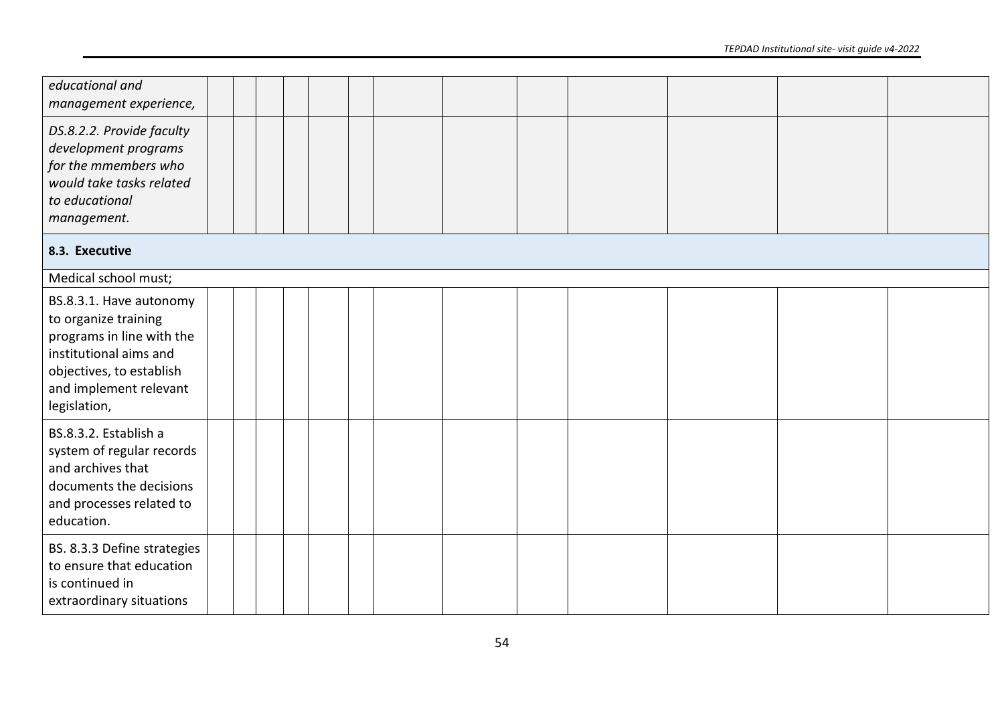| educational and<br>management experience,                                                                                                                                    |  |  |  |  |  |  |  |
|------------------------------------------------------------------------------------------------------------------------------------------------------------------------------|--|--|--|--|--|--|--|
| DS.8.2.2. Provide faculty<br>development programs<br>for the mmembers who<br>would take tasks related<br>to educational<br>management.                                       |  |  |  |  |  |  |  |
| 8.3. Executive                                                                                                                                                               |  |  |  |  |  |  |  |
| Medical school must;                                                                                                                                                         |  |  |  |  |  |  |  |
| BS.8.3.1. Have autonomy<br>to organize training<br>programs in line with the<br>institutional aims and<br>objectives, to establish<br>and implement relevant<br>legislation, |  |  |  |  |  |  |  |
| BS.8.3.2. Establish a<br>system of regular records<br>and archives that<br>documents the decisions<br>and processes related to<br>education.                                 |  |  |  |  |  |  |  |
| BS. 8.3.3 Define strategies<br>to ensure that education<br>is continued in<br>extraordinary situations                                                                       |  |  |  |  |  |  |  |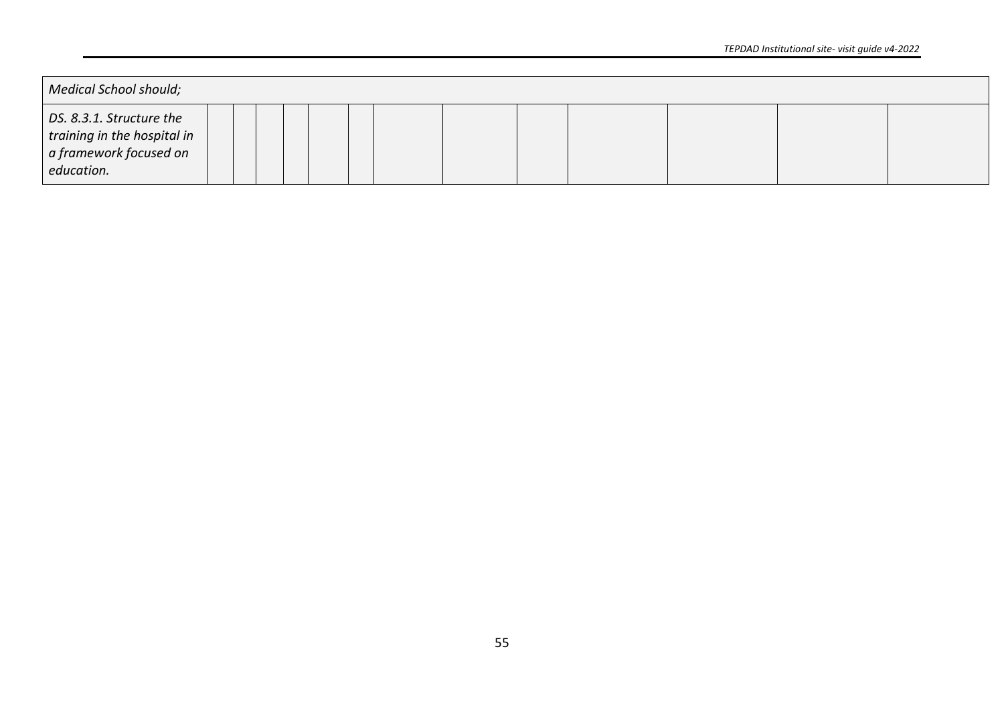| <b>Medical School should;</b>                                                                   |  |  |  |  |  |  |  |
|-------------------------------------------------------------------------------------------------|--|--|--|--|--|--|--|
| DS. 8.3.1. Structure the<br>training in the hospital in<br>a framework focused on<br>education. |  |  |  |  |  |  |  |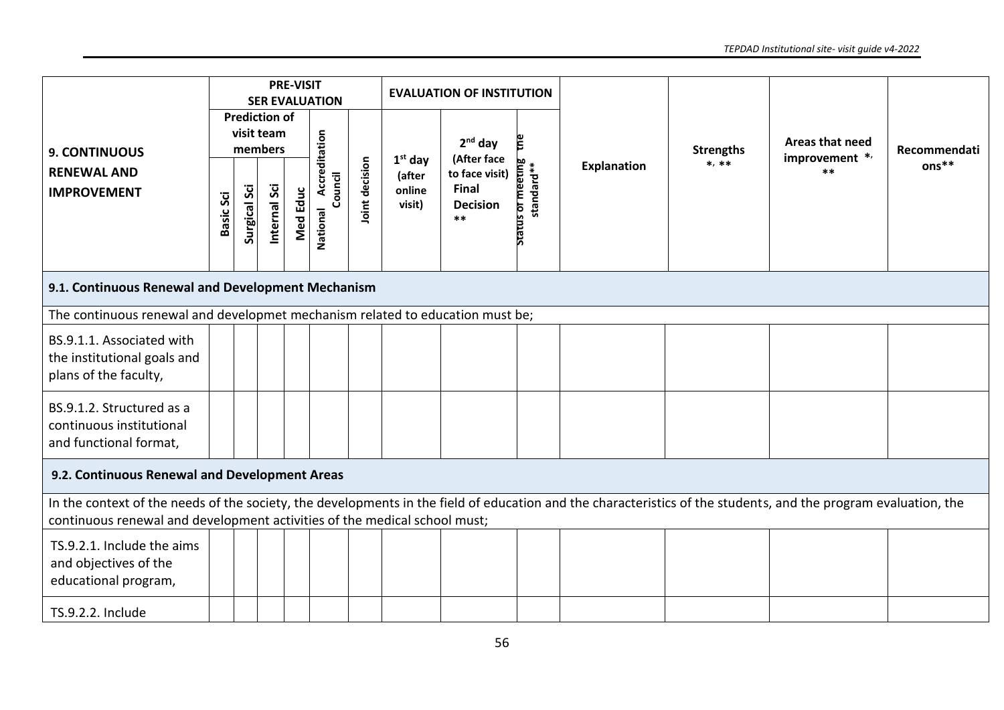|                                                                                                                                                                                                                                              |                  |                     |                                               | <b>PRE-VISIT</b> | <b>SER EVALUATION</b> |                |                            | <b>EVALUATION OF INSTITUTION</b>                 |                              |                    |                             |                                   |                         |
|----------------------------------------------------------------------------------------------------------------------------------------------------------------------------------------------------------------------------------------------|------------------|---------------------|-----------------------------------------------|------------------|-----------------------|----------------|----------------------------|--------------------------------------------------|------------------------------|--------------------|-----------------------------|-----------------------------------|-------------------------|
| <b>9. CONTINUOUS</b>                                                                                                                                                                                                                         |                  |                     | <b>Prediction of</b><br>visit team<br>members |                  | Accreditation         |                | $1st$ day                  | $2nd$ day<br>(After face                         |                              | <b>Explanation</b> | <b>Strengths</b><br>$*, **$ | Areas that need<br>improvement */ | Recommendati<br>$ons**$ |
| <b>RENEWAL AND</b><br><b>IMPROVEMENT</b>                                                                                                                                                                                                     | <b>Basic Sci</b> | <b>Surgical Sci</b> | Internal Sci                                  | <b>Med Educ</b>  | Council<br>National   | Joint decision | (after<br>online<br>visit) | to face visit)<br>Final<br><b>Decision</b><br>** | tus or meeting<br>standard** |                    |                             | **                                |                         |
| 9.1. Continuous Renewal and Development Mechanism                                                                                                                                                                                            |                  |                     |                                               |                  |                       |                |                            |                                                  |                              |                    |                             |                                   |                         |
| The continuous renewal and developmet mechanism related to education must be;                                                                                                                                                                |                  |                     |                                               |                  |                       |                |                            |                                                  |                              |                    |                             |                                   |                         |
| BS.9.1.1. Associated with<br>the institutional goals and<br>plans of the faculty,                                                                                                                                                            |                  |                     |                                               |                  |                       |                |                            |                                                  |                              |                    |                             |                                   |                         |
| BS.9.1.2. Structured as a<br>continuous institutional<br>and functional format,                                                                                                                                                              |                  |                     |                                               |                  |                       |                |                            |                                                  |                              |                    |                             |                                   |                         |
| 9.2. Continuous Renewal and Development Areas                                                                                                                                                                                                |                  |                     |                                               |                  |                       |                |                            |                                                  |                              |                    |                             |                                   |                         |
| In the context of the needs of the society, the developments in the field of education and the characteristics of the students, and the program evaluation, the<br>continuous renewal and development activities of the medical school must; |                  |                     |                                               |                  |                       |                |                            |                                                  |                              |                    |                             |                                   |                         |
| TS.9.2.1. Include the aims<br>and objectives of the<br>educational program,                                                                                                                                                                  |                  |                     |                                               |                  |                       |                |                            |                                                  |                              |                    |                             |                                   |                         |
| TS.9.2.2. Include                                                                                                                                                                                                                            |                  |                     |                                               |                  |                       |                |                            |                                                  |                              |                    |                             |                                   |                         |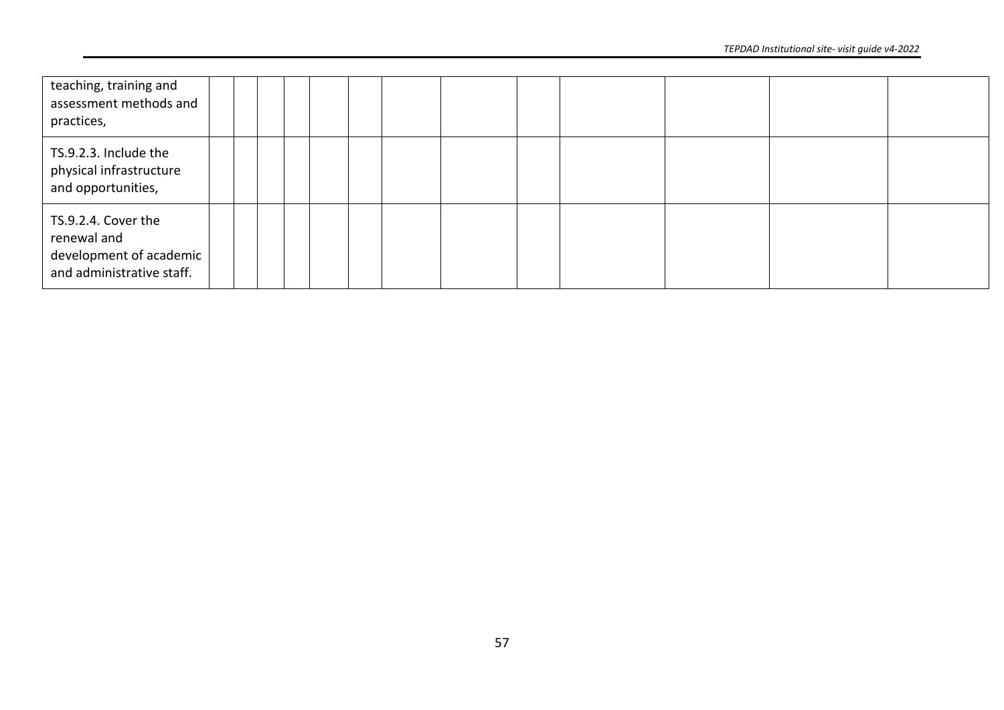| teaching, training and<br>assessment methods and<br>practices,                               |  |  |  |  |  |  |
|----------------------------------------------------------------------------------------------|--|--|--|--|--|--|
| TS.9.2.3. Include the<br>physical infrastructure<br>and opportunities,                       |  |  |  |  |  |  |
| TS.9.2.4. Cover the<br>renewal and<br>development of academic  <br>and administrative staff. |  |  |  |  |  |  |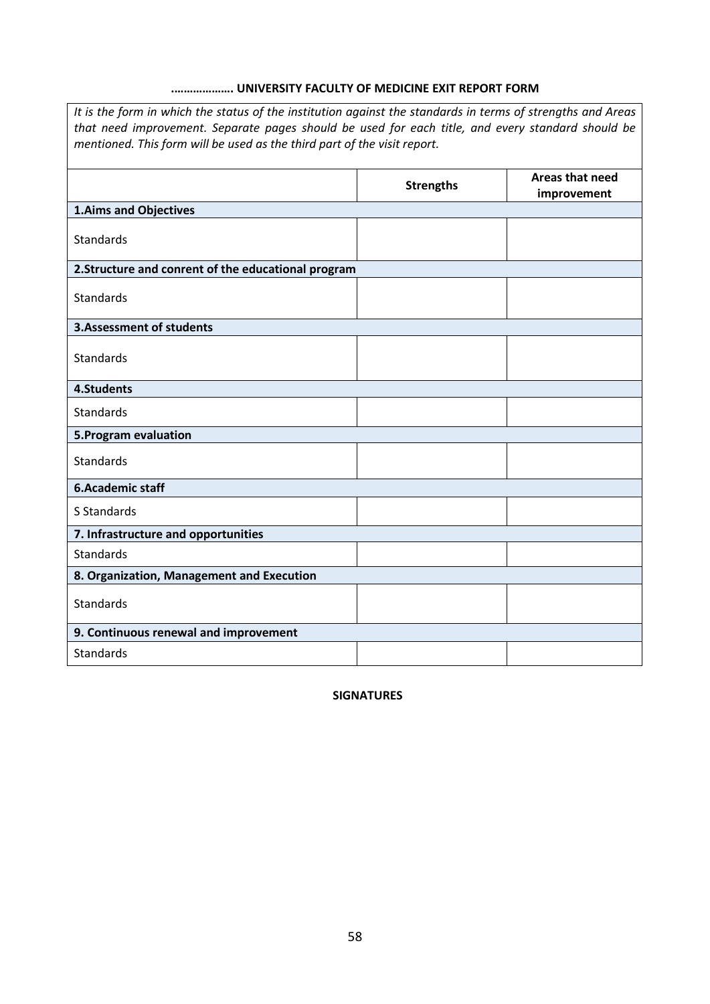# **.………………. UNIVERSITY FACULTY OF MEDICINE EXIT REPORT FORM**

*It is the form in which the status of the institution against the standards in terms of strengths and Areas that need improvement. Separate pages should be used for each title, and every standard should be mentioned. This form will be used as the third part of the visit report.*

|                                                     | <b>Strengths</b> | Areas that need<br>improvement |
|-----------------------------------------------------|------------------|--------------------------------|
| <b>1.Aims and Objectives</b>                        |                  |                                |
| Standards                                           |                  |                                |
| 2. Structure and conrent of the educational program |                  |                                |
| Standards                                           |                  |                                |
| <b>3.Assessment of students</b>                     |                  |                                |
| Standards                                           |                  |                                |
| 4.Students                                          |                  |                                |
| <b>Standards</b>                                    |                  |                                |
| 5. Program evaluation                               |                  |                                |
| <b>Standards</b>                                    |                  |                                |
| <b>6.Academic staff</b>                             |                  |                                |
| S Standards                                         |                  |                                |
| 7. Infrastructure and opportunities                 |                  |                                |
| Standards                                           |                  |                                |
| 8. Organization, Management and Execution           |                  |                                |
| Standards                                           |                  |                                |
| 9. Continuous renewal and improvement               |                  |                                |
| Standards                                           |                  |                                |

**SIGNATURES**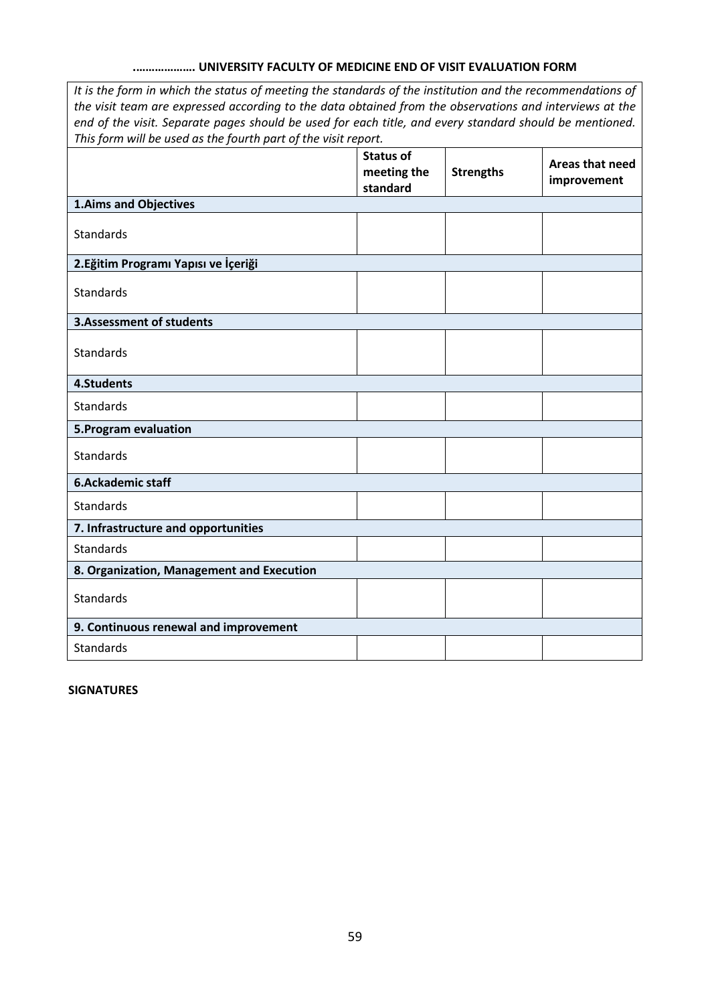# **.………………. UNIVERSITY FACULTY OF MEDICINE END OF VISIT EVALUATION FORM**

*It is the form in which the status of meeting the standards of the institution and the recommendations of the visit team are expressed according to the data obtained from the observations and interviews at the end of the visit. Separate pages should be used for each title, and every standard should be mentioned. This form will be used as the fourth part of the visit report.*

|                                           | <b>Status of</b><br>meeting the<br>standard | <b>Strengths</b> | Areas that need<br>improvement |
|-------------------------------------------|---------------------------------------------|------------------|--------------------------------|
| <b>1.Aims and Objectives</b>              |                                             |                  |                                |
| <b>Standards</b>                          |                                             |                  |                                |
| 2. Eğitim Programı Yapısı ve İçeriği      |                                             |                  |                                |
| <b>Standards</b>                          |                                             |                  |                                |
| <b>3.Assessment of students</b>           |                                             |                  |                                |
| Standards                                 |                                             |                  |                                |
| 4.Students                                |                                             |                  |                                |
| Standards                                 |                                             |                  |                                |
| 5. Program evaluation                     |                                             |                  |                                |
| <b>Standards</b>                          |                                             |                  |                                |
| <b>6.Ackademic staff</b>                  |                                             |                  |                                |
| <b>Standards</b>                          |                                             |                  |                                |
| 7. Infrastructure and opportunities       |                                             |                  |                                |
| <b>Standards</b>                          |                                             |                  |                                |
| 8. Organization, Management and Execution |                                             |                  |                                |
| <b>Standards</b>                          |                                             |                  |                                |
| 9. Continuous renewal and improvement     |                                             |                  |                                |
| <b>Standards</b>                          |                                             |                  |                                |

**SIGNATURES**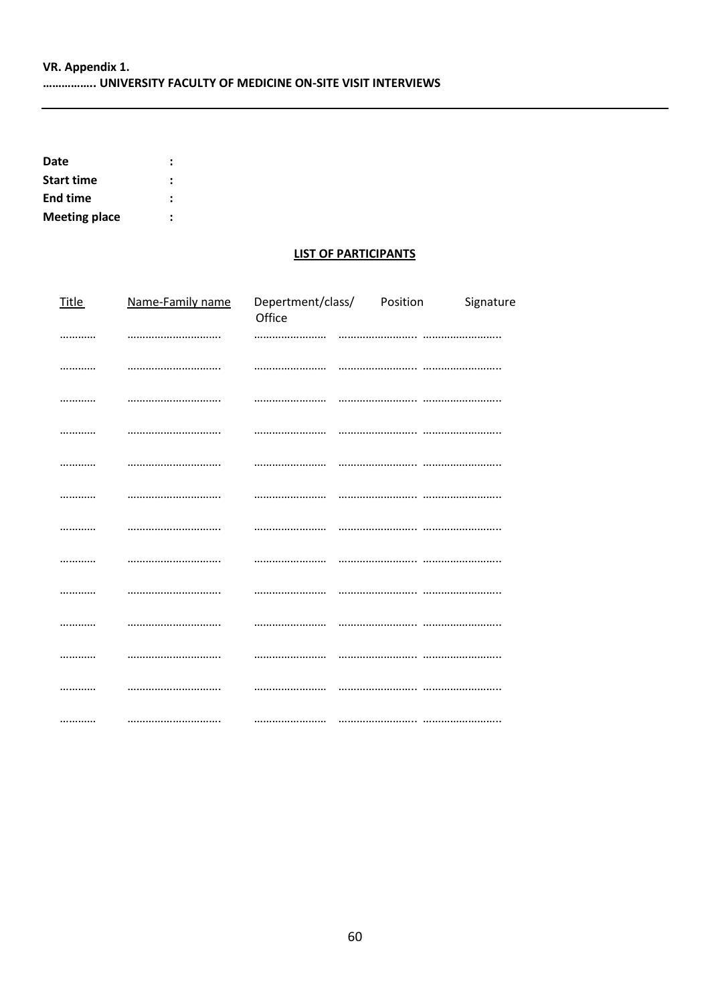| Date                 |  |
|----------------------|--|
| <b>Start time</b>    |  |
| <b>End time</b>      |  |
| <b>Meeting place</b> |  |

### **LIST OF PARTICIPANTS**

| <b>Title</b> | Name-Family name | Office | Depertment/class/ Position | Signature |
|--------------|------------------|--------|----------------------------|-----------|
|              |                  |        |                            |           |
|              |                  |        |                            |           |
|              |                  |        |                            |           |
|              |                  |        |                            |           |
|              |                  |        |                            |           |
|              |                  |        |                            |           |
|              |                  |        |                            |           |
|              |                  |        |                            |           |
|              |                  |        |                            |           |
|              |                  |        |                            |           |
|              |                  |        |                            |           |
|              |                  |        |                            |           |
|              |                  |        |                            |           |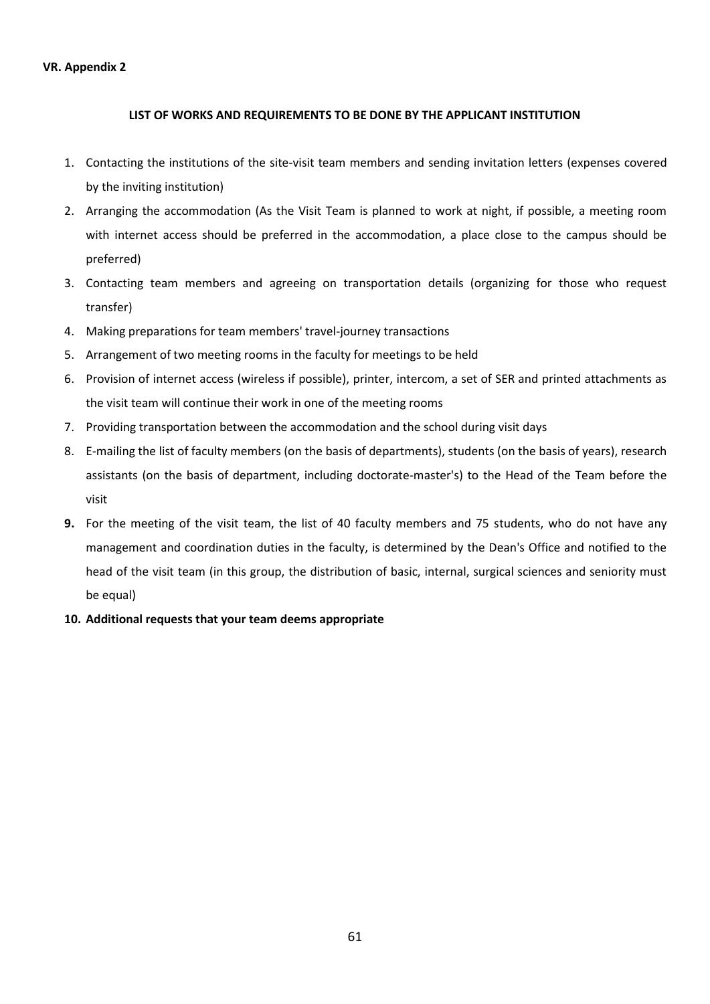### **LIST OF WORKS AND REQUIREMENTS TO BE DONE BY THE APPLICANT INSTITUTION**

- 1. Contacting the institutions of the site-visit team members and sending invitation letters (expenses covered by the inviting institution)
- 2. Arranging the accommodation (As the Visit Team is planned to work at night, if possible, a meeting room with internet access should be preferred in the accommodation, a place close to the campus should be preferred)
- 3. Contacting team members and agreeing on transportation details (organizing for those who request transfer)
- 4. Making preparations for team members' travel-journey transactions
- 5. Arrangement of two meeting rooms in the faculty for meetings to be held
- 6. Provision of internet access (wireless if possible), printer, intercom, a set of SER and printed attachments as the visit team will continue their work in one of the meeting rooms
- 7. Providing transportation between the accommodation and the school during visit days
- 8. E-mailing the list of faculty members (on the basis of departments), students (on the basis of years), research assistants (on the basis of department, including doctorate-master's) to the Head of the Team before the visit
- **9.** For the meeting of the visit team, the list of 40 faculty members and 75 students, who do not have any management and coordination duties in the faculty, is determined by the Dean's Office and notified to the head of the visit team (in this group, the distribution of basic, internal, surgical sciences and seniority must be equal)
- **10. Additional requests that your team deems appropriate**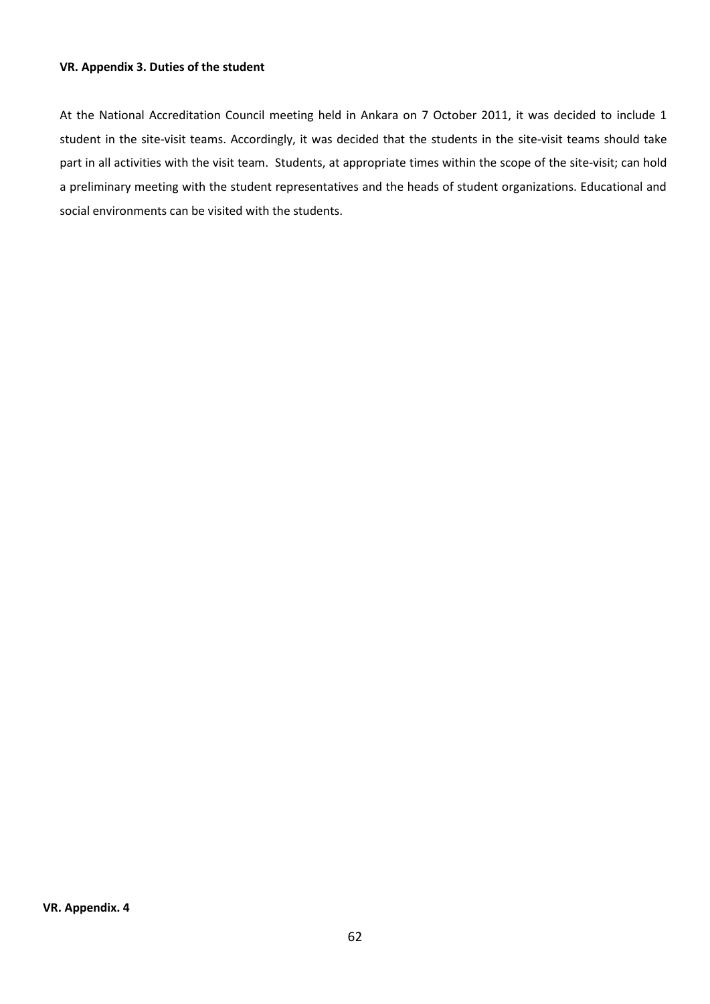### **VR. Appendix 3. Duties of the student**

At the National Accreditation Council meeting held in Ankara on 7 October 2011, it was decided to include 1 student in the site-visit teams. Accordingly, it was decided that the students in the site-visit teams should take part in all activities with the visit team. Students, at appropriate times within the scope of the site-visit; can hold a preliminary meeting with the student representatives and the heads of student organizations. Educational and social environments can be visited with the students.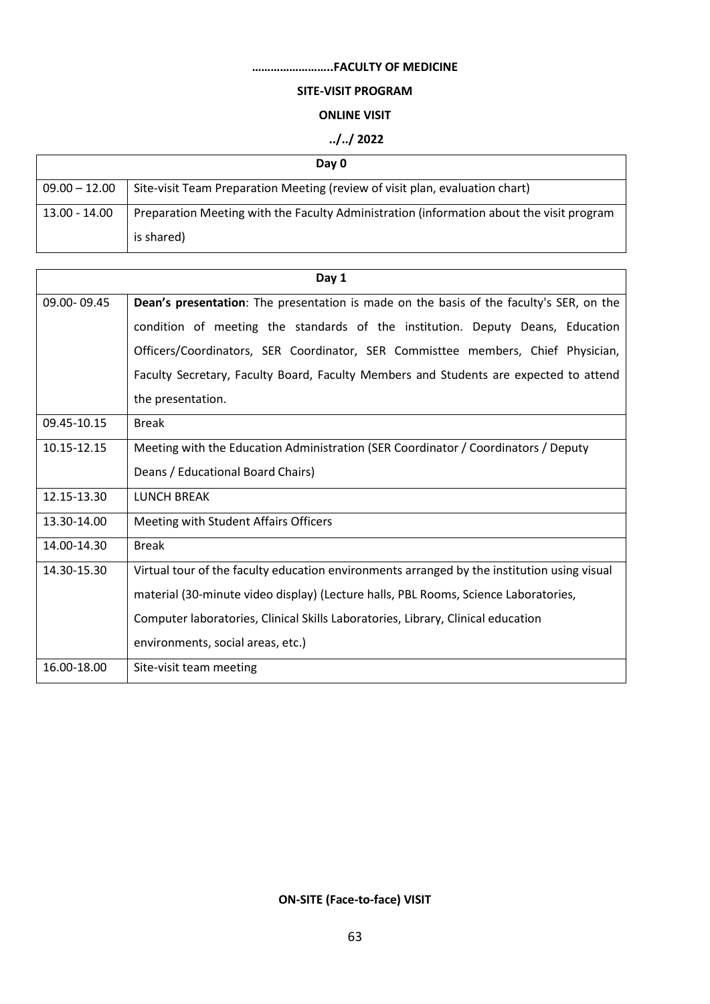# **……………………..FACULTY OF MEDICINE**

# **SITE-VISIT PROGRAM**

### **ONLINE VISIT**

# **../../ 2022**

|                 | Day 0                                                                                    |
|-----------------|------------------------------------------------------------------------------------------|
| $09.00 - 12.00$ | Site-visit Team Preparation Meeting (review of visit plan, evaluation chart)             |
| 13.00 - 14.00   | Preparation Meeting with the Faculty Administration (information about the visit program |
|                 | is shared)                                                                               |

|             | Day 1                                                                                          |
|-------------|------------------------------------------------------------------------------------------------|
| 09.00-09.45 | <b>Dean's presentation:</b> The presentation is made on the basis of the faculty's SER, on the |
|             | condition of meeting the standards of the institution. Deputy Deans, Education                 |
|             | Officers/Coordinators, SER Coordinator, SER Commisttee members, Chief Physician,               |
|             | Faculty Secretary, Faculty Board, Faculty Members and Students are expected to attend          |
|             | the presentation.                                                                              |
| 09.45-10.15 | <b>Break</b>                                                                                   |
| 10.15-12.15 | Meeting with the Education Administration (SER Coordinator / Coordinators / Deputy             |
|             | Deans / Educational Board Chairs)                                                              |
| 12.15-13.30 | <b>LUNCH BREAK</b>                                                                             |
| 13.30-14.00 | Meeting with Student Affairs Officers                                                          |
| 14.00-14.30 | <b>Break</b>                                                                                   |
| 14.30-15.30 | Virtual tour of the faculty education environments arranged by the institution using visual    |
|             | material (30-minute video display) (Lecture halls, PBL Rooms, Science Laboratories,            |
|             | Computer laboratories, Clinical Skills Laboratories, Library, Clinical education               |
|             | environments, social areas, etc.)                                                              |
| 16.00-18.00 | Site-visit team meeting                                                                        |

# **ON-SITE (Face-to-face) VISIT**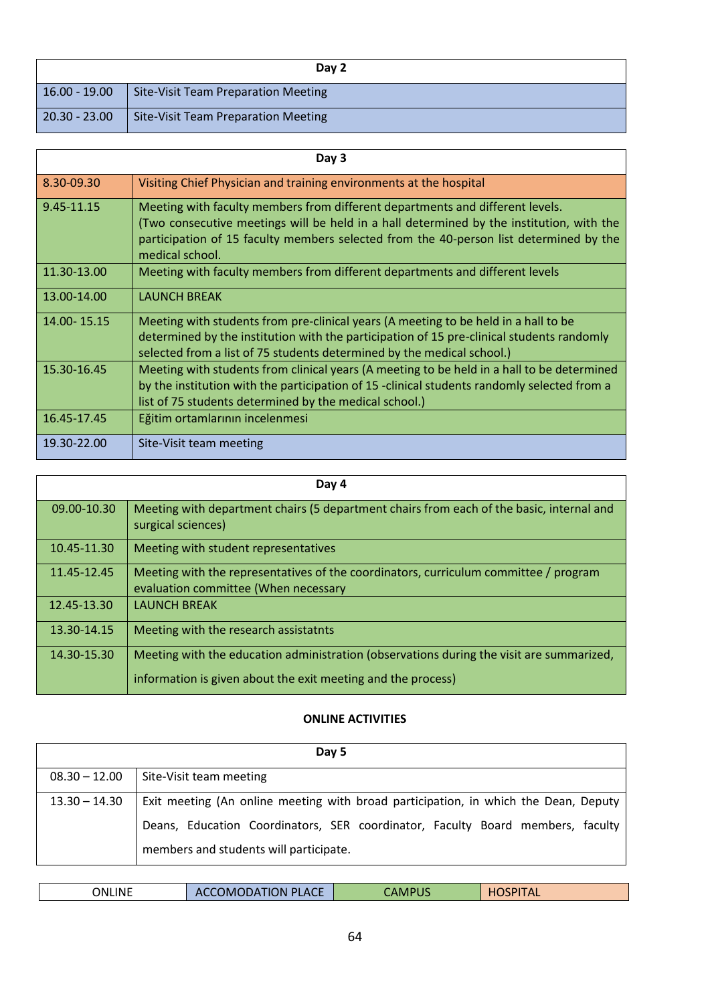|                 | Day 2                                      |
|-----------------|--------------------------------------------|
| $16.00 - 19.00$ | <b>Site-Visit Team Preparation Meeting</b> |
| $20.30 - 23.00$ | <b>Site-Visit Team Preparation Meeting</b> |

|             | Day 3                                                                                                                                                                                                                                                                                  |
|-------------|----------------------------------------------------------------------------------------------------------------------------------------------------------------------------------------------------------------------------------------------------------------------------------------|
| 8.30-09.30  | Visiting Chief Physician and training environments at the hospital                                                                                                                                                                                                                     |
| 9.45-11.15  | Meeting with faculty members from different departments and different levels.<br>(Two consecutive meetings will be held in a hall determined by the institution, with the<br>participation of 15 faculty members selected from the 40-person list determined by the<br>medical school. |
| 11.30-13.00 | Meeting with faculty members from different departments and different levels                                                                                                                                                                                                           |
| 13.00-14.00 | <b>LAUNCH BREAK</b>                                                                                                                                                                                                                                                                    |
| 14.00-15.15 | Meeting with students from pre-clinical years (A meeting to be held in a hall to be<br>determined by the institution with the participation of 15 pre-clinical students randomly<br>selected from a list of 75 students determined by the medical school.)                             |
| 15.30-16.45 | Meeting with students from clinical years (A meeting to be held in a hall to be determined<br>by the institution with the participation of 15 -clinical students randomly selected from a<br>list of 75 students determined by the medical school.)                                    |
| 16.45-17.45 | Eğitim ortamlarının incelenmesi                                                                                                                                                                                                                                                        |
| 19.30-22.00 | Site-Visit team meeting                                                                                                                                                                                                                                                                |

|             | Day 4                                                                                                                        |
|-------------|------------------------------------------------------------------------------------------------------------------------------|
| 09.00-10.30 | Meeting with department chairs (5 department chairs from each of the basic, internal and<br>surgical sciences)               |
| 10.45-11.30 | Meeting with student representatives                                                                                         |
| 11.45-12.45 | Meeting with the representatives of the coordinators, curriculum committee / program<br>evaluation committee (When necessary |
| 12.45-13.30 | <b>LAUNCH BREAK</b>                                                                                                          |
| 13.30-14.15 | Meeting with the research assistatnts                                                                                        |
| 14.30-15.30 | Meeting with the education administration (observations during the visit are summarized,                                     |
|             | information is given about the exit meeting and the process)                                                                 |

# **ONLINE ACTIVITIES**

|                 | Day 5                                                                               |
|-----------------|-------------------------------------------------------------------------------------|
| $08.30 - 12.00$ | Site-Visit team meeting                                                             |
| $13.30 - 14.30$ | Exit meeting (An online meeting with broad participation, in which the Dean, Deputy |
|                 | Deans, Education Coordinators, SER coordinator, Faculty Board members, faculty      |
|                 | members and students will participate.                                              |

| ONLINE<br><b>OMODATION PLACE</b><br><b>HOSPITAL</b><br>CAMPUS<br>$-40$<br>-- |
|------------------------------------------------------------------------------|
|------------------------------------------------------------------------------|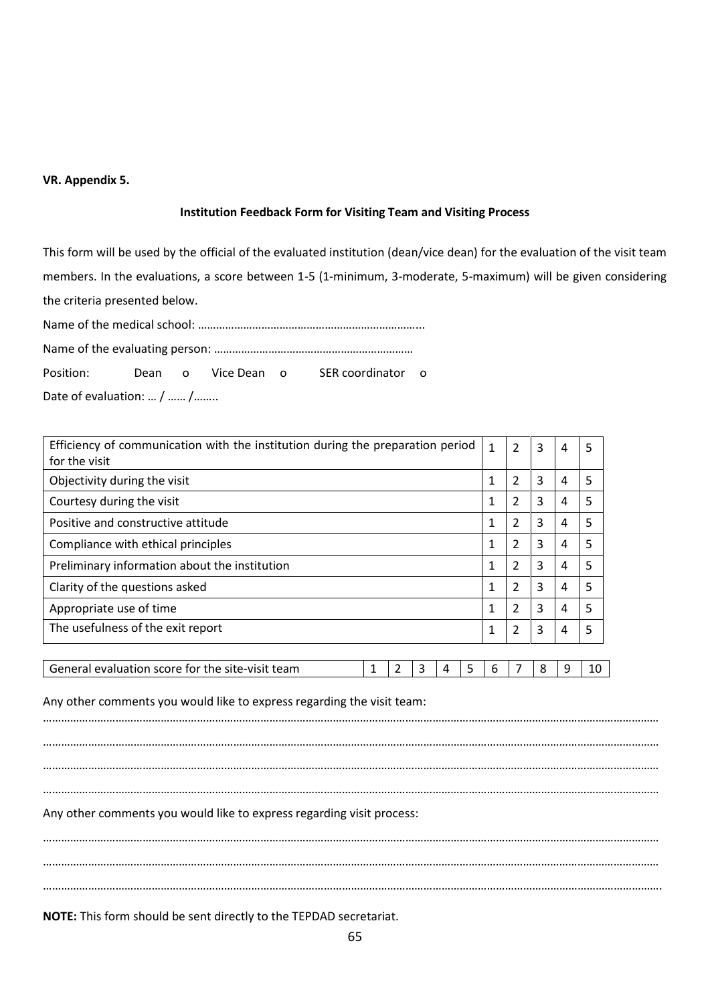# **VR. Appendix 5.**

#### **Institution Feedback Form for Visiting Team and Visiting Process**

This form will be used by the official of the evaluated institution (dean/vice dean) for the evaluation of the visit team members. In the evaluations, a score between 1-5 (1-minimum, 3-moderate, 5-maximum) will be given considering the criteria presented below.

Name of the medical school: ………………………………………………………………...

Name of the evaluating person: …………………………………………………………

Position: Dean o Vice Dean o SER coordinator o

Date of evaluation: … / …… /……..

| Efficiency of communication with the institution during the preparation period                    |              |                | 3      | 4 | 5  |
|---------------------------------------------------------------------------------------------------|--------------|----------------|--------|---|----|
| for the visit<br>Objectivity during the visit                                                     |              |                |        | 4 | 5  |
| Courtesy during the visit                                                                         | 1<br>1       | 2<br>2         | 3<br>3 | 4 | 5  |
| Positive and constructive attitude                                                                | 1            | $\overline{2}$ | 3      | 4 | 5  |
| Compliance with ethical principles                                                                | 1            | 2              | 3      | 4 | 5  |
| Preliminary information about the institution                                                     | $\mathbf{1}$ | $\overline{2}$ | 3      | 4 | 5  |
| Clarity of the questions asked                                                                    | 1            | $\overline{2}$ | 3      | 4 | 5  |
| Appropriate use of time                                                                           |              |                | 3      | 4 | 5  |
| The usefulness of the exit report                                                                 |              | 2              | 3      | 4 | 5  |
|                                                                                                   |              |                |        |   |    |
| General evaluation score for the site-visit team<br>$\overline{2}$<br>3<br>5<br>$\mathbf{1}$<br>4 | 6            | 7              | 8      | 9 | 10 |
| Any other comments you would like to express regarding the visit team:                            |              |                |        |   |    |
| Any other comments you would like to express regarding visit process:                             |              |                |        |   |    |
|                                                                                                   |              |                |        |   |    |
|                                                                                                   |              |                |        |   |    |

**NOTE:** This form should be sent directly to the TEPDAD secretariat.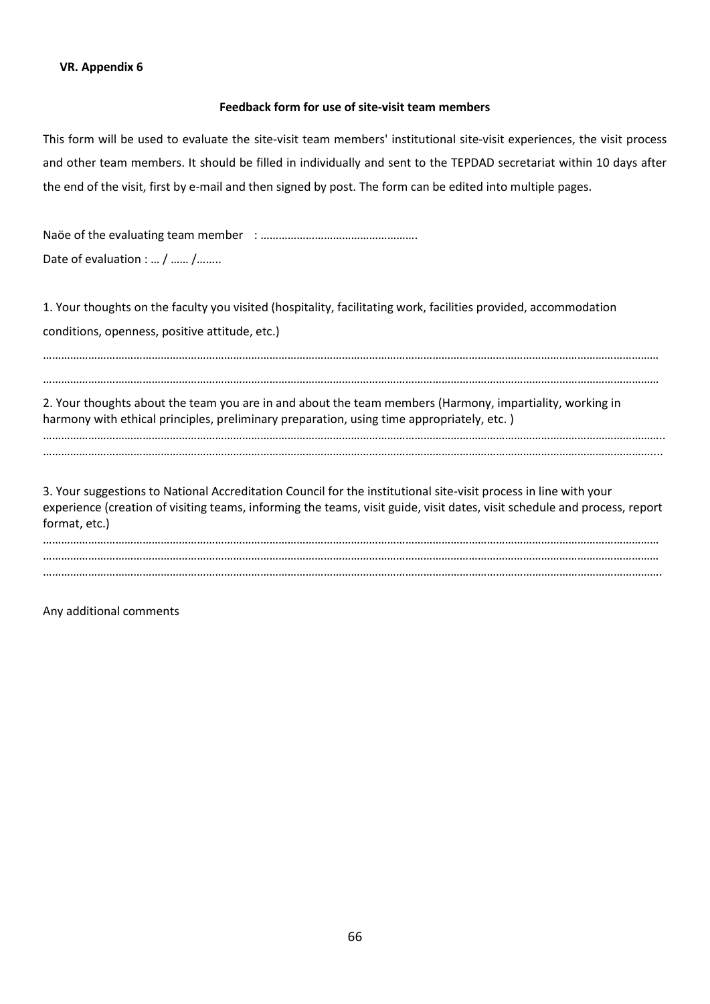### **Feedback form for use of site-visit team members**

This form will be used to evaluate the site-visit team members' institutional site-visit experiences, the visit process and other team members. It should be filled in individually and sent to the TEPDAD secretariat within 10 days after the end of the visit, first by e-mail and then signed by post. The form can be edited into multiple pages.

Naöe of the evaluating team member : ……………………………………………. Date of evaluation : ... / ...... / ........

1. Your thoughts on the faculty you visited (hospitality, facilitating work, facilities provided, accommodation conditions, openness, positive attitude, etc.)

……………………………………………………………………………………………………………………………………………………………………………………

……………………………………………………………………………………………………………………………………………………………………………………

2. Your thoughts about the team you are in and about the team members (Harmony, impartiality, working in harmony with ethical principles, preliminary preparation, using time appropriately, etc. )

…………………………………………………………………………………………………………………………………………………………………………………….. …………………………………………………………………………………………………………………………………………………………………………………....

3. Your suggestions to National Accreditation Council for the institutional site-visit process in line with your experience (creation of visiting teams, informing the teams, visit guide, visit dates, visit schedule and process, report format, etc.)

…………………………………………………………………………………………………………………………………………………………………………………… …………………………………………………………………………………………………………………………………………………………………………………… …………………………………………………………………………………………………………………………………………………………………………………….

Any additional comments